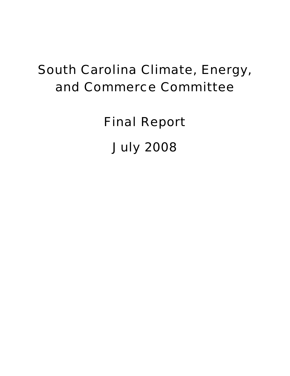# South Carolina Climate, Energy, and Commerce Committee

Final Report July 2008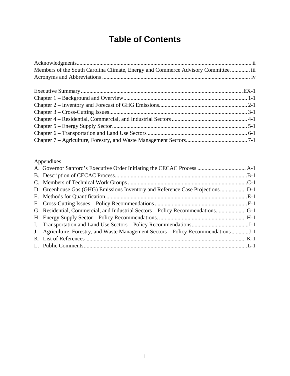# **Table of Contents**

| Members of the South Carolina Climate, Energy and Commerce Advisory Committee iii |  |
|-----------------------------------------------------------------------------------|--|
|                                                                                   |  |
|                                                                                   |  |
|                                                                                   |  |
|                                                                                   |  |
|                                                                                   |  |
|                                                                                   |  |
|                                                                                   |  |
|                                                                                   |  |
|                                                                                   |  |

### Appendixes

| G. Residential, Commercial, and Industrial Sectors – Policy Recommendations G-1 |  |
|---------------------------------------------------------------------------------|--|
|                                                                                 |  |
|                                                                                 |  |
| J. Agriculture, Forestry, and Waste Management Sectors – Policy Recommendations |  |
|                                                                                 |  |
|                                                                                 |  |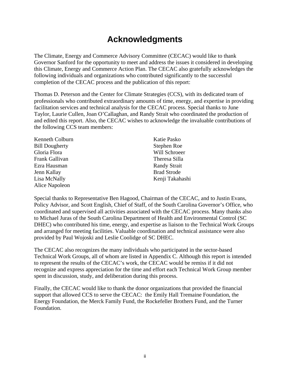# **Acknowledgments**

The Climate, Energy and Commerce Advisory Committee (CECAC) would like to thank Governor Sanford for the opportunity to meet and address the issues it considered in developing this Climate, Energy and Commerce Action Plan. The CECAC also gratefully acknowledges the following individuals and organizations who contributed significantly to the successful completion of the CECAC process and the publication of this report:

Thomas D. Peterson and the Center for Climate Strategies (CCS), with its dedicated team of professionals who contributed extraordinary amounts of time, energy, and expertise in providing facilitation services and technical analysis for the CECAC process. Special thanks to June Taylor, Laurie Cullen, Joan O'Callaghan, and Randy Strait who coordinated the production of and edited this report. Also, the CECAC wishes to acknowledge the invaluable contributions of the following CCS team members:

| Katie Pasko         |
|---------------------|
| Stephen Roe         |
| Will Schroeer       |
| Theresa Silla       |
| <b>Randy Strait</b> |
| <b>Brad Strode</b>  |
| Kenji Takahashi     |
|                     |
|                     |

Special thanks to Representative Ben Hagood, Chairman of the CECAC, and to Justin Evans, Policy Advisor, and Scott English, Chief of Staff, of the South Carolina Governor's Office, who coordinated and supervised all activities associated with the CECAC process. Many thanks also to Michael Juras of the South Carolina Department of Health and Environmental Control (SC DHEC) who contributed his time, energy, and expertise as liaison to the Technical Work Groups and arranged for meeting facilities. Valuable coordination and technical assistance were also provided by Paul Wojoski and Leslie Coolidge of SC DHEC.

The CECAC also recognizes the many individuals who participated in the sector-based Technical Work Groups, all of whom are listed in Appendix C. Although this report is intended to represent the results of the CECAC's work, the CECAC would be remiss if it did not recognize and express appreciation for the time and effort each Technical Work Group member spent in discussion, study, and deliberation during this process.

Finally, the CECAC would like to thank the donor organizations that provided the financial support that allowed CCS to serve the CECAC: the Emily Hall Tremaine Foundation, the Energy Foundation, the Merck Family Fund, the Rockefeller Brothers Fund, and the Turner Foundation.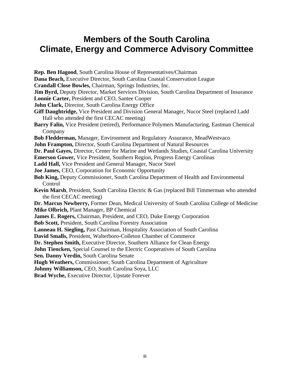# **Members of the South Carolina Climate, Energy and Commerce Advisory Committee**

**Rep. Ben Hagood**, South Carolina House of Representatives/Chairman **Dana Beach,** Executive Director, South Carolina Coastal Conservation League **Crandall Close Bowles,** Chairman, Springs Industries, Inc. **Jim Byrd,** Deputy Director, Market Services Division, South Carolina Department of Insurance **Lonnie Carter,** President and CEO, Santee Cooper **John Clark,** Director, South Carolina Energy Office **Giff Daughtridge,** Vice President and Division General Manager, Nucor Steel (replaced Ladd Hall who attended the first CECAC meeting) **Barry Falin,** Vice President (retired), Performance Polymers Manufacturing, Eastman Chemical Company **Bob Fledderman,** Manager, Environment and Regulatory Assurance, MeadWestvaco **John Frampton,** Director, South Carolina Department of Natural Resources **Dr. Paul Gayes,** Director, Center for Marine and Wetlands Studies, Coastal Carolina University **Emerson Gower,** Vice President, Southern Region, Progress Energy Carolinas **Ladd Hall,** Vice President and General Manager, Nucor Steel **Joe James,** CEO, Corporation for Economic Opportunity **Bob King,** Deputy Commissioner, South Carolina Department of Health and Environmental Control **Kevin Marsh**, President, South Carolina Electric & Gas (replaced Bill Timmerman who attended the first CECAC meeting) **Dr. Marcus Newberry,** Former Dean, Medical University of South Carolina College of Medicine **Mike Olbrich,** Plant Manager, BP Chemical **James E. Rogers,** Chairman, President, and CEO, Duke Energy Corporation **Bob Scott,** President, South Carolina Forestry Association **Lanneau H. Siegling,** Past Chairman, Hospitality Association of South Carolina **David Smalls,** President, Walterboro-Colleton Chamber of Commerce **Dr. Stephen Smith,** Executive Director, Southern Alliance for Clean Energy **John Tiencken,** Special Counsel to the Electric Cooperatives of South Carolina **Sen. Danny Verdin,** South Carolina Senate **Hugh Weathers,** Commissioner, South Carolina Department of Agriculture **Johnny Williamson,** CEO, South Carolina Soya, LLC **Brad Wyche,** Executive Director, Upstate Forever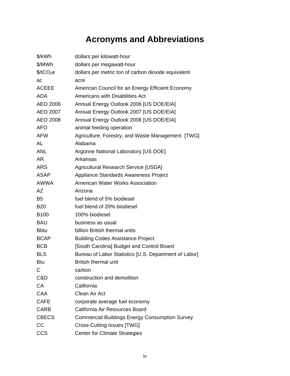# **Acronyms and Abbreviations**

| \$/kWh                | dollars per kilowatt-hour                             |
|-----------------------|-------------------------------------------------------|
| \$/MWh                | dollars per megawatt-hour                             |
| \$/tCO <sub>2</sub> e | dollars per metric ton of carbon dioxide equivalent   |
| ac                    | acre                                                  |
| <b>ACEEE</b>          | American Council for an Energy Efficient Economy      |
| ADA                   | Americans with Disabilities Act                       |
| AEO 2006              | Annual Energy Outlook 2006 [US DOE/EIA]               |
| AEO 2007              | Annual Energy Outlook 2007 [US DOE/EIA]               |
| <b>AEO 2008</b>       | Annual Energy Outlook 2008 [US DOE/EIA]               |
| AFO                   | animal feeding operation                              |
| AFW                   | Agriculture, Forestry, and Waste Management [TWG]     |
| AL                    | Alabama                                               |
| <b>ANL</b>            | Argonne National Laboratory [US DOE]                  |
| AR                    | Arkansas                                              |
| <b>ARS</b>            | <b>Agricultural Research Service [USDA]</b>           |
| <b>ASAP</b>           | Appliance Standards Awareness Project                 |
| AWWA                  | American Water Works Association                      |
| AΖ                    | Arizona                                               |
| B5                    | fuel blend of 5% biodiesel                            |
| <b>B20</b>            | fuel blend of 20% biodiesel                           |
| <b>B100</b>           | 100% biodiesel                                        |
| <b>BAU</b>            | business as usual                                     |
| <b>B</b> btu          | billion British thermal units                         |
| <b>BCAP</b>           | <b>Building Codes Assistance Project</b>              |
| <b>BCB</b>            | [South Carolina] Budget and Control Board             |
| <b>BLS</b>            | Bureau of Labor Statistics [U.S. Department of Labor] |
| Btu                   | <b>British thermal unit</b>                           |
| С                     | carbon                                                |
| C&D                   | construction and demolition                           |
| <b>CA</b>             | California                                            |
| CAA                   | Clean Air Act                                         |
| <b>CAFE</b>           | corporate average fuel economy                        |
| <b>CARB</b>           | California Air Resources Board                        |
| <b>CBECS</b>          | <b>Commercial Buildings Energy Consumption Survey</b> |
| CC                    | Cross-Cutting Issues [TWG]                            |
| <b>CCS</b>            | <b>Center for Climate Strategies</b>                  |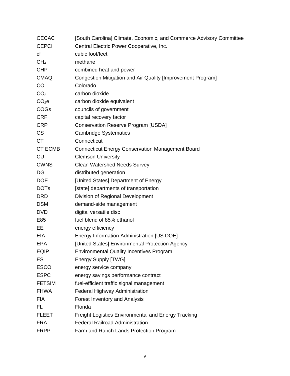| <b>CECAC</b>      | [South Carolina] Climate, Economic, and Commerce Advisory Committee |
|-------------------|---------------------------------------------------------------------|
| <b>CEPCI</b>      | Central Electric Power Cooperative, Inc.                            |
| cf                | cubic foot/feet                                                     |
| CH <sub>4</sub>   | methane                                                             |
| <b>CHP</b>        | combined heat and power                                             |
| <b>CMAQ</b>       | Congestion Mitigation and Air Quality [Improvement Program]         |
| CO                | Colorado                                                            |
| CO <sub>2</sub>   | carbon dioxide                                                      |
| CO <sub>2</sub> e | carbon dioxide equivalent                                           |
| <b>COGs</b>       | councils of government                                              |
| <b>CRF</b>        | capital recovery factor                                             |
| <b>CRP</b>        | <b>Conservation Reserve Program [USDA]</b>                          |
| <b>CS</b>         | <b>Cambridge Systematics</b>                                        |
| <b>CT</b>         | Connecticut                                                         |
| <b>CT ECMB</b>    | <b>Connecticut Energy Conservation Management Board</b>             |
| <b>CU</b>         | <b>Clemson University</b>                                           |
| <b>CWNS</b>       | <b>Clean Watershed Needs Survey</b>                                 |
| DG                | distributed generation                                              |
| <b>DOE</b>        | [United States] Department of Energy                                |
| <b>DOTs</b>       | [state] departments of transportation                               |
| <b>DRD</b>        | Division of Regional Development                                    |
| <b>DSM</b>        | demand-side management                                              |
| <b>DVD</b>        | digital versatile disc                                              |
| E85               | fuel blend of 85% ethanol                                           |
| EE                | energy efficiency                                                   |
| EIA               | Energy Information Administration [US DOE]                          |
| <b>EPA</b>        | [United States] Environmental Protection Agency                     |
| <b>EQIP</b>       | <b>Environmental Quality Incentives Program</b>                     |
| <b>ES</b>         | <b>Energy Supply [TWG]</b>                                          |
| <b>ESCO</b>       | energy service company                                              |
| <b>ESPC</b>       | energy savings performance contract                                 |
| <b>FETSIM</b>     | fuel-efficient traffic signal management                            |
| <b>FHWA</b>       | Federal Highway Administration                                      |
| <b>FIA</b>        | Forest Inventory and Analysis                                       |
| FL.               | Florida                                                             |
| <b>FLEET</b>      | <b>Freight Logistics Environmental and Energy Tracking</b>          |
| <b>FRA</b>        | <b>Federal Railroad Administration</b>                              |
| <b>FRPP</b>       | Farm and Ranch Lands Protection Program                             |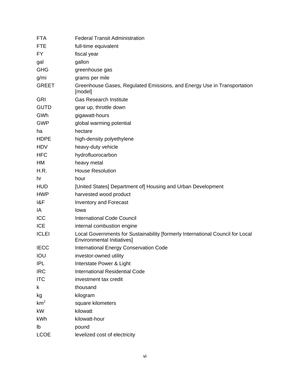| <b>FTA</b>      | <b>Federal Transit Administration</b>                                                                               |
|-----------------|---------------------------------------------------------------------------------------------------------------------|
| <b>FTE</b>      | full-time equivalent                                                                                                |
| FY.             | fiscal year                                                                                                         |
| gal             | gallon                                                                                                              |
| <b>GHG</b>      | greenhouse gas                                                                                                      |
| g/mi            | grams per mile                                                                                                      |
| <b>GREET</b>    | Greenhouse Gases, Regulated Emissions, and Energy Use in Transportation<br>[model]                                  |
| GRI             | <b>Gas Research Institute</b>                                                                                       |
| <b>GUTD</b>     | gear up, throttle down                                                                                              |
| GWh             | gigawatt-hours                                                                                                      |
| <b>GWP</b>      | global warming potential                                                                                            |
| ha              | hectare                                                                                                             |
| <b>HDPE</b>     | high-density polyethylene                                                                                           |
| <b>HDV</b>      | heavy-duty vehicle                                                                                                  |
| <b>HFC</b>      | hydrofluorocarbon                                                                                                   |
| HM              | heavy metal                                                                                                         |
| H.R.            | <b>House Resolution</b>                                                                                             |
| hr              | hour                                                                                                                |
| <b>HUD</b>      | [United States] Department of] Housing and Urban Development                                                        |
| <b>HWP</b>      | harvested wood product                                                                                              |
| 1&F             | Inventory and Forecast                                                                                              |
| IA              | Iowa                                                                                                                |
| ICC             | <b>International Code Council</b>                                                                                   |
| <b>ICE</b>      | internal combustion engine                                                                                          |
| <b>ICLEI</b>    | Local Governments for Sustainability [formerly International Council for Local<br><b>Environmental Initiatives]</b> |
| <b>IECC</b>     | <b>International Energy Conservation Code</b>                                                                       |
| IOU             | investor-owned utility                                                                                              |
| <b>IPL</b>      | Interstate Power & Light                                                                                            |
| <b>IRC</b>      | <b>International Residential Code</b>                                                                               |
| <b>ITC</b>      | investment tax credit                                                                                               |
| k               | thousand                                                                                                            |
| kg              | kilogram                                                                                                            |
| km <sup>2</sup> | square kilometers                                                                                                   |
| kW              | kilowatt                                                                                                            |
| kWh             | kilowatt-hour                                                                                                       |
| lb              | pound                                                                                                               |
| <b>LCOE</b>     | levelized cost of electricity                                                                                       |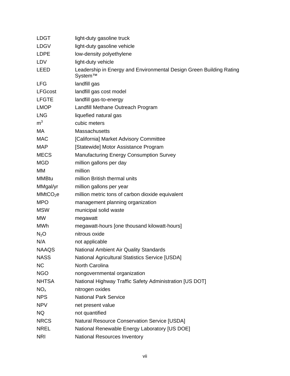| <b>LDGT</b>          | light-duty gasoline truck                                                      |
|----------------------|--------------------------------------------------------------------------------|
| <b>LDGV</b>          | light-duty gasoline vehicle                                                    |
| <b>LDPE</b>          | low-density polyethylene                                                       |
| <b>LDV</b>           | light-duty vehicle                                                             |
| LEED                 | Leadership in Energy and Environmental Design Green Building Rating<br>System™ |
| <b>LFG</b>           | landfill gas                                                                   |
| <b>LFGcost</b>       | landfill gas cost model                                                        |
| <b>LFGTE</b>         | landfill gas-to-energy                                                         |
| <b>LMOP</b>          | Landfill Methane Outreach Program                                              |
| <b>LNG</b>           | liquefied natural gas                                                          |
| m <sup>3</sup>       | cubic meters                                                                   |
| МA                   | <b>Massachusetts</b>                                                           |
| <b>MAC</b>           | [California] Market Advisory Committee                                         |
| <b>MAP</b>           | [Statewide] Motor Assistance Program                                           |
| <b>MECS</b>          | <b>Manufacturing Energy Consumption Survey</b>                                 |
| <b>MGD</b>           | million gallons per day                                                        |
| <b>MM</b>            | million                                                                        |
| <b>MMBtu</b>         | million British thermal units                                                  |
| MMgal/yr             | million gallons per year                                                       |
| MMtCO <sub>2</sub> e | million metric tons of carbon dioxide equivalent                               |
| <b>MPO</b>           | management planning organization                                               |
| <b>MSW</b>           | municipal solid waste                                                          |
| <b>MW</b>            | megawatt                                                                       |
| <b>MWh</b>           | megawatt-hours [one thousand kilowatt-hours]                                   |
| $N_2O$               | nitrous oxide                                                                  |
| N/A                  | not applicable                                                                 |
| <b>NAAQS</b>         | National Ambient Air Quality Standards                                         |
| <b>NASS</b>          | <b>National Agricultural Statistics Service [USDA]</b>                         |
| NC                   | North Carolina                                                                 |
| <b>NGO</b>           | nongovernmental organization                                                   |
| <b>NHTSA</b>         | National Highway Traffic Safety Administration [US DOT]                        |
| NO <sub>x</sub>      | nitrogen oxides                                                                |
| <b>NPS</b>           | <b>National Park Service</b>                                                   |
| <b>NPV</b>           | net present value                                                              |
| <b>NQ</b>            | not quantified                                                                 |
| <b>NRCS</b>          | <b>Natural Resource Conservation Service [USDA]</b>                            |
| <b>NREL</b>          | National Renewable Energy Laboratory [US DOE]                                  |
| <b>NRI</b>           | <b>National Resources Inventory</b>                                            |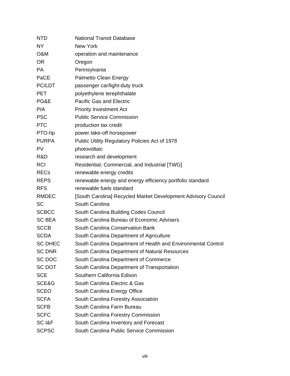| <b>NTD</b>            | <b>National Transit Database</b>                              |
|-----------------------|---------------------------------------------------------------|
| <b>NY</b>             | New York                                                      |
| O&M                   | operation and maintenance                                     |
| <b>OR</b>             | Oregon                                                        |
| <b>PA</b>             | Pennsylvania                                                  |
| PaCE                  | Palmetto Clean Energy                                         |
| PC/LDT                | passenger car/light-duty truck                                |
| <b>PET</b>            | polyethylene terephthalate                                    |
| PG&E                  | <b>Pacific Gas and Electric</b>                               |
| <b>PIA</b>            | <b>Priority Investment Act</b>                                |
| <b>PSC</b>            | <b>Public Service Commission</b>                              |
| <b>PTC</b>            | production tax credit                                         |
| PTO-hp                | power take-off horsepower                                     |
| <b>PURPA</b>          | Public Utility Regulatory Policies Act of 1978                |
| <b>PV</b>             | photovoltaic                                                  |
| R&D                   | research and development                                      |
| <b>RCI</b>            | Residential, Commercial, and Industrial [TWG]                 |
| <b>RECs</b>           | renewable energy credits                                      |
| <b>REPS</b>           | renewable energy and energy efficiency portfolio standard     |
| <b>RFS</b>            | renewable fuels standard                                      |
| <b>RMDEC</b>          | [South Carolina] Recycled Market Development Advisory Council |
| <b>SC</b>             | South Carolina                                                |
| <b>SCBCC</b>          | South Carolina Building Codes Council                         |
| <b>SC BEA</b>         | South Carolina Bureau of Economic Advisers                    |
| <b>SCCB</b>           | South Carolina Conservation Bank                              |
| <b>SCDA</b>           | South Carolina Department of Agriculture                      |
| <b>SC DHEC</b>        | South Carolina Department of Health and Environmental Control |
| <b>SC DNR</b>         | South Carolina Department of Natural Resources                |
| SC DOC                | South Carolina Department of Commerce                         |
| <b>SC DOT</b>         | South Carolina Department of Transportation                   |
| <b>SCE</b>            | Southern California Edison                                    |
| SCE&G                 | South Carolina Electric & Gas                                 |
| <b>SCEO</b>           | South Carolina Energy Office                                  |
| <b>SCFA</b>           | South Carolina Forestry Association                           |
| <b>SCFB</b>           | South Carolina Farm Bureau                                    |
| <b>SCFC</b>           | South Carolina Forestry Commission                            |
| SC <sub>I&amp;F</sub> | South Carolina Inventory and Forecast                         |
| <b>SCPSC</b>          | South Carolina Public Service Commission                      |
|                       |                                                               |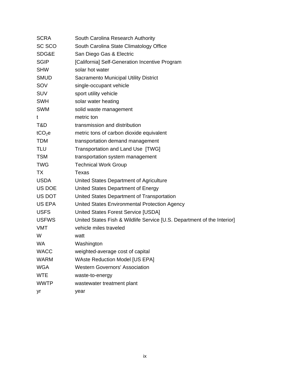| South Carolina Research Authority                                       |
|-------------------------------------------------------------------------|
| South Carolina State Climatology Office                                 |
| San Diego Gas & Electric                                                |
| [California] Self-Generation Incentive Program                          |
| solar hot water                                                         |
| <b>Sacramento Municipal Utility District</b>                            |
| single-occupant vehicle                                                 |
| sport utility vehicle                                                   |
| solar water heating                                                     |
| solid waste management                                                  |
| metric ton                                                              |
| transmission and distribution                                           |
| metric tons of carbon dioxide equivalent                                |
| transportation demand management                                        |
| Transportation and Land Use [TWG]                                       |
| transportation system management                                        |
| <b>Technical Work Group</b>                                             |
| Texas                                                                   |
| United States Department of Agriculture                                 |
| United States Department of Energy                                      |
| United States Department of Transportation                              |
| United States Environmental Protection Agency                           |
| United States Forest Service [USDA]                                     |
| United States Fish & Wildlife Service [U.S. Department of the Interior] |
| vehicle miles traveled                                                  |
| watt                                                                    |
| Washington                                                              |
| weighted-average cost of capital                                        |
| <b>WAste Reduction Model [US EPA]</b>                                   |
| <b>Western Governors' Association</b>                                   |
| waste-to-energy                                                         |
| wastewater treatment plant                                              |
| year                                                                    |
|                                                                         |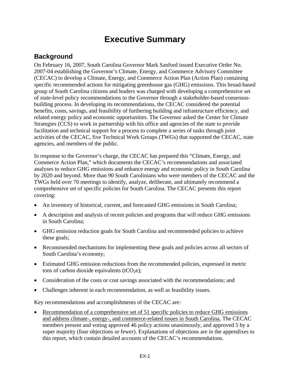# **Executive Summary**

### **Background**

On February 16, 2007, South Carolina Governor Mark Sanford issued Executive Order No. 2007-04 establishing the Governor's Climate, Energy, and Commerce Advisory Committee (CECAC) to develop a Climate, Energy, and Commerce Action Plan (Action Plan) containing specific recommended actions for mitigating greenhouse gas (GHG) emissions. This broad-based group of South Carolina citizens and leaders was charged with developing a comprehensive set of state-level policy recommendations to the Governor through a stakeholder-based consensusbuilding process. In developing its recommendations, the CECAC considered the potential benefits, costs, savings, and feasibility of furthering building and infrastructure efficiency, and related energy policy and economic opportunities. The Governor asked the Center for Climate Strategies (CCS) to work in partnership with his office and agencies of the state to provide facilitation and technical support for a process to complete a series of tasks through joint activities of the CECAC, five Technical Work Groups (TWGs) that supported the CECAC, state agencies, and members of the public.

In response to the Governor's charge, the CECAC has prepared this "Climate, Energy, and Commerce Action Plan," which documents the CECAC's recommendations and associated analyses to reduce GHG emissions and enhance energy and economic policy in South Carolina by 2020 and beyond. More than 90 South Carolinians who were members of the CECAC and the TWGs held over 70 meetings to identify, analyze, deliberate, and ultimately recommend a comprehensive set of specific policies for South Carolina. The CECAC presents this report covering:

- An inventory of historical, current, and forecasted GHG emissions in South Carolina;
- A description and analysis of recent policies and programs that will reduce GHG emissions in South Carolina;
- GHG emission reduction goals for South Carolina and recommended policies to achieve these goals;
- Recommended mechanisms for implementing these goals and policies across all sectors of South Carolina's economy;
- Estimated GHG emission reductions from the recommended policies, expressed in metric tons of carbon dioxide equivalents (tCO<sub>2</sub>e);
- Consideration of the costs or cost savings associated with the recommendations; and
- Challenges inherent in each recommendation, as well as feasibility issues.

Key recommendations and accomplishments of the CECAC are:

• Recommendation of a comprehensive set of 51 specific policies to reduce GHG emissions and address climate-, energy-, and commerce-related issues in South Carolina. The CECAC members present and voting approved 46 policy actions unanimously, and approved 5 by a super majority (four objections or fewer). Explanations of objections are in the appendixes to this report, which contain detailed accounts of the CECAC's recommendations.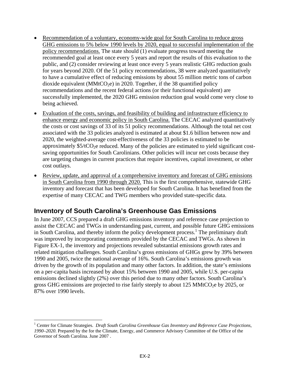- Recommendation of a voluntary, economy-wide goal for South Carolina to reduce gross GHG emissions to 5% below 1990 levels by 2020, equal to successful implementation of the policy recommendations. The state should (1) evaluate progress toward meeting the recommended goal at least once every 5 years and report the results of this evaluation to the public, and (2) consider reviewing at least once every 5 years realistic GHG reduction goals for years beyond 2020. Of the 51 policy recommendations, 38 were analyzed quantitatively to have a cumulative effect of reducing emissions by about 55 million metric tons of carbon dioxide equivalent (MMtCO<sub>2</sub>e) in 2020. Together, if the 38 quantified policy recommendations and the recent federal actions (or their functional equivalent) are successfully implemented, the 2020 GHG emission reduction goal would come very close to being achieved.
- Evaluation of the costs, savings, and feasibility of building and infrastructure efficiency to enhance energy and economic policy in South Carolina. The CECAC analyzed quantitatively the costs or cost savings of 33 of its 51 policy recommendations. Although the total net cost associated with the 33 policies analyzed is estimated at about \$1.6 billion between now and 2020, the weighted-average cost-effectiveness of the 33 policies is estimated to be approximately  $$5/tCO<sub>2</sub>e$  reduced. Many of the policies are estimated to yield significant costsaving opportunities for South Carolinians. Other policies will incur net costs because they are targeting changes in current practices that require incentives, capital investment, or other cost outlays.
- Review, update, and approval of a comprehensive inventory and forecast of GHG emissions in South Carolina from 1990 through 2020. This is the first comprehensive, statewide GHG inventory and forecast that has been developed for South Carolina. It has benefited from the expertise of many CECAC and TWG members who provided state-specific data.

### **Inventory of South Carolina's Greenhouse Gas Emissions**

In June 2007, CCS prepared a draft GHG emissions inventory and reference case projection to assist the CECAC and TWGs in understanding past, current, and possible future GHG emissions in South Carolina, and thereby inform the policy development process.<sup>1</sup> The preliminary draft was improved by incorporating comments provided by the CECAC and TWGs. As shown in Figure EX-1, the inventory and projections revealed substantial emissions growth rates and related mitigation challenges. South Carolina's gross emissions of GHGs grew by 39% between 1990 and 2005, twice the national average of 16%. South Carolina's emissions growth was driven by the growth of its population and many other factors. In addition, the state's emissions on a per-capita basis increased by about 15% between 1990 and 2005, while U.S. per-capita emissions declined slightly (2%) over this period due to many other factors. South Carolina's gross GHG emissions are projected to rise fairly steeply to about  $125 \text{ MMtCO}_2$ e by  $2025$ , or 87% over 1990 levels.

 $\overline{a}$ 

<sup>&</sup>lt;sup>1</sup> Center for Climate Strategies. *Draft South Carolina Greenhouse Gas Inventory and Reference Case Projections, 1990–2020*. Prepared by the for the Climate, Energy, and Commerce Advisory Committee of the Office of the Governor of South Carolina. June 2007 .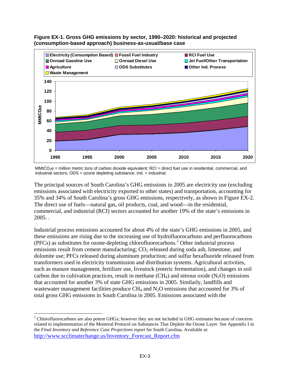

**Figure EX-1. Gross GHG emissions by sector, 1990–2020: historical and projected (consumption-based approach) business-as-usual/base case** 

 $MMCO<sub>2</sub>e$  = million metric tons of carbon dioxide equivalent; RCI = direct fuel use in residential, commercial, and industrial sectors; ODS = ozone depleting substance; Ind. = industrial.

The principal sources of South Carolina's GHG emissions in 2005 are electricity use (excluding emissions associated with electricity exported to other states) and transportation, accounting for 35% and 34% of South Carolina's gross GHG emissions, respectively, as shown in Figure EX-2. The direct use of fuels—natural gas, oil products, coal, and wood—in the residential, commercial, and industrial (RCI) sectors accounted for another 19% of the state's emissions in 2005. .

Industrial process emissions accounted for about 4% of the state's GHG emissions in 2005, and these emissions are rising due to the increasing use of hydrofluorocarbons and perfluorocarbons (PFCs) as substitutes for ozone-depleting chlorofluorocarbons.2 Other industrial process emissions result from cement manufacturing;  $CO<sub>2</sub>$  released during soda ash, limestone, and dolomite use; PFCs released during aluminum production; and sulfur hexafluoride released from transformers used in electricity transmission and distribution systems. Agricultural activities, such as manure management, fertilizer use, livestock (enteric fermentation), and changes in soil carbon due to cultivation practices, result in methane  $(CH_4)$  and nitrous oxide  $(N_2O)$  emissions that accounted for another 3% of state GHG emissions in 2005. Similarly, landfills and wastewater management facilities produce  $CH_4$  and  $N_2O$  emissions that accounted for 3% of total gross GHG emissions in South Carolina in 2005. Emissions associated with the

<u>.</u>

 $2^2$  Chlorofluorocarbons are also potent GHGs; however they are not included in GHG estimates because of concerns related to implementation of the Montreal Protocol on Substances That Deplete the Ozone Layer. See Appendix I in the *Final Inventory and Reference Case Projections* report for South Carolina. Available at: http://www.scclimatechange.us/Inventory\_Forecast\_Report.cfm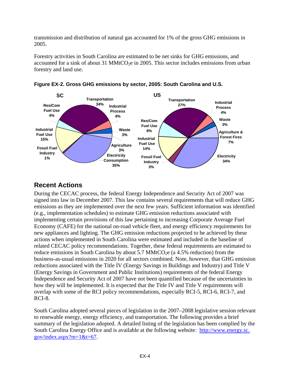transmission and distribution of natural gas accounted for 1% of the gross GHG emissions in 2005.

Forestry activities in South Carolina are estimated to be net sinks for GHG emissions, and accounted for a sink of about 31 MMtCO<sub>2</sub>e in 2005. This sector includes emissions from urban forestry and land use.





# **Recent Actions**

During the CECAC process, the federal Energy Independence and Security Act of 2007 was signed into law in December 2007. This law contains several requirements that will reduce GHG emissions as they are implemented over the next few years. Sufficient information was identified (e.g., implementation schedules) to estimate GHG emission reductions associated with implementing certain provisions of this law pertaining to increasing Corporate Average Fuel Economy (CAFE) for the national on-road vehicle fleet, and energy efficiency requirements for new appliances and lighting. The GHG emission reductions projected to be achieved by these actions when implemented in South Carolina were estimated and included in the baseline of related CECAC policy recommendations. Together, these federal requirements are estimated to reduce emissions in South Carolina by about  $5.7 \text{ MMtCO}_2$ e (a  $4.5\%$  reduction) from the business-as-usual emissions in 2020 for all sectors combined. Note, however, that GHG emission reductions associated with the Title IV (Energy Savings in Buildings and Industry) and Title V (Energy Savings in Government and Public Institutions) requirements of the federal Energy Independence and Security Act of 2007 have not been quantified because of the uncertainties in how they will be implemented. It is expected that the Title IV and Title V requirements will overlap with some of the RCI policy recommendations, especially RCI-5, RCI-6, RCI-7, and RCI-8.

South Carolina adopted several pieces of legislation in the 2007–2008 legislative session relevant to renewable energy, energy efficiency, and transportation. The following provides a brief summary of the legislation adopted. A detailed listing of the legislation has been complied by the South Carolina Energy Office and is available at the following website: http://www.energy.sc.  $gov/index.aspx?m=1$ &t=67.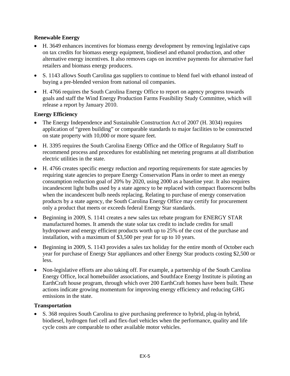#### **Renewable Energy**

- H. 3649 enhances incentives for biomass energy development by removing legislative caps on tax credits for biomass energy equipment, biodiesel and ethanol production, and other alternative energy incentives. It also removes caps on incentive payments for alternative fuel retailers and biomass energy producers.
- S. 1143 allows South Carolina gas suppliers to continue to blend fuel with ethanol instead of buying a pre-blended version from national oil companies.
- H. 4766 requires the South Carolina Energy Office to report on agency progress towards goals and staff the Wind Energy Production Farms Feasibility Study Committee, which will release a report by January 2010.

#### **Energy Efficiency**

- The Energy Independence and Sustainable Construction Act of 2007 (H. 3034) requires application of "green building" or comparable standards to major facilities to be constructed on state property with 10,000 or more square feet.
- H. 3395 requires the South Carolina Energy Office and the Office of Regulatory Staff to recommend process and procedures for establishing net metering programs at all distribution electric utilities in the state.
- H. 4766 creates specific energy reduction and reporting requirements for state agencies by requiring state agencies to prepare Energy Conservation Plans in order to meet an energy consumption reduction goal of 20% by 2020, using 2000 as a baseline year. It also requires incandescent light bulbs used by a state agency to be replaced with compact fluorescent bulbs when the incandescent bulb needs replacing. Relating to purchase of energy conservation products by a state agency, the South Carolina Energy Office may certify for procurement only a product that meets or exceeds federal Energy Star standards.
- Beginning in 2009, S. 1141 creates a new sales tax rebate program for ENERGY STAR manufactured homes. It amends the state solar tax credit to include credits for small hydropower and energy efficient products worth up to 25% of the cost of the purchase and installation, with a maximum of \$3,500 per year for up to 10 years.
- Beginning in 2009, S. 1143 provides a sales tax holiday for the entire month of October each year for purchase of Energy Star appliances and other Energy Star products costing \$2,500 or less.
- Non-legislative efforts are also taking off. For example, a partnership of the South Carolina Energy Office, local homebuilder associations, and Southface Energy Institute is piloting an EarthCraft house program, through which over 200 EarthCraft homes have been built. These actions indicate growing momentum for improving energy efficiency and reducing GHG emissions in the state.

#### **Transportation**

• S. 368 requires South Carolina to give purchasing preference to hybrid, plug-in hybrid, biodiesel, hydrogen fuel cell and flex-fuel vehicles when the performance, quality and life cycle costs are comparable to other available motor vehicles.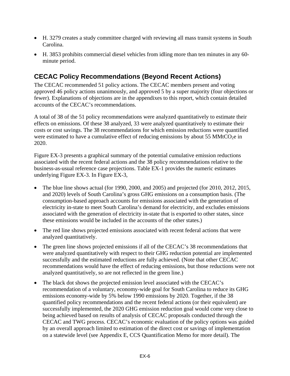- H. 3279 creates a study committee charged with reviewing all mass transit systems in South Carolina.
- H. 3853 prohibits commercial diesel vehicles from idling more than ten minutes in any 60 minute period.

# **CECAC Policy Recommendations (Beyond Recent Actions)**

The CECAC recommended 51 policy actions. The CECAC members present and voting approved 46 policy actions unanimously, and approved 5 by a super majority (four objections or fewer). Explanations of objections are in the appendixes to this report, which contain detailed accounts of the CECAC's recommendations.

A total of 38 of the 51 policy recommendations were analyzed quantitatively to estimate their effects on emissions. Of these 38 analyzed, 33 were analyzed quantitatively to estimate their costs or cost savings. The 38 recommendations for which emission reductions were quantified were estimated to have a cumulative effect of reducing emissions by about 55 MMtCO<sub>2</sub>e in 2020.

Figure EX-3 presents a graphical summary of the potential cumulative emission reductions associated with the recent federal actions and the 38 policy recommendations relative to the business-as-usual reference case projections. Table EX-1 provides the numeric estimates underlying Figure EX-3. In Figure EX-3,

- The blue line shows actual (for 1990, 2000, and 2005) and projected (for 2010, 2012, 2015, and 2020) levels of South Carolina's gross GHG emissions on a consumption basis. (The consumption-based approach accounts for emissions associated with the generation of electricity in-state to meet South Carolina's demand for electricity, and excludes emissions associated with the generation of electricity in-state that is exported to other states, since these emissions would be included in the accounts of the other states.)
- The red line shows projected emissions associated with recent federal actions that were analyzed quantitatively.
- The green line shows projected emissions if all of the CECAC's 38 recommendations that were analyzed quantitatively with respect to their GHG reduction potential are implemented successfully and the estimated reductions are fully achieved. (Note that other CECAC recommendations would have the effect of reducing emissions, but those reductions were not analyzed quantitatively, so are not reflected in the green line.)
- The black dot shows the projected emission level associated with the CECAC's recommendation of a voluntary, economy-wide goal for South Carolina to reduce its GHG emissions economy-wide by 5% below 1990 emissions by 2020. Together, if the 38 quantified policy recommendations and the recent federal actions (or their equivalent) are successfully implemented, the 2020 GHG emission reduction goal would come very close to being achieved based on results of analysis of CECAC proposals conducted through the CECAC and TWG process. CECAC's economic evaluation of the policy options was guided by an overall approach limited to estimation of the direct cost or savings of implementation on a statewide level (see Appendix E, CCS Quantification Memo for more detail). The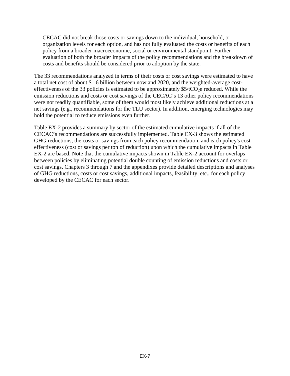CECAC did not break those costs or savings down to the individual, household, or organization levels for each option, and has not fully evaluated the costs or benefits of each policy from a broader macroeconomic, social or environmental standpoint. Further evaluation of both the broader impacts of the policy recommendations and the breakdown of costs and benefits should be considered prior to adoption by the state.

The 33 recommendations analyzed in terms of their costs or cost savings were estimated to have a total net cost of about \$1.6 billion between now and 2020, and the weighted-average costeffectiveness of the 33 policies is estimated to be approximately  $$5/tCO<sub>2</sub>e$  reduced. While the emission reductions and costs or cost savings of the CECAC's 13 other policy recommendations were not readily quantifiable, some of them would most likely achieve additional reductions at a net savings (e.g., recommendations for the TLU sector). In addition, emerging technologies may hold the potential to reduce emissions even further.

Table EX-2 provides a summary by sector of the estimated cumulative impacts if all of the CECAC's recommendations are successfully implemented. Table EX-3 shows the estimated GHG reductions, the costs or savings from each policy recommendation, and each policy's costeffectiveness (cost or savings per ton of reduction) upon which the cumulative impacts in Table EX-2 are based. Note that the cumulative impacts shown in Table EX-2 account for overlaps between policies by eliminating potential double counting of emission reductions and costs or cost savings. Chapters 3 through 7 and the appendixes provide detailed descriptions and analyses of GHG reductions, costs or cost savings, additional impacts, feasibility, etc., for each policy developed by the CECAC for each sector.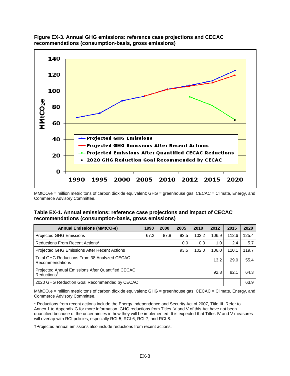



#### **Table EX-1. Annual emissions: reference case projections and impact of CECAC recommendations (consumption-basis, gross emissions)**

| <b>Annual Emissions (MMtCO2e)</b>                                            | 1990 | 2000 | 2005 | 2010  | 2012  | 2015  | 2020  |
|------------------------------------------------------------------------------|------|------|------|-------|-------|-------|-------|
| <b>Projected GHG Emissions</b>                                               | 67.2 | 87.8 | 93.5 | 102.2 | 106.9 | 112.6 | 125.4 |
| Reductions From Recent Actions*                                              |      |      | 0.0  | 0.3   | 1.0   | 2.4   | 5.7   |
| <b>Projected GHG Emissions After Recent Actions</b>                          |      |      | 93.5 | 102.0 | 106.0 | 110.1 | 119.7 |
| Total GHG Reductions From 38 Analyzed CECAC<br><b>Recommendations</b>        |      |      |      |       | 13.2  | 29.0  | 55.4  |
| Projected Annual Emissions After Quantified CECAC<br>Reductions <sup>†</sup> |      |      |      |       | 92.8  | 82.1  | 64.3  |
| 2020 GHG Reduction Goal Recommended by CECAC                                 |      |      |      |       |       |       | 63.9  |

 $MMLCO<sub>2</sub>e$  = million metric tons of carbon dioxide equivalent; GHG = greenhouse gas; CECAC = Climate, Energy, and Commerce Advisory Committee.

\* Reductions from recent actions include the Energy Independence and Security Act of 2007, Title III. Refer to Annex 1 to Appendix G for more information. GHG reductions from Titles IV and V of this Act have not been quantified because of the uncertainties in how they will be implemented. It is expected that Titles IV and V measures will overlap with RCI policies, especially RCI-5, RCI-6, RCI-7, and RCI-8.

†Projected annual emissions also include reductions from recent actions.

MMtCO<sub>2</sub>e = million metric tons of carbon dioxide equivalent; GHG = greenhouse gas; CECAC = Climate, Energy, and Commerce Advisory Committee.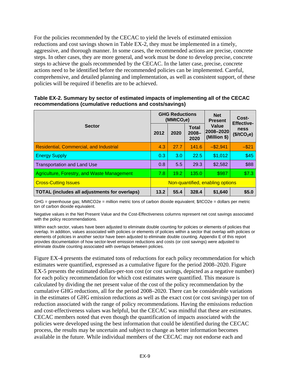For the policies recommended by the CECAC to yield the levels of estimated emission reductions and cost savings shown in Table EX-2, they must be implemented in a timely, aggressive, and thorough manner. In some cases, the recommended actions are precise, concrete steps. In other cases, they are more general, and work must be done to develop precise, concrete steps to achieve the goals recommended by the CECAC. In the latter case, precise, concrete actions need to be identified before the recommended policies can be implemented. Careful, comprehensive, and detailed planning and implementation, as well as consistent support, of these policies will be required if benefits are to be achieved.

| <b>Sector</b>                                        |                                  | <b>GHG Reductions</b><br>(MMtCO <sub>2</sub> e) |                           | <b>Net</b><br><b>Present</b>       | Cost-<br><b>Effective-</b>             |  |
|------------------------------------------------------|----------------------------------|-------------------------------------------------|---------------------------|------------------------------------|----------------------------------------|--|
|                                                      |                                  | 2020                                            | Total<br>$2008 -$<br>2020 | Value<br>2008-2020<br>(Million \$) | <b>ness</b><br>(\$/tCO <sub>2</sub> e) |  |
| <b>Residential, Commercial, and Industrial</b>       | 4.3                              | 27.7                                            | 141.6                     | $-$ \$2,941                        | $-$ \$21                               |  |
| <b>Energy Supply</b>                                 | 0.3                              | 3.0                                             | 22.5                      | \$1,012                            | \$45                                   |  |
| <b>Transportation and Land Use</b>                   | 0.8                              | 5.5                                             | 29.3                      | \$2,582                            | \$88                                   |  |
| Agriculture, Forestry, and Waste Management          | 7.8                              | 19.2                                            | 135.0                     | \$987                              | \$7.3                                  |  |
| <b>Cross-Cutting Issues</b>                          | Non-quantified, enabling options |                                                 |                           |                                    |                                        |  |
| <b>TOTAL (includes all adjustments for overlaps)</b> |                                  | 55.4                                            | 328.4                     | \$1,640                            | \$5.0                                  |  |

**Table EX-2. Summary by sector of estimated impacts of implementing all of the CECAC recommendations (cumulative reductions and costs/savings)** 

GHG = greenhouse gas; MMtCO2e = million metric tons of carbon dioxide equivalent; \$/tCO2e = dollars per metric ton of carbon dioxide equivalent.

Negative values in the Net Present Value and the Cost-Effectiveness columns represent net cost savings associated with the policy recommendations.

Within each sector, values have been adjusted to eliminate double counting for policies or elements of policies that overlap. In addition, values associated with policies or elements of policies within a sector that overlap with policies or elements of policies in another sector have been adjusted to eliminate double counting. Appendix E of this report provides documentation of how sector-level emission reductions and costs (or cost savings) were adjusted to eliminate double counting associated with overlaps between policies.

Figure EX-4 presents the estimated tons of reductions for each policy recommendation for which estimates were quantified, expressed as a cumulative figure for the period 2008–2020. Figure EX-5 presents the estimated dollars-per-ton cost (or cost savings, depicted as a negative number) for each policy recommendation for which cost estimates were quantified. This measure is calculated by dividing the net present value of the cost of the policy recommendation by the cumulative GHG reductions, all for the period 2008–2020. There can be considerable variations in the estimates of GHG emission reductions as well as the exact cost (or cost savings) per ton of reduction associated with the range of policy recommendations. Having the emissions reduction and cost-effectiveness values was helpful, but the CECAC was mindful that these are estimates. CECAC members noted that even though the quantification of impacts associated with the policies were developed using the best information that could be identified during the CECAC process, the results may be uncertain and subject to change as better information becomes available in the future. While individual members of the CECAC may not endorse each and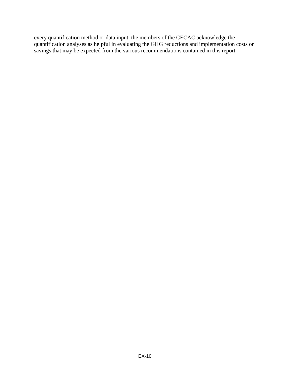every quantification method or data input, the members of the CECAC acknowledge the quantification analyses as helpful in evaluating the GHG reductions and implementation costs or savings that may be expected from the various recommendations contained in this report.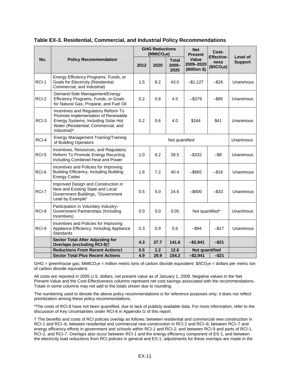|       |                                                                                                                                                                          | <b>GHG Reductions</b><br>(MMtCO <sub>2</sub> e) |                |                                  | <b>Net</b><br><b>Present</b>              | Cost-                                                |                                   |
|-------|--------------------------------------------------------------------------------------------------------------------------------------------------------------------------|-------------------------------------------------|----------------|----------------------------------|-------------------------------------------|------------------------------------------------------|-----------------------------------|
| No.   | <b>Policy Recommendation</b>                                                                                                                                             | 2012                                            | 2020           | <b>Total</b><br>$2009 -$<br>2020 | <b>Value</b><br>2009-2020<br>(Million \$) | <b>Effective-</b><br>ness<br>(\$/tCO <sub>2</sub> e) | <b>Level of</b><br><b>Support</b> |
| RCI-1 | Energy Efficiency Programs, Funds, or<br>Goals for Electricity (Residential,<br>Commercial, and Industrial)                                                              | 1.5                                             | 8.2            | 43.0                             | $-$1,127$                                 | $-$ \$26                                             | Unanimous                         |
| RCI-2 | Demand-Side Management/Energy<br>Efficiency Programs, Funds, or Goals<br>for Natural Gas, Propane, and Fuel Oil                                                          | 0.2                                             | 0.8            | 4.5                              | $-$ \$379                                 | $-$ \$85                                             | Unanimous                         |
| RCI-3 | Incentives and Regulatory Reform To<br>Promote Implementation of Renewable<br>Energy Systems, Including Solar Hot<br>Water (Residential, Commercial, and<br>Industrial)* | 0.2                                             | 0.6            | 4.0                              | \$164                                     | \$41                                                 | Unanimous                         |
| RCI-4 | <b>Energy Management Training/Training</b><br>of Building Operators                                                                                                      |                                                 | Not quantified |                                  |                                           |                                                      |                                   |
| RCI-5 | Incentives, Resources, and Regulatory<br>Reform To Promote Energy Recycling,<br>Including Combined Heat and Power                                                        | 1.0                                             | 8.2            | 39.5                             | $-$ \$332                                 | $-$ \$8                                              | Unanimous                         |
| RCI-6 | Incentives and Policies for Improving<br>Building Efficiency, Including Building<br><b>Energy Codes</b>                                                                  | 1.6                                             | 7.2            | 40.4                             | $-$ \$665                                 | $-$16$                                               | Unanimous                         |
| RCI-7 | Improved Design and Construction in<br>New and Existing State and Local<br>Government Buildings, "Government<br>Lead by Example"                                         | 0.5                                             | 5.0            | 24.6                             | $-$ \$800                                 | $-$ \$33                                             | Unanimous                         |
| RCI-8 | Participation in Voluntary Industry-<br>Government Partnerships (Including<br>Incentives)                                                                                | 0.0                                             | 0.0            | 0.05                             | Not quantified*                           |                                                      | Unanimous                         |
| RCI-9 | Incentives and Policies for Improving<br>Appliance Efficiency, Including Appliance<br>Standards                                                                          | 0.3                                             | 0.9            | 5.6                              | $-$ \$94                                  | $-$ \$17                                             | Unanimous                         |
|       | <b>Sector Total After Adjusting for</b><br><b>Overlaps (excluding RCI-8)t</b>                                                                                            | 4.3                                             | 27.7           | 141.6                            | $-$2,941$                                 | $-$ \$21                                             |                                   |
|       | <b>Reductions From Recent Actions‡</b>                                                                                                                                   | 0.5                                             | 2.2            | 12.6                             | <b>Not quantified</b>                     |                                                      |                                   |
|       | <b>Sector Total Plus Recent Actions</b>                                                                                                                                  | 4.9                                             | 29.9           | 154.2                            | $-$2,941$                                 | $-$ \$21                                             |                                   |

#### **Table EX-3. Residential, Commercial, and Industrial Policy Recommendations**

GHG = greenhouse gas; MMtCO<sub>2</sub>e = million metric tons of carbon dioxide equivalent;  $\frac{6}{2}$ cO<sub>2</sub>e = dollars per metric ton of carbon dioxide equivalent.

All costs are reported in 2005 U.S. dollars, net present value as of January 1, 2009. Negative values in the Net Present Value and the Cost-Effectiveness columns represent net cost savings associated with the recommendations. Totals in some columns may not add to the totals shown due to rounding.

The numbering used to denote the above policy recommendations is for reference purposes only; it does not reflect prioritization among these policy recommendations.

\*The costs of RCI-8 have not been quantified, due to lack of publicly available data. For more information, refer to the discussion of Key Uncertainties under RCI-8 in Appendix G of this report.

† The benefits and costs of RCI policies overlap as follows: between residential and commercial new construction in RCI-1 and RCI–6; between residential and commercial new construction in RCI-2 and RCI–6; between RCI–7 and energy efficiency efforts in government and schools within RCI-1 and RCI-2; and between RCI-9 and parts of RCI-1, RCI-2, and RCI-7. Overlaps also occur between RCI-1 and the energy efficiency component of ES-1, and between the electricity load reductions from RCI policies in general and ES-1; adjustments for these overlaps are made in the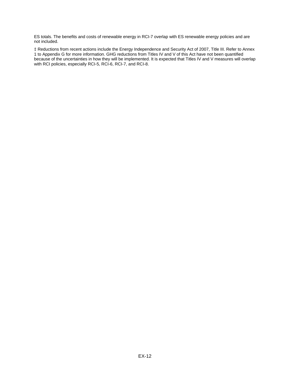ES totals. The benefits and costs of renewable energy in RCI-7 overlap with ES renewable energy policies and are not included.

‡ Reductions from recent actions include the Energy Independence and Security Act of 2007, Title III. Refer to Annex 1 to Appendix G for more information. GHG reductions from Titles IV and V of this Act have not been quantified because of the uncertainties in how they will be implemented. It is expected that Titles IV and V measures will overlap with RCI policies, especially RCI-5, RCI-6, RCI-7, and RCI-8.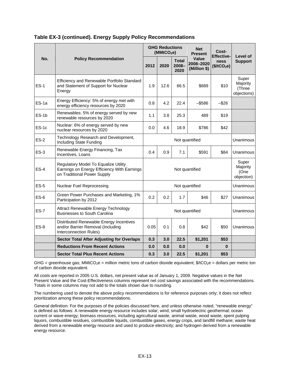|             | <b>Policy Recommendation</b>                                                                                       |                    | <b>GHG Reductions</b><br>(MMtCO <sub>2</sub> e) |                                  | <b>Net</b><br><b>Present</b>       | Cost-<br>Effective-             | Level of<br><b>Support</b>                 |
|-------------|--------------------------------------------------------------------------------------------------------------------|--------------------|-------------------------------------------------|----------------------------------|------------------------------------|---------------------------------|--------------------------------------------|
| No.         |                                                                                                                    | 2012               | 2020                                            | <b>Total</b><br>$2008 -$<br>2020 | Value<br>2008-2020<br>(Million \$) | ness<br>(\$/tCO <sub>2</sub> e) |                                            |
| $ES-1$      | Efficiency and Renewable Portfolio Standard<br>and Statement of Support for Nuclear<br>Energy                      | 1.9                | 12.6                                            | 66.5                             | \$689                              | \$10                            | Super<br>Majority<br>(Three<br>objections) |
| ES-1a       | Energy Efficiency: 5% of energy met with<br>energy efficiency resources by 2020                                    | 4.2<br>0.8<br>22.4 |                                                 |                                  | $-$ \$586                          | $-$ \$26                        |                                            |
| $ES-1b$     | Renewables: 5% of energy served by new<br>renewable resources by 2020                                              | 1.1<br>3.8<br>25.3 |                                                 |                                  | 489                                | \$19                            |                                            |
| $ES-1c$     | Nuclear: 6% of energy served by new<br>nuclear resources by 2020                                                   | 0.0                | 4.6                                             | 18.9                             | \$786                              | \$42                            |                                            |
| $ES-2$      | Technology Research and Development,<br>Including State Funding                                                    |                    | Unanimous                                       |                                  |                                    |                                 |                                            |
| $ES-3$      | Renewable Energy Financing, Tax<br>Incentives, Loans                                                               | 0.4                | 0.9                                             | 7.1                              | \$591                              | \$84                            | Unanimous                                  |
| $ES-4$      | Regulatory Model To Equalize Utility<br>Earnings on Energy Efficiency With Earnings<br>on Traditional Power Supply |                    | Super<br>Majority<br>(One<br>objection)         |                                  |                                    |                                 |                                            |
| $ES-5$      | <b>Nuclear Fuel Reprocessing</b>                                                                                   |                    | Unanimous                                       |                                  |                                    |                                 |                                            |
| $ES-6$      | Green Power Purchases and Marketing, 1%<br>Participation by 2012                                                   | 0.2                | 0.2                                             | 1.7                              | \$46                               | \$27                            | Unanimous                                  |
| <b>ES-7</b> | Attract Renewable Energy Technology<br><b>Businesses to South Carolina</b>                                         |                    | Unanimous                                       |                                  |                                    |                                 |                                            |
| $ES-8$      | Distributed Renewable Energy Incentives<br>and/or Barrier Removal (Including<br>Interconnection Rules)             | 0.05               | 0.1                                             | 0.8                              | \$42                               | \$50                            | Unanimous                                  |
|             | <b>Sector Total After Adjusting for Overlaps</b>                                                                   | 0.3                | 3.0                                             | 22.5                             | \$1,201                            | \$53                            |                                            |
|             | <b>Reductions From Recent Actions</b>                                                                              | 0.0                | 0.0                                             | 0.0                              | $\bf{0}$                           | $\bf{0}$                        |                                            |
|             | <b>Sector Total Plus Recent Actions</b>                                                                            | 0.3                | 3.0                                             | 22.5                             | \$1,201                            | \$53                            |                                            |

#### **Table EX-3 (continued). Energy Supply Policy Recommendations**

GHG = greenhouse gas; MMtCO<sub>2</sub>e = million metric tons of carbon dioxide equivalent;  $\frac{6}{2}$ e = dollars per metric ton of carbon dioxide equivalent.

All costs are reported in 2005 U.S. dollars, net present value as of January 1, 2009. Negative values in the Net Present Value and the Cost-Effectiveness columns represent net cost savings associated with the recommendations. Totals in some columns may not add to the totals shown due to rounding.

The numbering used to denote the above policy recommendations is for reference purposes only; it does not reflect prioritization among these policy recommendations.

General definition: For the purposes of the policies discussed here, and unless otherwise noted, "renewable energy" is defined as follows: A renewable energy resource includes solar; wind; small hydroelectric geothermal; ocean current or wave energy; biomass resources, including agricultural waste, animal waste, wood waste, spent pulping liquors, combustible residues, combustible liquids, combustible gases, energy crops, and landfill methane; waste heat derived from a renewable energy resource and used to produce electricity; and hydrogen derived from a renewable energy resource.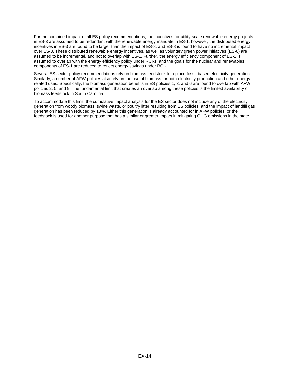For the combined impact of all ES policy recommendations, the incentives for utility-scale renewable energy projects in ES-3 are assumed to be redundant with the renewable energy mandate in ES-1; however, the distributed energy incentives in ES-3 are found to be larger than the impact of ES-8, and ES-8 is found to have no incremental impact over ES-3. These distributed renewable energy incentives, as well as voluntary green power initiatives (ES-6) are assumed to be incremental, and not to overlap with ES-1. Further, the energy efficiency component of ES-1 is assumed to overlap with the energy efficiency policy under RCI-1, and the goals for the nuclear and renewables components of ES-1 are reduced to reflect energy savings under RCI-1.

Several ES sector policy recommendations rely on biomass feedstock to replace fossil-based electricity generation. Similarly, a number of AFW policies also rely on the use of biomass for both electricity production and other energyrelated uses. Specifically, the biomass generation benefits in ES policies 1, 3, and 6 are found to overlap with AFW policies 2, 5, and 9. The fundamental limit that creates an overlap among these policies is the limited availability of biomass feedstock in South Carolina.

To accommodate this limit, the cumulative impact analysis for the ES sector does not include any of the electricity generation from woody biomass, swine waste, or poultry litter resulting from ES policies, and the impact of landfill gas generation has been reduced by 18%. Either this generation is already accounted for in AFW policies, or the feedstock is used for another purpose that has a similar or greater impact in mitigating GHG emissions in the state.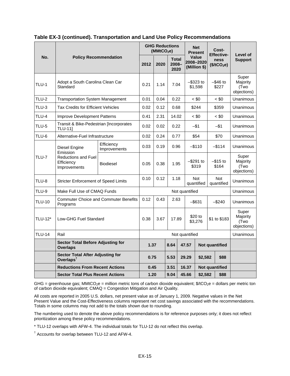|                | <b>Policy Recommendation</b>                                                          |                                              | <b>GHG Reductions</b><br>(MMtCO <sub>2</sub> e) |      |                                  |  | <b>Net</b><br><b>Present</b>                  |                    | Cost-<br><b>Effective-</b>               | Level of             |                                          |
|----------------|---------------------------------------------------------------------------------------|----------------------------------------------|-------------------------------------------------|------|----------------------------------|--|-----------------------------------------------|--------------------|------------------------------------------|----------------------|------------------------------------------|
| No.            |                                                                                       |                                              | 2012                                            | 2020 | <b>Total</b><br>$2008 -$<br>2020 |  | Value<br>2008-2020<br>(Million \$)            |                    | ness<br>(\$/tCO <sub>2</sub> e)          |                      | <b>Support</b>                           |
| TLU-1          | Adopt a South Carolina Clean Car<br>Standard                                          |                                              | 0.21                                            | 1.14 | 7.04                             |  | $-$ \$323 to<br>\$1,598                       |                    |                                          | –\$46 to<br>\$227    | Super<br>Majority<br>(Two<br>objections) |
| TLU-2          | <b>Transportation System Management</b>                                               |                                              | 0.01                                            | 0.04 | 0.22                             |  |                                               | $~<$ \$0           |                                          | $~<$ \$0             | Unanimous                                |
| <b>TLU-3</b>   | <b>Tax Credits for Efficient Vehicles</b>                                             |                                              | 0.02                                            | 0.12 | 0.68                             |  |                                               | \$244              |                                          | \$359                | Unanimous                                |
| <b>TLU-4</b>   | Improve Development Patterns                                                          |                                              | 0.41                                            | 2.31 | 14.02                            |  |                                               | $~<$ \$0           |                                          | $~<$ \$0             | Unanimous                                |
| TLU-5          | Transit & Bike-Pedestrian [Incorporates<br><b>TLU-11]</b>                             |                                              | 0.02                                            | 0.02 | 0.22                             |  |                                               | $-$ \$1            |                                          | $-$1$                | Unanimous                                |
| TLU-6          | Alternative-Fuel Infrastructure                                                       |                                              | 0.02                                            | 0.24 | 0.77                             |  | \$54                                          |                    |                                          | \$70                 | Unanimous                                |
| <b>TLU-7</b>   | Diesel Engine<br>Emission<br><b>Reductions and Fuel</b><br>Efficiency<br>Improvements | Efficiency<br>Improvements                   | 0.03                                            | 0.19 | 0.96                             |  |                                               | $-$ \$110          |                                          | $-$ \$114            | Unanimous                                |
|                |                                                                                       | <b>Biodiesel</b>                             | 0.05                                            | 0.38 | 1.95                             |  |                                               | –\$291 to<br>\$319 |                                          | $-$ \$15 to<br>\$164 | Super<br>Majority<br>(Two<br>objections) |
| TLU-8          | <b>Stricter Enforcement of Speed Limits</b>                                           |                                              | 0.10                                            | 0.12 | 1.18                             |  | <b>Not</b><br>Not<br>quantified<br>quantified |                    |                                          | Unanimous            |                                          |
| TLU-9          | Make Full Use of CMAQ Funds                                                           |                                              | Not quantified                                  |      |                                  |  |                                               | Unanimous          |                                          |                      |                                          |
| <b>TLU-10</b>  | Programs                                                                              | <b>Commuter Choice and Commuter Benefits</b> | 0.12                                            | 0.43 | 2.63                             |  | $-$ \$631<br>$-$ \$240                        |                    |                                          |                      | Unanimous                                |
| <b>TLU-12*</b> | Low-GHG Fuel Standard                                                                 |                                              | 0.38                                            | 3.67 | 17.89                            |  | \$20 to<br>\$1 to \$183<br>\$3,276            |                    | Super<br>Majority<br>(Two<br>objections) |                      |                                          |
| <b>TLU-14</b>  | Rail                                                                                  |                                              | Not quantified                                  |      |                                  |  |                                               | Unanimous          |                                          |                      |                                          |
|                | <b>Sector Total Before Adjusting for</b><br><b>Overlaps</b>                           |                                              | 1.37                                            |      | 8.64<br>47.57                    |  |                                               | Not quantified     |                                          |                      |                                          |
|                | <b>Sector Total After Adjusting for</b><br>Overlaps <sup>t</sup>                      |                                              | 0.75                                            |      | 5.53                             |  | 29.29                                         | \$2,582            |                                          | \$88                 |                                          |
|                | <b>Reductions From Recent Actions</b>                                                 |                                              | 0.45                                            |      | 3.51<br>16.37                    |  | Not quantified                                |                    |                                          |                      |                                          |
|                | <b>Sector Total Plus Recent Actions</b>                                               |                                              | 1.20                                            |      | 9.04                             |  | 45.66                                         | \$2,582            |                                          | \$88                 |                                          |

#### **Table EX-3 (continued). Transportation and Land Use Policy Recommendations**

GHG = greenhouse gas; MMtCO<sub>2</sub>e = million metric tons of carbon dioxide equivalent; \$/tCO<sub>2</sub>e = dollars per metric ton of carbon dioxide equivalent; CMAQ = Congestion Mitigation and Air Quality.

All costs are reported in 2005 U.S. dollars, net present value as of January 1, 2009. Negative values in the Net Present Value and the Cost-Effectiveness columns represent net cost savings associated with the recommendations. Totals in some columns may not add to the totals shown due to rounding.

The numbering used to denote the above policy recommendations is for reference purposes only; it does not reflect prioritization among these policy recommendations.

\* TLU-12 overlaps with AFW-4. The individual totals for TLU-12 do not reflect this overlap.

<sup>†</sup> Accounts for overlap between TLU-12 and AFW-4.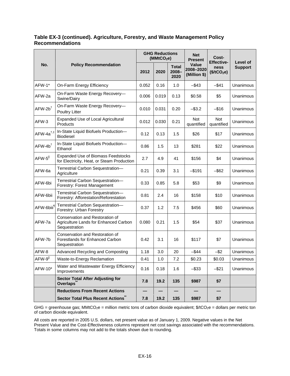#### **Table EX-3 (continued). Agriculture, Forestry, and Waste Management Policy Recommendations**

|                             | <b>Policy Recommendation</b>                                                              |       | <b>GHG Reductions</b><br>(MMtCO <sub>2</sub> e) |                               | <b>Net</b><br><b>Present</b>              | Cost-<br><b>Effective-</b>      | Level of<br><b>Support</b> |
|-----------------------------|-------------------------------------------------------------------------------------------|-------|-------------------------------------------------|-------------------------------|-------------------------------------------|---------------------------------|----------------------------|
| No.                         |                                                                                           | 2012  | 2020                                            | <b>Total</b><br>2008-<br>2020 | <b>Value</b><br>2008-2020<br>(Million \$) | ness<br>(\$/tCO <sub>2</sub> e) |                            |
| AFW-1*                      | On-Farm Energy Efficiency                                                                 | 0.052 | 0.16                                            | 1.0                           | $-$ \$43                                  | $-$ \$41                        | Unanimous                  |
| AFW-2a                      | On-Farm Waste Energy Recovery-<br>Swine/Dairy                                             | 0.006 | 0.019                                           | 0.13                          | \$0.58                                    | \$5                             | Unanimous                  |
| $AFW-2b^{\dagger}$          | On-Farm Waste Energy Recovery-<br>Poultry Litter                                          | 0.010 | 0.031                                           | 0.20                          | $-$ \$3.2                                 | $-$ \$16                        | Unanimous                  |
| AFW-3                       | Expanded Use of Local Agricultural<br>Products                                            | 0.012 | 0.030                                           | 0.21                          | <b>Not</b><br>quantified                  | <b>Not</b><br>quantified        | Unanimous                  |
| $AFW-4a^{\dagger,\ddagger}$ | In-State Liquid Biofuels Production-<br><b>Biodiesel</b>                                  | 0.12  | 0.13                                            | 1.5                           | \$26                                      | \$17                            | Unanimous                  |
| $AFW-4b^{\dagger}$          | In-State Liquid Biofuels Production-<br>Ethanol                                           | 0.86  | 1.5                                             | 13                            | \$281                                     | \$22                            | Unanimous                  |
| AFW-5 <sup>  </sup>         | <b>Expanded Use of Biomass Feedstocks</b><br>for Electricity, Heat, or Steam Production   | 2.7   | 4.9                                             | 41                            | \$156                                     | \$4                             | Unanimous                  |
| AFW-6a                      | Terrestrial Carbon Sequestration-<br>Agriculture                                          | 0.21  | 0.39                                            | 3.1                           | $-$ \$191                                 | $-$ \$62                        | Unanimous                  |
| AFW-6bi                     | Terrestrial Carbon Sequestration-<br>Forestry: Forest Management                          | 0.33  | 0.85                                            | 5.8                           | \$53                                      | \$9                             | Unanimous                  |
| AFW-6bii                    | Terrestrial Carbon Sequestration-<br>Forestry: Afforestation/Reforestation                | 0.81  | 2.4                                             | 16                            | \$158                                     | \$10                            | Unanimous                  |
| AFW-6biii <sup>1</sup>      | Terrestrial Carbon Sequestration-<br>Forestry: Urban Forestry                             | 0.37  | 1.2                                             | 7.5                           | \$456                                     | \$60                            | Unanimous                  |
| AFW-7a                      | Conservation and Restoration of<br>Agriculture Lands for Enhanced Carbon<br>Sequestration | 0.080 | 0.21                                            | 1.5                           | \$54                                      | \$37                            | Unanimous                  |
| AFW-7b                      | Conservation and Restoration of<br>Forestlands for Enhanced Carbon<br>Sequestration       | 0.42  | 3.1                                             | 16                            | \$117                                     | \$7                             | Unanimous                  |
| AFW-8                       | Advanced Recycling and Composting                                                         | 1.18  | 3.0                                             | 20                            | $-$ \$44                                  | $-$ \$2                         | Unanimous                  |
| AFW-9 <sup>  </sup>         | Waste-to-Energy Reclamation                                                               | 0.41  | 1.0                                             | 7.2                           | \$0.23                                    | \$0.03                          | Unanimous                  |
| AFW-10*                     | Water and Wastewater Energy Efficiency<br>Improvements                                    | 0.16  | 0.18                                            | 1.6                           | $-$ \$33                                  | $-$ \$21                        | Unanimous                  |
|                             | <b>Sector Total After Adjusting for</b><br>Overlaps <sup>*</sup>                          | 7.8   | 19.2                                            | 135                           | \$987                                     | \$7                             |                            |
|                             | <b>Reductions From Recent Actions</b>                                                     |       |                                                 |                               |                                           |                                 |                            |
|                             | <b>Sector Total Plus Recent Actions"</b>                                                  | 7.8   | 19.2                                            | 135                           | \$987                                     | \$7                             |                            |

GHG = greenhouse gas; MMtCO<sub>2</sub>e = million metric tons of carbon dioxide equivalent; \$/tCO<sub>2</sub>e = dollars per metric ton of carbon dioxide equivalent.

All costs are reported in 2005 U.S. dollars, net present value as of January 1, 2009. Negative values in the Net Present Value and the Cost-Effectiveness columns represent net cost savings associated with the recommendations. Totals in some columns may not add to the totals shown due to rounding.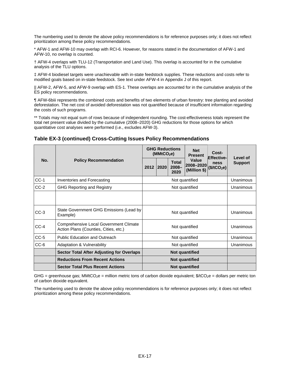The numbering used to denote the above policy recommendations is for reference purposes only; it does not reflect prioritization among these policy recommendations.

\* AFW-1 and AFW-10 may overlap with RCI-6. However, for reasons stated in the documentation of AFW-1 and AFW-10, no overlap is counted.

† AFW-4 overlaps with TLU-12 (Transportation and Land Use). This overlap is accounted for in the cumulative analysis of the TLU options.

‡ AFW-4 biodiesel targets were unachievable with in-state feedstock supplies. These reductions and costs refer to modified goals based on in-state feedstock. See text under AFW-4 in Appendix J of this report.

|| AFW-2, AFW-5, and AFW-9 overlap with ES-1. These overlaps are accounted for in the cumulative analysis of the ES policy recommendations.

¶ AFW-6biii represents the combined costs and benefits of two elements of urban forestry: tree planting and avoided deforestation. The net cost of avoided deforestation was not quantified because of insufficient information regarding the costs of such programs.

\*\* Totals may not equal sum of rows because of independent rounding. The cost-effectiveness totals represent the total net present value divided by the cumulative (2008–2020) GHG reductions for those options for which quantitative cost analyses were performed (i.e., excludes AFW-3).

| No.    | <b>Policy Recommendation</b>                                                    |                       | (MMtCO <sub>2</sub> e) | <b>GHG Reductions</b>     | <b>Net</b><br><b>Present</b>       | Cost-<br><b>Effective-</b><br>ness<br>(\$/tCO <sub>2</sub> e) | Level of       |  |
|--------|---------------------------------------------------------------------------------|-----------------------|------------------------|---------------------------|------------------------------------|---------------------------------------------------------------|----------------|--|
|        |                                                                                 | 2012                  | 2020                   | Total<br>$2008 -$<br>2020 | Value<br>2008-2020<br>(Million \$) |                                                               | <b>Support</b> |  |
| $CC-1$ | Inventories and Forecasting                                                     |                       | Not quantified         |                           |                                    |                                                               |                |  |
| $CC-2$ | <b>GHG Reporting and Registry</b>                                               |                       |                        | Unanimous                 |                                    |                                                               |                |  |
|        |                                                                                 |                       |                        |                           |                                    |                                                               |                |  |
| $CC-3$ | State Government GHG Emissions (Lead by<br>Example)                             |                       |                        | Unanimous                 |                                    |                                                               |                |  |
| $CC-4$ | Comprehensive Local Government Climate<br>Action Plans (Counties, Cities, etc.) |                       |                        | Unanimous                 |                                    |                                                               |                |  |
| $CC-5$ | <b>Public Education and Outreach</b>                                            |                       |                        | Unanimous                 |                                    |                                                               |                |  |
| $CC-6$ | <b>Adaptation &amp; Vulnerability</b>                                           |                       |                        | Unanimous                 |                                    |                                                               |                |  |
|        | <b>Sector Total After Adjusting for Overlaps</b>                                | Not quantified        |                        |                           |                                    |                                                               |                |  |
|        | <b>Reductions From Recent Actions</b>                                           | Not quantified        |                        |                           |                                    |                                                               |                |  |
|        | <b>Sector Total Plus Recent Actions</b>                                         | <b>Not quantified</b> |                        |                           |                                    |                                                               |                |  |

#### **Table EX-3 (continued) Cross-Cutting Issues Policy Recommendations**

GHG = greenhouse gas; MMtCO<sub>2</sub>e = million metric tons of carbon dioxide equivalent;  $\frac{6}{1002}$ e = dollars per metric ton of carbon dioxide equivalent.

The numbering used to denote the above policy recommendations is for reference purposes only; it does not reflect prioritization among these policy recommendations.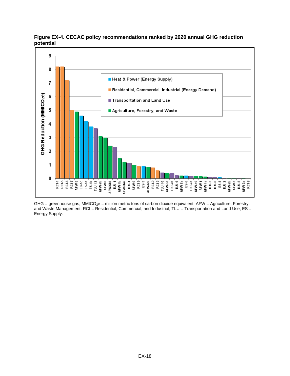

**Figure EX-4. CECAC policy recommendations ranked by 2020 annual GHG reduction potential** 

 $GHG =$  greenhouse gas; MMtCO<sub>2</sub>e = million metric tons of carbon dioxide equivalent; AFW = Agriculture, Forestry, and Waste Management; RCI = Residential, Commercial, and Industrial; TLU = Transportation and Land Use; ES = Energy Supply.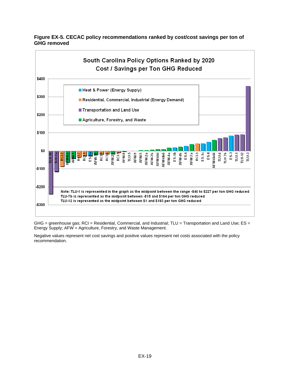



GHG = greenhouse gas; RCI = Residential, Commercial, and Industrial; TLU = Transportation and Land Use; ES = Energy Supply; AFW = Agriculture, Forestry, and Waste Management.

Negative values represent net cost savings and positive values represent net costs associated with the policy recommendation.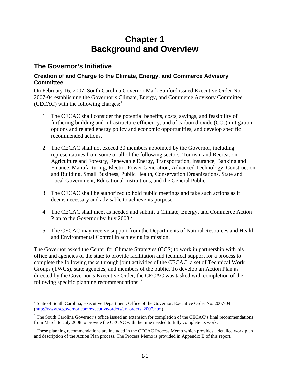# **Chapter 1 Background and Overview**

### **The Governor's Initiative**

#### **Creation of and Charge to the Climate, Energy, and Commerce Advisory Committee**

On February 16, 2007, South Carolina Governor Mark Sanford issued Executive Order No. 2007-04 establishing the Governor's Climate, Energy, and Commerce Advisory Committee (CECAC) with the following charges: $<sup>1</sup>$ </sup>

- 1. The CECAC shall consider the potential benefits, costs, savings, and feasibility of furthering building and infrastructure efficiency, and of carbon dioxide  $(CO<sub>2</sub>)$  mitigation options and related energy policy and economic opportunities, and develop specific recommended actions.
- 2. The CECAC shall not exceed 30 members appointed by the Governor, including representatives from some or all of the following sectors: Tourism and Recreation, Agriculture and Forestry, Renewable Energy, Transportation, Insurance, Banking and Finance, Manufacturing, Electric Power Generation, Advanced Technology, Construction and Building, Small Business, Public Health, Conservation Organizations, State and Local Government, Educational Institutions, and the General Public.
- 3. The CECAC shall be authorized to hold public meetings and take such actions as it deems necessary and advisable to achieve its purpose.
- 4. The CECAC shall meet as needed and submit a Climate, Energy, and Commerce Action Plan to the Governor by July 2008.<sup>2</sup>
- 5. The CECAC may receive support from the Departments of Natural Resources and Health and Environmental Control in achieving its mission.

The Governor asked the Center for Climate Strategies (CCS) to work in partnership with his office and agencies of the state to provide facilitation and technical support for a process to complete the following tasks through joint activities of the CECAC, a set of Technical Work Groups (TWGs), state agencies, and members of the public. To develop an Action Plan as directed by the Governor's Executive Order, the CECAC was tasked with completion of the following specific planning recommendations:<sup>3</sup>

 $\overline{a}$ <sup>1</sup> State of South Carolina, Executive Department, Office of the Governor, Executive Order No. 2007-04 (http://www.scgovernor.com/executive/orders/ex\_orders\_2007.htm).

 $2^2$  The South Carolina Governor's office issued an extension for completion of the CECAC's final recommendations from March to July 2008 to provide the CECAC with the time needed to fully complete its work.

<sup>&</sup>lt;sup>3</sup> These planning recommendations are included in the CECAC Process Memo which provides a detailed work plan and description of the Action Plan process. The Process Memo is provided in Appendix B of this report.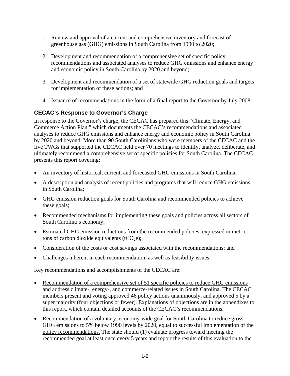- 1. Review and approval of a current and comprehensive inventory and forecast of greenhouse gas (GHG) emissions in South Carolina from 1990 to 2020;
- 2. Development and recommendation of a comprehensive set of specific policy recommendations and associated analyses to reduce GHG emissions and enhance energy and economic policy in South Carolina by 2020 and beyond;
- 3. Development and recommendation of a set of statewide GHG reduction goals and targets for implementation of these actions; and
- 4. Issuance of recommendations in the form of a final report to the Governor by July 2008.

#### **CECAC's Response to Governor's Charge**

In response to the Governor's charge, the CECAC has prepared this "Climate, Energy, and Commerce Action Plan," which documents the CECAC's recommendations and associated analyses to reduce GHG emissions and enhance energy and economic policy in South Carolina by 2020 and beyond. More than 90 South Carolinians who were members of the CECAC and the five TWGs that supported the CECAC held over 70 meetings to identify, analyze, deliberate, and ultimately recommend a comprehensive set of specific policies for South Carolina. The CECAC presents this report covering:

- An inventory of historical, current, and forecasted GHG emissions in South Carolina;
- A description and analysis of recent policies and programs that will reduce GHG emissions in South Carolina;
- GHG emission reduction goals for South Carolina and recommended policies to achieve these goals;
- Recommended mechanisms for implementing these goals and policies across all sectors of South Carolina's economy;
- Estimated GHG emission reductions from the recommended policies, expressed in metric tons of carbon dioxide equivalents (tCO<sub>2</sub>e);
- Consideration of the costs or cost savings associated with the recommendations; and
- Challenges inherent in each recommendation, as well as feasibility issues.

Key recommendations and accomplishments of the CECAC are:

- Recommendation of a comprehensive set of 51 specific policies to reduce GHG emissions and address climate-, energy-, and commerce-related issues in South Carolina. The CECAC members present and voting approved 46 policy actions unanimously, and approved 5 by a super majority (four objections or fewer). Explanations of objections are in the appendixes to this report, which contain detailed accounts of the CECAC's recommendations.
- Recommendation of a voluntary, economy-wide goal for South Carolina to reduce gross GHG emissions to 5% below 1990 levels by 2020, equal to successful implementation of the policy recommendations. The state should (1) evaluate progress toward meeting the recommended goal at least once every 5 years and report the results of this evaluation to the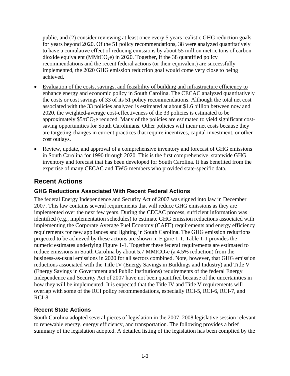public, and (2) consider reviewing at least once every 5 years realistic GHG reduction goals for years beyond 2020. Of the 51 policy recommendations, 38 were analyzed quantitatively to have a cumulative effect of reducing emissions by about 55 million metric tons of carbon dioxide equivalent ( $MMtCO<sub>2</sub>e$ ) in 2020. Together, if the 38 quantified policy recommendations and the recent federal actions (or their equivalent) are successfully implemented, the 2020 GHG emission reduction goal would come very close to being achieved.

- Evaluation of the costs, savings, and feasibility of building and infrastructure efficiency to enhance energy and economic policy in South Carolina. The CECAC analyzed quantitatively the costs or cost savings of 33 of its 51 policy recommendations. Although the total net cost associated with the 33 policies analyzed is estimated at about \$1.6 billion between now and 2020, the weighted-average cost-effectiveness of the 33 policies is estimated to be approximately  $$5/tCO<sub>2</sub>e$  reduced. Many of the policies are estimated to yield significant costsaving opportunities for South Carolinians. Other policies will incur net costs because they are targeting changes in current practices that require incentives, capital investment, or other cost outlays.
- Review, update, and approval of a comprehensive inventory and forecast of GHG emissions in South Carolina for 1990 through 2020. This is the first comprehensive, statewide GHG inventory and forecast that has been developed for South Carolina. It has benefited from the expertise of many CECAC and TWG members who provided state-specific data.

## **Recent Actions**

#### **GHG Reductions Associated With Recent Federal Actions**

The federal Energy Independence and Security Act of 2007 was signed into law in December 2007. This law contains several requirements that will reduce GHG emissions as they are implemented over the next few years. During the CECAC process, sufficient information was identified (e.g., implementation schedules) to estimate GHG emission reductions associated with implementing the Corporate Average Fuel Economy (CAFE) requirements and energy efficiency requirements for new appliances and lighting in South Carolina. The GHG emission reductions projected to be achieved by these actions are shown in Figure 1-1. Table 1-1 provides the numeric estimates underlying Figure 1-1. Together these federal requirements are estimated to reduce emissions in South Carolina by about  $5.7 \text{ MMtCO}_2$ e (a  $4.5\%$  reduction) from the business-as-usual emissions in 2020 for all sectors combined. Note, however, that GHG emission reductions associated with the Title IV (Energy Savings in Buildings and Industry) and Title V (Energy Savings in Government and Public Institutions) requirements of the federal Energy Independence and Security Act of 2007 have not been quantified because of the uncertainties in how they will be implemented. It is expected that the Title IV and Title V requirements will overlap with some of the RCI policy recommendations, especially RCI-5, RCI-6, RCI-7, and RCI-8.

### **Recent State Actions**

South Carolina adopted several pieces of legislation in the 2007–2008 legislative session relevant to renewable energy, energy efficiency, and transportation. The following provides a brief summary of the legislation adopted. A detailed listing of the legislation has been complied by the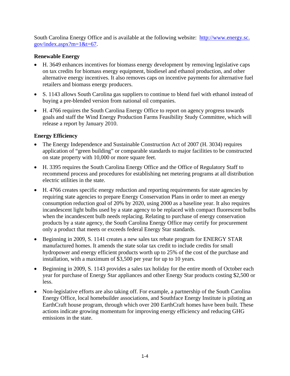South Carolina Energy Office and is available at the following website: http://www.energy.sc.  $gov/index.aspx?m=1&t=67.$ 

#### **Renewable Energy**

- H. 3649 enhances incentives for biomass energy development by removing legislative caps on tax credits for biomass energy equipment, biodiesel and ethanol production, and other alternative energy incentives. It also removes caps on incentive payments for alternative fuel retailers and biomass energy producers.
- S. 1143 allows South Carolina gas suppliers to continue to blend fuel with ethanol instead of buying a pre-blended version from national oil companies.
- H. 4766 requires the South Carolina Energy Office to report on agency progress towards goals and staff the Wind Energy Production Farms Feasibility Study Committee, which will release a report by January 2010.

#### **Energy Efficiency**

- The Energy Independence and Sustainable Construction Act of 2007 (H. 3034) requires application of "green building" or comparable standards to major facilities to be constructed on state property with 10,000 or more square feet.
- H. 3395 requires the South Carolina Energy Office and the Office of Regulatory Staff to recommend process and procedures for establishing net metering programs at all distribution electric utilities in the state.
- H. 4766 creates specific energy reduction and reporting requirements for state agencies by requiring state agencies to prepare Energy Conservation Plans in order to meet an energy consumption reduction goal of 20% by 2020, using 2000 as a baseline year. It also requires incandescent light bulbs used by a state agency to be replaced with compact fluorescent bulbs when the incandescent bulb needs replacing. Relating to purchase of energy conservation products by a state agency, the South Carolina Energy Office may certify for procurement only a product that meets or exceeds federal Energy Star standards.
- Beginning in 2009, S. 1141 creates a new sales tax rebate program for ENERGY STAR manufactured homes. It amends the state solar tax credit to include credits for small hydropower and energy efficient products worth up to 25% of the cost of the purchase and installation, with a maximum of \$3,500 per year for up to 10 years.
- Beginning in 2009, S. 1143 provides a sales tax holiday for the entire month of October each year for purchase of Energy Star appliances and other Energy Star products costing \$2,500 or less.
- Non-legislative efforts are also taking off. For example, a partnership of the South Carolina Energy Office, local homebuilder associations, and Southface Energy Institute is piloting an EarthCraft house program, through which over 200 EarthCraft homes have been built. These actions indicate growing momentum for improving energy efficiency and reducing GHG emissions in the state.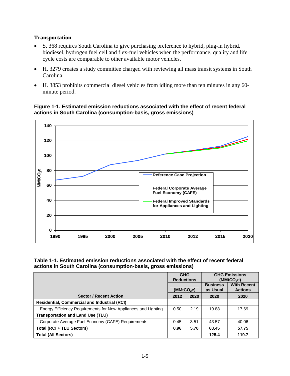#### **Transportation**

- S. 368 requires South Carolina to give purchasing preference to hybrid, plug-in hybrid, biodiesel, hydrogen fuel cell and flex-fuel vehicles when the performance, quality and life cycle costs are comparable to other available motor vehicles.
- H. 3279 creates a study committee charged with reviewing all mass transit systems in South Carolina.
- H. 3853 prohibits commercial diesel vehicles from idling more than ten minutes in any 60 minute period.

**Figure 1-1. Estimated emission reductions associated with the effect of recent federal actions in South Carolina (consumption-basis, gross emissions)** 



| Table 1-1. Estimated emission reductions associated with the effect of recent federal |
|---------------------------------------------------------------------------------------|
| actions in South Carolina (consumption-basis, gross emissions)                        |

|                                                                | <b>GHG</b><br><b>Reductions</b> |      | <b>GHG Emissions</b><br>(MMtCO <sub>2</sub> e) |                                      |
|----------------------------------------------------------------|---------------------------------|------|------------------------------------------------|--------------------------------------|
|                                                                | (MMtCO <sub>2</sub> e)          |      | <b>Business</b><br>as Usual                    | <b>With Recent</b><br><b>Actions</b> |
| <b>Sector / Recent Action</b>                                  | 2012                            | 2020 | 2020                                           | 2020                                 |
| <b>Residential, Commercial and Industrial (RCI)</b>            |                                 |      |                                                |                                      |
| Energy Efficiency Requirements for New Appliances and Lighting | 0.50                            | 2.19 | 19.88                                          | 17.69                                |
| <b>Transportation and Land Use (TLU)</b>                       |                                 |      |                                                |                                      |
| Corporate Average Fuel Economy (CAFE) Requirements             | 0.45                            | 3.51 | 43.57                                          | 40.06                                |
| Total (RCI + TLU Sectors)                                      | 0.96                            | 5.70 | 63.45                                          | 57.75                                |
| <b>Total (All Sectors)</b>                                     |                                 |      | 125.4                                          | 119.7                                |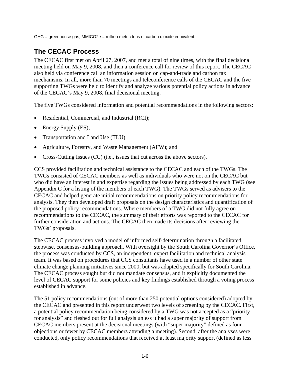GHG = greenhouse gas; MMtCO2e = million metric tons of carbon dioxide equivalent.

# **The CECAC Process**

The CECAC first met on April 27, 2007, and met a total of nine times, with the final decisional meeting held on May 9, 2008, and then a conference call for review of this report. The CECAC also held via conference call an information session on cap-and-trade and carbon tax mechanisms. In all, more than 70 meetings and teleconference calls of the CECAC and the five supporting TWGs were held to identify and analyze various potential policy actions in advance of the CECAC's May 9, 2008, final decisional meeting.

The five TWGs considered information and potential recommendations in the following sectors:

- Residential, Commercial, and Industrial (RCI);
- Energy Supply (ES);
- Transportation and Land Use (TLU);
- Agriculture, Forestry, and Waste Management (AFW); and
- Cross-Cutting Issues (CC) (i.e., issues that cut across the above sectors).

CCS provided facilitation and technical assistance to the CECAC and each of the TWGs. The TWGs consisted of CECAC members as well as individuals who were not on the CECAC but who did have an interest in and expertise regarding the issues being addressed by each TWG (see Appendix C for a listing of the members of each TWG). The TWGs served as advisers to the CECAC and helped generate initial recommendations on priority policy recommendations for analysis. They then developed draft proposals on the design characteristics and quantification of the proposed policy recommendations. Where members of a TWG did not fully agree on recommendations to the CECAC, the summary of their efforts was reported to the CECAC for further consideration and actions. The CECAC then made its decisions after reviewing the TWGs' proposals.

The CECAC process involved a model of informed self-determination through a facilitated, stepwise, consensus-building approach. With oversight by the South Carolina Governor's Office, the process was conducted by CCS, an independent, expert facilitation and technical analysis team. It was based on procedures that CCS consultants have used in a number of other state climate change planning initiatives since 2000, but was adapted specifically for South Carolina. The CECAC process sought but did not mandate consensus, and it explicitly documented the level of CECAC support for some policies and key findings established through a voting process established in advance.

The 51 policy recommendations (out of more than 250 potential options considered) adopted by the CECAC and presented in this report underwent two levels of screening by the CECAC. First, a potential policy recommendation being considered by a TWG was not accepted as a "priority for analysis" and fleshed out for full analysis unless it had a super majority of support from CECAC members present at the decisional meetings (with "super majority" defined as four objections or fewer by CECAC members attending a meeting). Second, after the analyses were conducted, only policy recommendations that received at least majority support (defined as less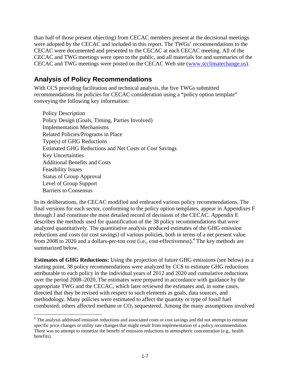than half of those present objecting) from CECAC members present at the decisional meetings were adopted by the CECAC and included in this report. The TWGs' recommendations to the CECAC were documented and presented to the CECAC at each CECAC meeting. All of the CECAC and TWG meetings were open to the public, and all materials for and summaries of the CECAC and TWG meetings were posted on the CECAC Web site (www.scclimatechange.us).

### **Analysis of Policy Recommendations**

With CCS providing facilitation and technical analysis, the five TWGs submitted recommendations for policies for CECAC consideration using a "policy option template" conveying the following key information:

Policy Description Policy Design (Goals, Timing, Parties Involved) Implementation Mechanisms Related Policies/Programs in Place Type(s) of GHG Reductions Estimated GHG Reductions and Net Costs or Cost Savings Key Uncertainties Additional Benefits and Costs Feasibility Issues Status of Group Approval Level of Group Support Barriers to Consensus

In its deliberations, the CECAC modified and embraced various policy recommendations. The final versions for each sector, conforming to the policy option templates, appear in Appendixes F through J and constitute the most detailed record of decisions of the CECAC. Appendix E describes the methods used for quantification of the 38 policy recommendations that were analyzed quantitatively. The quantitative analysis produced estimates of the GHG emission reductions and costs (or cost savings) of various policies, both in terms of a net present value from 2008 to 2020 and a dollars-per-ton cost (i.e., cost-effectiveness).<sup>4</sup> The key methods are summarized below.

**Estimates of GHG Reductions:** Using the projection of future GHG emissions (see below) as a starting point, 38 policy recommendations were analyzed by CCS to estimate GHG reductions attributable to each policy in the individual years of 2012 and 2020 and cumulative reductions over the period 2008–2020. The estimates were prepared in accordance with guidance by the appropriate TWG and the CECAC, which later reviewed the estimates and, in some cases, directed that they be revised with respect to such elements as goals, data sources, and methodology. Many policies were estimated to affect the quantity or type of fossil fuel combusted; others affected methane or  $CO<sub>2</sub>$  sequestered. Among the many assumptions involved

 $\overline{a}$ <sup>4</sup> The analysis addressed emission reductions and associated costs or cost savings and did not attempt to estimate specific price changes or utility rate changes that might result from implementation of a policy recommendation. There was no attempt to monetize the benefit of emission reductions in atmospheric concentration (e.g., health benefits).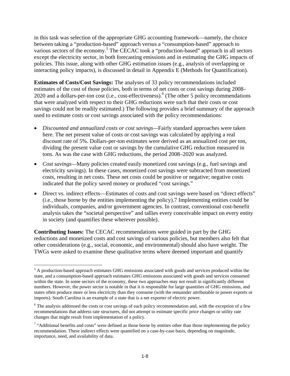in this task was selection of the appropriate GHG accounting framework—namely, the choice between taking a "production-based" approach versus a "consumption-based" approach to various sectors of the economy.<sup>5</sup> The CECAC took a "production-based" approach in all sectors except the electricity sector, in both forecasting emissions and in estimating the GHG impacts of policies. This issue, along with other GHG estimation issues (e.g., analysis of overlapping or interacting policy impacts), is discussed in detail in Appendix E (Methods for Quantification).

**Estimates of Costs/Cost Savings:** The analyses of 33 policy recommendations included estimates of the cost of those policies, both in terms of net costs or cost savings during 2008– 2020 and a dollars-per-ton cost (i.e., cost-effectiveness).<sup>6</sup> (The other 5 policy recommendations that were analyzed with respect to their GHG reductions were such that their costs or cost savings could not be readily estimated.) The following provides a brief summary of the approach used to estimate costs or cost savings associated with the policy recommendations:

- *Discounted and annualized costs or cost savings—*Fairly standard approaches were taken here. The net present value of costs or cost savings was calculated by applying a real discount rate of 5%. Dollars-per-ton estimates were derived as an annualized cost per ton, dividing the present value cost or savings by the cumulative GHG reduction measured in tons. As was the case with GHG reductions, the period 2008–2020 was analyzed.
- *Cost savings—*Many policies created easily monetized cost savings (e.g., fuel savings and electricity savings). In these cases, monetized cost savings were subtracted from monetized costs, resulting in net costs. These net costs could be positive or negative; negative costs indicated that the policy saved money or produced "cost savings."
- Direct vs. indirect effects—Estimates of costs and cost savings were based on "direct effects" (i.e., those borne by the entities implementing the policy).7 Implementing entities could be individuals, companies, and/or government agencies. In contrast, conventional cost-benefit analysis takes the "societal perspective" and tallies every conceivable impact on every entity in society (and quantifies these wherever possible).

**Contributing Issues:** The CECAC recommendations were guided in part by the GHG reductions and monetized costs and cost savings of various policies, but members also felt that other considerations (e.g., social, economic, and environmental) should also have weight. The TWGs were asked to examine these qualitative terms where deemed important and quantify

<sup>&</sup>lt;sup>5</sup> A production-based approach estimates GHG emissions associated with goods and services produced within the state, and a consumption-based approach estimates GHG emissions associated with goods and services consumed within the state. In some sectors of the economy, these two approaches may not result in significantly different numbers. However, the power sector is notable in that it is responsible for large quantities of GHG emissions, and states often produce more or less electricity than they consume (with the remainder attributable to power exports or imports). South Carolina is an example of a state that is a net exporter of electric power.

<sup>&</sup>lt;sup>6</sup> The analysis addressed the costs or cost savings of each policy recommendation and, with the exception of a few recommendations that address rate structures, did not attempt to estimate specific price changes or utility rate changes that might result from implementation of a policy.

 $<sup>7</sup>$  "Additional benefits and costs" were defined as those borne by entities other than those implementing the policy</sup> recommendation. These indirect effects were quantified on a case-by-case basis, depending on magnitude, importance, need, and availability of data.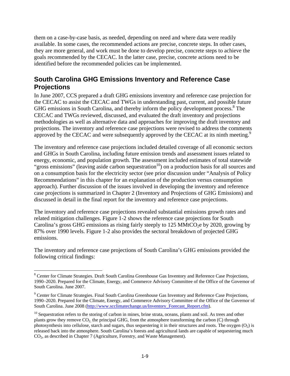them on a case-by-case basis, as needed, depending on need and where data were readily available. In some cases, the recommended actions are precise, concrete steps. In other cases, they are more general, and work must be done to develop precise, concrete steps to achieve the goals recommended by the CECAC. In the latter case, precise, concrete actions need to be identified before the recommended policies can be implemented.

## **South Carolina GHG Emissions Inventory and Reference Case Projections**

In June 2007, CCS prepared a draft GHG emissions inventory and reference case projection for the CECAC to assist the CECAC and TWGs in understanding past, current, and possible future GHG emissions in South Carolina, and thereby inform the policy development process.<sup>8</sup> The CECAC and TWGs reviewed, discussed, and evaluated the draft inventory and projections methodologies as well as alternative data and approaches for improving the draft inventory and projections. The inventory and reference case projections were revised to address the comments approved by the CECAC and were subsequently approved by the CECAC at its ninth meeting. $9$ 

The inventory and reference case projections included detailed coverage of all economic sectors and GHGs in South Carolina, including future emission trends and assessment issues related to energy, economic, and population growth. The assessment included estimates of total statewide "gross emissions" (leaving aside carbon sequestration<sup>10</sup>) on a production basis for all sources and on a consumption basis for the electricity sector (see prior discussion under "Analysis of Policy Recommendations" in this chapter for an explanation of the production versus consumption approach). Further discussion of the issues involved in developing the inventory and reference case projections is summarized in Chapter 2 (Inventory and Projections of GHG Emissions) and discussed in detail in the final report for the inventory and reference case projections.

The inventory and reference case projections revealed substantial emissions growth rates and related mitigation challenges. Figure 1-2 shows the reference case projections for South Carolina's gross GHG emissions as rising fairly steeply to 125 MMtCO<sub>2</sub>e by 2020, growing by 87% over 1990 levels. Figure 1-2 also provides the sectoral breakdown of projected GHG emissions.

The inventory and reference case projections of South Carolina's GHG emissions provided the following critical findings:

<sup>&</sup>lt;sup>8</sup> Center for Climate Strategies. Draft South Carolina Greenhouse Gas Inventory and Reference Case Projections, 1990–2020. Prepared for the Climate, Energy, and Commerce Advisory Committee of the Office of the Governor of South Carolina. June 2007.

<sup>&</sup>lt;sup>9</sup> Center for Climate Strategies. Final South Carolina Greenhouse Gas Inventory and Reference Case Projections, 1990–2020. Prepared for the Climate, Energy, and Commerce Advisory Committee of the Office of the Governor of South Carolina. June 2008 (http://www.scclimatechange.us/Inventory\_Forecast\_Report.cfm).

 $10$  Sequestration refers to the storing of carbon in mines, brine strata, oceans, plants and soil. As trees and other plants grow they remove  $CO<sub>2</sub>$ , the principal GHG, from the atmosphere transforming the carbon (C) through photosynthesis into cellulose, starch and sugars, thus sequestering it in their structures and roots. The oxygen  $(O_2)$  is released back into the atmosphere. South Carolina's forests and agricultural lands are capable of sequestering much CO2, as described in Chapter 7 (Agriculture, Forestry, and Waste Management).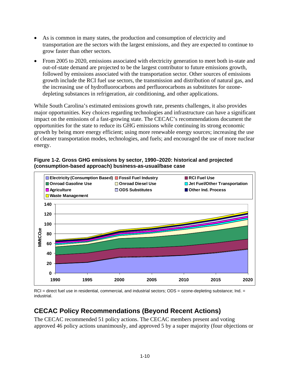- As is common in many states, the production and consumption of electricity and transportation are the sectors with the largest emissions, and they are expected to continue to grow faster than other sectors.
- From 2005 to 2020, emissions associated with electricity generation to meet both in-state and out-of-state demand are projected to be the largest contributor to future emissions growth, followed by emissions associated with the transportation sector. Other sources of emissions growth include the RCI fuel use sectors, the transmission and distribution of natural gas, and the increasing use of hydrofluorocarbons and perfluorocarbons as substitutes for ozonedepleting substances in refrigeration, air conditioning, and other applications.

While South Carolina's estimated emissions growth rate, presents challenges, it also provides major opportunities. Key choices regarding technologies and infrastructure can have a significant impact on the emissions of a fast-growing state. The CECAC's recommendations document the opportunities for the state to reduce its GHG emissions while continuing its strong economic growth by being more energy efficient; using more renewable energy sources; increasing the use of cleaner transportation modes, technologies, and fuels; and encouraged the use of more nuclear energy.





RCI = direct fuel use in residential, commercial, and industrial sectors; ODS = ozone-depleting substance; Ind. = industrial.

## **CECAC Policy Recommendations (Beyond Recent Actions)**

The CECAC recommended 51 policy actions. The CECAC members present and voting approved 46 policy actions unanimously, and approved 5 by a super majority (four objections or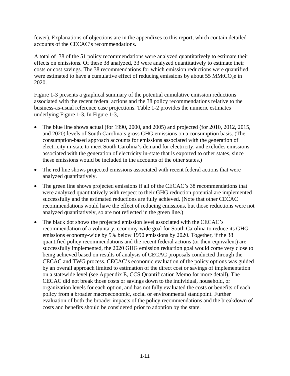fewer). Explanations of objections are in the appendixes to this report, which contain detailed accounts of the CECAC's recommendations.

A total of 38 of the 51 policy recommendations were analyzed quantitatively to estimate their effects on emissions. Of these 38 analyzed, 33 were analyzed quantitatively to estimate their costs or cost savings. The 38 recommendations for which emission reductions were quantified were estimated to have a cumulative effect of reducing emissions by about 55 MMtCO<sub>2</sub>e in 2020.

Figure 1-3 presents a graphical summary of the potential cumulative emission reductions associated with the recent federal actions and the 38 policy recommendations relative to the business-as-usual reference case projections. Table 1-2 provides the numeric estimates underlying Figure 1-3. In Figure 1-3,

- The blue line shows actual (for 1990, 2000, and 2005) and projected (for 2010, 2012, 2015, and 2020) levels of South Carolina's gross GHG emissions on a consumption basis. (The consumption-based approach accounts for emissions associated with the generation of electricity in-state to meet South Carolina's demand for electricity, and excludes emissions associated with the generation of electricity in-state that is exported to other states, since these emissions would be included in the accounts of the other states.)
- The red line shows projected emissions associated with recent federal actions that were analyzed quantitatively.
- The green line shows projected emissions if all of the CECAC's 38 recommendations that were analyzed quantitatively with respect to their GHG reduction potential are implemented successfully and the estimated reductions are fully achieved. (Note that other CECAC recommendations would have the effect of reducing emissions, but those reductions were not analyzed quantitatively, so are not reflected in the green line.)
- The black dot shows the projected emission level associated with the CECAC's recommendation of a voluntary, economy-wide goal for South Carolina to reduce its GHG emissions economy-wide by 5% below 1990 emissions by 2020. Together, if the 38 quantified policy recommendations and the recent federal actions (or their equivalent) are successfully implemented, the 2020 GHG emission reduction goal would come very close to being achieved based on results of analysis of CECAC proposals conducted through the CECAC and TWG process. CECAC's economic evaluation of the policy options was guided by an overall approach limited to estimation of the direct cost or savings of implementation on a statewide level (see Appendix E, CCS Quantification Memo for more detail). The CECAC did not break those costs or savings down to the individual, household, or organization levels for each option, and has not fully evaluated the costs or benefits of each policy from a broader macroeconomic, social or environmental standpoint. Further evaluation of both the broader impacts of the policy recommendations and the breakdown of costs and benefits should be considered prior to adoption by the state.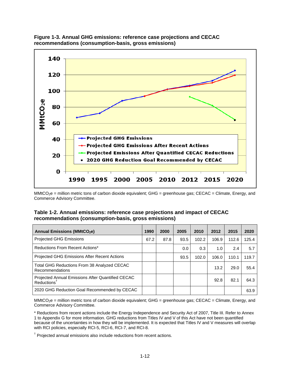



MMtCO<sub>2</sub>e = million metric tons of carbon dioxide equivalent; GHG = greenhouse gas; CECAC = Climate, Energy, and Commerce Advisory Committee.

#### **Table 1-2. Annual emissions: reference case projections and impact of CECAC recommendations (consumption-basis, gross emissions)**

| <b>Annual Emissions (MMtCO2e)</b>                                           | 1990 | 2000 | 2005 | 2010  | 2012  | 2015  | 2020  |
|-----------------------------------------------------------------------------|------|------|------|-------|-------|-------|-------|
| Projected GHG Emissions                                                     | 67.2 | 87.8 | 93.5 | 102.2 | 106.9 | 112.6 | 125.4 |
| Reductions From Recent Actions*                                             |      |      | 0.0  | 0.3   | 1.0   | 2.4   | 5.7   |
| Projected GHG Emissions After Recent Actions                                |      |      | 93.5 | 102.0 | 106.0 | 110.1 | 119.7 |
| Total GHG Reductions From 38 Analyzed CECAC<br>Recommendations              |      |      |      |       | 13.2  | 29.0  | 55.4  |
| Projected Annual Emissions After Quantified CECAC<br>$Reductions^{\dagger}$ |      |      |      |       | 92.8  | 82.1  | 64.3  |
| 2020 GHG Reduction Goal Recommended by CECAC                                |      |      |      |       |       |       | 63.9  |

MMtCO<sub>2</sub>e = million metric tons of carbon dioxide equivalent; GHG = greenhouse gas; CECAC = Climate, Energy, and Commerce Advisory Committee.

\* Reductions from recent actions include the Energy Independence and Security Act of 2007, Title III. Refer to Annex 1 to Appendix G for more information. GHG reductions from Titles IV and V of this Act have not been quantified because of the uncertainties in how they will be implemented. It is expected that Titles IV and V measures will overlap with RCI policies, especially RCI-5, RCI-6, RCI-7, and RCI-8.

<sup>†</sup> Projected annual emissions also include reductions from recent actions.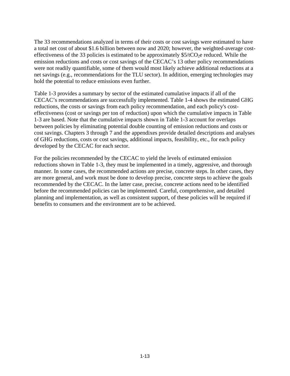The 33 recommendations analyzed in terms of their costs or cost savings were estimated to have a total net cost of about \$1.6 billion between now and 2020; however, the weighted-average costeffectiveness of the 33 policies is estimated to be approximately  $$5/tCO<sub>2</sub>e$  reduced. While the emission reductions and costs or cost savings of the CECAC's 13 other policy recommendations were not readily quantifiable, some of them would most likely achieve additional reductions at a net savings (e.g., recommendations for the TLU sector). In addition, emerging technologies may hold the potential to reduce emissions even further.

Table 1-3 provides a summary by sector of the estimated cumulative impacts if all of the CECAC's recommendations are successfully implemented. Table 1-4 shows the estimated GHG reductions, the costs or savings from each policy recommendation, and each policy's costeffectiveness (cost or savings per ton of reduction) upon which the cumulative impacts in Table 1-3 are based. Note that the cumulative impacts shown in Table 1-3 account for overlaps between policies by eliminating potential double counting of emission reductions and costs or cost savings. Chapters 3 through 7 and the appendixes provide detailed descriptions and analyses of GHG reductions, costs or cost savings, additional impacts, feasibility, etc., for each policy developed by the CECAC for each sector.

For the policies recommended by the CECAC to yield the levels of estimated emission reductions shown in Table 1-3, they must be implemented in a timely, aggressive, and thorough manner. In some cases, the recommended actions are precise, concrete steps. In other cases, they are more general, and work must be done to develop precise, concrete steps to achieve the goals recommended by the CECAC. In the latter case, precise, concrete actions need to be identified before the recommended policies can be implemented. Careful, comprehensive, and detailed planning and implementation, as well as consistent support, of these policies will be required if benefits to consumers and the environment are to be achieved.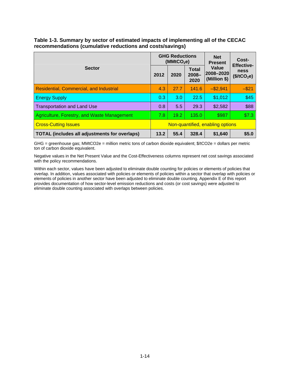### **Table 1-3. Summary by sector of estimated impacts of implementing all of the CECAC recommendations (cumulative reductions and costs/savings)**

|                                                      |                                  | <b>GHG Reductions</b><br>(MMtCO <sub>2</sub> e) |                           | <b>Net</b><br><b>Present</b>       | Cost-<br><b>Effective-</b>      |  |
|------------------------------------------------------|----------------------------------|-------------------------------------------------|---------------------------|------------------------------------|---------------------------------|--|
| <b>Sector</b>                                        | 2012                             | 2020                                            | Total<br>$2008 -$<br>2020 | Value<br>2008-2020<br>(Million \$) | ness<br>(\$/tCO <sub>2</sub> e) |  |
| Residential, Commercial, and Industrial              | 4.3                              | 27.7                                            | 141.6                     | $-$ \$2,941                        | $-$ \$21                        |  |
| <b>Energy Supply</b>                                 | 0.3                              | 3.0                                             | 22.5                      | \$1,012                            | \$45                            |  |
| <b>Transportation and Land Use</b>                   | 0.8                              | 5.5                                             | 29.3                      | \$2,582                            | \$88                            |  |
| Agriculture, Forestry, and Waste Management          | 7.8                              | 19.2                                            | 135.0                     | \$987                              | \$7.3                           |  |
| <b>Cross-Cutting Issues</b>                          | Non-quantified, enabling options |                                                 |                           |                                    |                                 |  |
| <b>TOTAL (includes all adjustments for overlaps)</b> | 13.2                             | 55.4                                            | 328.4                     | \$1,640                            | \$5.0                           |  |

GHG = greenhouse gas; MMtCO2e = million metric tons of carbon dioxide equivalent; \$/tCO2e = dollars per metric ton of carbon dioxide equivalent.

Negative values in the Net Present Value and the Cost-Effectiveness columns represent net cost savings associated with the policy recommendations.

Within each sector, values have been adjusted to eliminate double counting for policies or elements of policies that overlap. In addition, values associated with policies or elements of policies within a sector that overlap with policies or elements of policies in another sector have been adjusted to eliminate double counting. Appendix E of this report provides documentation of how sector-level emission reductions and costs (or cost savings) were adjusted to eliminate double counting associated with overlaps between policies.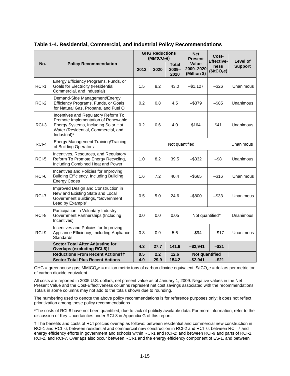|       |                                                                                                                                                                          |                                 | <b>GHG Reductions</b><br>(MMtCO <sub>2</sub> e) |                                  | <b>Net</b><br><b>Present</b>              | Cost-                                                | Level of<br><b>Support</b> |  |
|-------|--------------------------------------------------------------------------------------------------------------------------------------------------------------------------|---------------------------------|-------------------------------------------------|----------------------------------|-------------------------------------------|------------------------------------------------------|----------------------------|--|
| No.   | <b>Policy Recommendation</b>                                                                                                                                             | 2012                            | 2020                                            | <b>Total</b><br>$2009 -$<br>2020 | <b>Value</b><br>2009-2020<br>(Million \$) | <b>Effective-</b><br>ness<br>(\$/tCO <sub>2</sub> e) |                            |  |
| RCI-1 | Energy Efficiency Programs, Funds, or<br>Goals for Electricity (Residential,<br>Commercial, and Industrial)                                                              | 1.5                             | 8.2                                             | 43.0                             | $-$1,127$                                 | $-$ \$26                                             | Unanimous                  |  |
| RCI-2 | Demand-Side Management/Energy<br>Efficiency Programs, Funds, or Goals<br>for Natural Gas, Propane, and Fuel Oil                                                          |                                 | 0.8                                             | 4.5                              | $-$ \$379                                 | $-$ \$85                                             | Unanimous                  |  |
| RCI-3 | Incentives and Regulatory Reform To<br>Promote Implementation of Renewable<br>Energy Systems, Including Solar Hot<br>Water (Residential, Commercial, and<br>Industrial)* |                                 | 0.6                                             | 4.0                              | \$164                                     | \$41                                                 | Unanimous                  |  |
| RCI-4 | <b>Energy Management Training/Training</b><br>of Building Operators                                                                                                      |                                 | Not quantified                                  |                                  |                                           |                                                      |                            |  |
| RCI-5 | Incentives, Resources, and Regulatory<br>Reform To Promote Energy Recycling,<br>Including Combined Heat and Power                                                        | 8.2<br>$-$ \$332<br>1.0<br>39.5 |                                                 | $-$ \$8                          | Unanimous                                 |                                                      |                            |  |
| RCI-6 | Incentives and Policies for Improving<br>Building Efficiency, Including Building<br><b>Energy Codes</b>                                                                  | 1.6                             | 7.2                                             | 40.4                             | $-$ \$665                                 | $-$ \$16                                             | Unanimous                  |  |
| RCI-7 | Improved Design and Construction in<br>New and Existing State and Local<br>Government Buildings, "Government<br>Lead by Example"                                         | 0.5                             | 5.0                                             | 24.6                             | $-$ \$800<br>$-$ \$33                     |                                                      | Unanimous                  |  |
| RCI-8 | Participation in Voluntary Industry-<br>Government Partnerships (Including<br>Incentives)                                                                                | 0.0                             | 0.0                                             | 0.05                             |                                           | Not quantified*                                      |                            |  |
| RCI-9 | Incentives and Policies for Improving<br>Appliance Efficiency, Including Appliance<br>Standards                                                                          | 0.3                             | $-$17$<br>0.9<br>5.6<br>$-$ \$94                |                                  |                                           | Unanimous                                            |                            |  |
|       | <b>Sector Total After Adjusting for</b><br><b>Overlaps (excluding RCI-8)t</b>                                                                                            | 4.3                             | 27.7                                            | 141.6                            | $-$2,941$                                 | $-$ \$21                                             |                            |  |
|       | <b>Reductions From Recent Actionstt</b>                                                                                                                                  | 0.5                             | 2.2                                             | 12.6                             | Not quantified                            |                                                      |                            |  |
|       | <b>Sector Total Plus Recent Actions</b>                                                                                                                                  | 4.9                             | 29.9                                            | 154.2                            | $-$2,941$                                 | $-$ \$21                                             |                            |  |

**Table 1-4. Residential, Commercial, and Industrial Policy Recommendations** 

GHG = greenhouse gas; MMtCO<sub>2</sub>e = million metric tons of carbon dioxide equivalent;  $\frac{6}{2}$ e = dollars per metric ton of carbon dioxide equivalent.

All costs are reported in 2005 U.S. dollars, net present value as of January 1, 2009. Negative values in the Net Present Value and the Cost-Effectiveness columns represent net cost savings associated with the recommendations. Totals in some columns may not add to the totals shown due to rounding.

The numbering used to denote the above policy recommendations is for reference purposes only; it does not reflect prioritization among these policy recommendations.

\*The costs of RCI-8 have not been quantified, due to lack of publicly available data. For more information, refer to the discussion of Key Uncertainties under RCI-8 in Appendix G of this report.

† The benefits and costs of RCI policies overlap as follows: between residential and commercial new construction in RCI-1 and RCI–6; between residential and commercial new construction in RCI-2 and RCI–6; between RCI–7 and energy efficiency efforts in government and schools within RCI-1 and RCI-2; and between RCI-9 and parts of RCI-1, RCI-2, and RCI-7. Overlaps also occur between RCI-1 and the energy efficiency component of ES-1, and between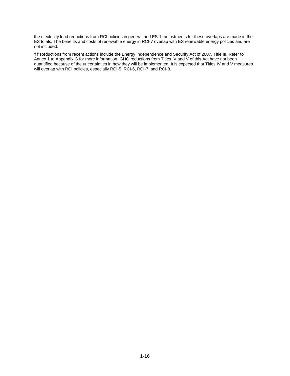the electricity load reductions from RCI policies in general and ES-1; adjustments for these overlaps are made in the ES totals. The benefits and costs of renewable energy in RCI-7 overlap with ES renewable energy policies and are not included.

†† Reductions from recent actions include the Energy Independence and Security Act of 2007, Title III. Refer to Annex 1 to Appendix G for more information. GHG reductions from Titles IV and V of this Act have not been quantified because of the uncertainties in how they will be implemented. It is expected that Titles IV and V measures will overlap with RCI policies, especially RCI-5, RCI-6, RCI-7, and RCI-8.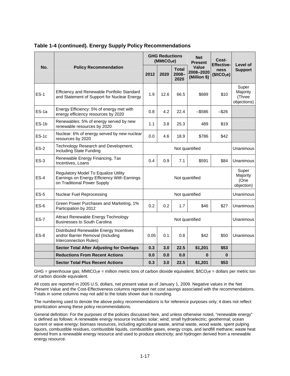|             |                                                                                                                    |                                   | <b>GHG Reductions</b><br>(MMtCO <sub>2</sub> e) |                                  | <b>Net</b><br><b>Present</b>       | Cost-<br><b>Effective-</b>      | Level of                                   |
|-------------|--------------------------------------------------------------------------------------------------------------------|-----------------------------------|-------------------------------------------------|----------------------------------|------------------------------------|---------------------------------|--------------------------------------------|
| No.         | <b>Policy Recommendation</b>                                                                                       | 2012                              | 2020                                            | <b>Total</b><br>$2008 -$<br>2020 | Value<br>2008-2020<br>(Million \$) | ness<br>(\$/tCO <sub>2</sub> e) | <b>Support</b>                             |
| $ES-1$      | Efficiency and Renewable Portfolio Standard<br>and Statement of Support for Nuclear Energy                         | 1.9                               | 12.6                                            | 66.5                             | \$689                              | \$10                            | Super<br>Majority<br>(Three<br>objections) |
| ES-1a       | Energy Efficiency: 5% of energy met with<br>energy efficiency resources by 2020                                    | 4.2<br>0.8<br>22.4<br>$-$ \$586   |                                                 | $-$ \$26                         |                                    |                                 |                                            |
| $ES-1b$     | Renewables: 5% of energy served by new<br>renewable resources by 2020                                              | 3.8<br>25.3<br>\$19<br>1.1<br>489 |                                                 |                                  |                                    |                                 |                                            |
| $ES-1c$     | Nuclear: 6% of energy served by new nuclear<br>resources by 2020                                                   | 0.0                               | 4.6                                             | 18.9                             | \$786                              | \$42                            |                                            |
| $ES-2$      | Technology Research and Development,<br>Including State Funding                                                    | Not quantified                    |                                                 |                                  |                                    |                                 | Unanimous                                  |
| $ES-3$      | Renewable Energy Financing, Tax<br>Incentives, Loans                                                               | 0.4<br>0.9<br>7.1<br>\$591        |                                                 | \$84                             | Unanimous                          |                                 |                                            |
| $ES-4$      | Regulatory Model To Equalize Utility<br>Earnings on Energy Efficiency With Earnings<br>on Traditional Power Supply | Not quantified                    |                                                 |                                  |                                    |                                 | Super<br>Majority<br>(One<br>objection)    |
| $ES-5$      | <b>Nuclear Fuel Reprocessing</b>                                                                                   |                                   |                                                 |                                  | Not quantified                     |                                 | Unanimous                                  |
| $ES-6$      | Green Power Purchases and Marketing, 1%<br>Participation by 2012                                                   | 0.2                               | 0.2                                             | 1.7                              | \$46                               | \$27                            | Unanimous                                  |
| <b>ES-7</b> | Attract Renewable Energy Technology<br><b>Businesses to South Carolina</b>                                         |                                   |                                                 |                                  | Not quantified                     |                                 | Unanimous                                  |
| $ES-8$      | Distributed Renewable Energy Incentives<br>and/or Barrier Removal (Including<br>Interconnection Rules)             | 0.05                              | 0.1                                             | 0.8                              | \$42                               | \$50                            | Unanimous                                  |
|             | <b>Sector Total After Adjusting for Overlaps</b>                                                                   | 0.3                               | 3.0                                             | 22.5                             | \$1,201                            | \$53                            |                                            |
|             | <b>Reductions From Recent Actions</b>                                                                              | 0.0                               | 0.0                                             | 0.0                              | 0                                  | $\bf{0}$                        |                                            |
|             | <b>Sector Total Plus Recent Actions</b>                                                                            |                                   | 3.0                                             | 22.5                             | \$1,201                            | \$53                            |                                            |

#### **Table 1-4 (continued). Energy Supply Policy Recommendations**

GHG = greenhouse gas; MMtCO<sub>2</sub>e = million metric tons of carbon dioxide equivalent;  $\frac{6}{1002e}$  = dollars per metric ton of carbon dioxide equivalent.

All costs are reported in 2005 U.S. dollars, net present value as of January 1, 2009. Negative values in the Net Present Value and the Cost-Effectiveness columns represent net cost savings associated with the recommendations. Totals in some columns may not add to the totals shown due to rounding.

The numbering used to denote the above policy recommendations is for reference purposes only; it does not reflect prioritization among these policy recommendations.

General definition: For the purposes of the policies discussed here, and unless otherwise noted, "renewable energy" is defined as follows: A renewable energy resource includes solar; wind; small hydroelectric; geothermal; ocean current or wave energy; biomass resources, including agricultural waste, animal waste, wood waste, spent pulping liquors, combustible residues, combustible liquids, combustible gases, energy crops, and landfill methane; waste heat derived from a renewable energy resource and used to produce electricity; and hydrogen derived from a renewable energy resource.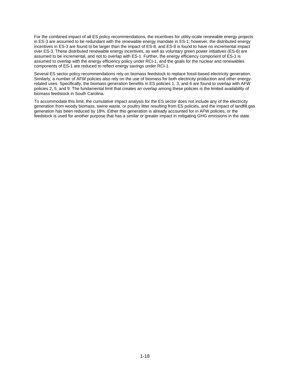For the combined impact of all ES policy recommendations, the incentives for utility-scale renewable energy projects in ES-3 are assumed to be redundant with the renewable energy mandate in ES-1; however, the distributed energy incentives in ES-3 are found to be larger than the impact of ES-8, and ES-8 is found to have no incremental impact over ES-3. These distributed renewable energy incentives, as well as voluntary green power initiatives (ES-6) are assumed to be incremental, and not to overlap with ES-1. Further, the energy efficiency component of ES-1 is assumed to overlap with the energy efficiency policy under RCI-1, and the goals for the nuclear and renewables components of ES-1 are reduced to reflect energy savings under RCI-1.

Several ES sector policy recommendations rely on biomass feedstock to replace fossil-based electricity generation. Similarly, a number of AFW policies also rely on the use of biomass for both electricity production and other energyrelated uses. Specifically, the biomass generation benefits in ES policies 1, 3, and 6 are found to overlap with AFW policies 2, 5, and 9. The fundamental limit that creates an overlap among these policies is the limited availability of biomass feedstock in South Carolina.

To accommodate this limit, the cumulative impact analysis for the ES sector does not include any of the electricity generation from woody biomass, swine waste, or poultry litter resulting from ES policies, and the impact of landfill gas generation has been reduced by 18%. Either this generation is already accounted for in AFW policies, or the feedstock is used for another purpose that has a similar or greater impact in mitigating GHG emissions in the state.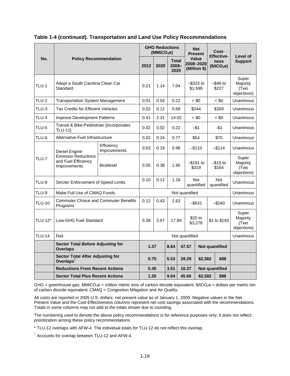|                                        |                                                                  |                                     | <b>GHG Reductions</b><br>(MMtCO <sub>2</sub> e) |      |                               | <b>Net</b><br><b>Present</b> |                                    | Cost-<br><b>Effective-</b>         |                                 | Level of              |                                          |
|----------------------------------------|------------------------------------------------------------------|-------------------------------------|-------------------------------------------------|------|-------------------------------|------------------------------|------------------------------------|------------------------------------|---------------------------------|-----------------------|------------------------------------------|
| No.                                    | <b>Policy Recommendation</b>                                     |                                     | 2012                                            | 2020 | <b>Total</b><br>2008-<br>2020 |                              | Value<br>2008-2020<br>(Million \$) |                                    | ness<br>(\$/tCO <sub>2</sub> e) |                       | <b>Support</b>                           |
| TLU-1                                  | Adopt a South Carolina Clean Car<br>Standard                     |                                     | 0.21                                            | 1.14 | 7.04                          |                              |                                    | $-$ \$323 to<br>\$1,598            |                                 | $-$ \$46 to<br>\$227  | Super<br>Majority<br>(Two<br>objections) |
| TLU-2                                  | <b>Transportation System Management</b>                          |                                     | 0.01                                            | 0.04 | 0.22                          |                              |                                    | $~<$ \$0                           |                                 | $~<$ \$0              | Unanimous                                |
| <b>TLU-3</b>                           | <b>Tax Credits for Efficient Vehicles</b>                        |                                     | 0.02                                            | 0.12 | 0.68                          |                              |                                    | \$359<br>\$244                     |                                 | Unanimous             |                                          |
| TLU-4                                  |                                                                  | <b>Improve Development Patterns</b> |                                                 | 2.31 | 14.02                         |                              |                                    | $~<$ \$0                           |                                 | $~<$ \$0              | Unanimous                                |
| TLU-5                                  | Transit & Bike-Pedestrian [Incorporates<br><b>TLU-11</b> ]       |                                     | 0.02                                            | 0.02 | 0.22                          |                              |                                    | $-$ \$1<br>-\$1                    |                                 | Unanimous             |                                          |
| TLU-6                                  | Alternative-Fuel Infrastructure                                  |                                     | 0.02                                            | 0.24 | 0.77                          |                              | \$54                               |                                    |                                 | \$70                  | Unanimous                                |
| Diesel Engine<br>TLU-7<br>Improvements |                                                                  | Efficiency<br>Improvements          | 0.03                                            | 0.19 | 0.96                          |                              | $-$110$                            |                                    |                                 | $-$ \$114             | Unanimous                                |
|                                        | <b>Emission Reductions</b><br>and Fuel Efficiency                | <b>Biodiesel</b>                    | 0.05                                            | 0.38 | 1.95                          |                              |                                    | $-$ \$291 to<br>\$319              |                                 | –\$15 to<br>\$164     | Super<br>Majority<br>(Two<br>objections) |
| TLU-8                                  | <b>Stricter Enforcement of Speed Limits</b>                      |                                     | 0.10                                            | 0.12 |                               | 1.18<br>Not<br>quantified    |                                    |                                    | Not<br>quantified               | Unanimous             |                                          |
| <b>TLU-9</b>                           | Make Full Use of CMAQ Funds                                      |                                     | Not quantified                                  |      |                               |                              |                                    |                                    |                                 | Unanimous             |                                          |
| <b>TLU-10</b>                          | <b>Commuter Choice and Commuter Benefits</b><br>Programs         |                                     | 0.12                                            | 0.43 | 2.63                          |                              |                                    | $-$ \$631                          |                                 | $-$ \$240             | Unanimous                                |
| <b>TLU-12*</b>                         | Low-GHG Fuel Standard                                            |                                     | 0.38                                            | 3.67 | 17.89                         |                              |                                    | \$20 to<br>\$1 to \$183<br>\$3,276 |                                 |                       | Super<br>Majority<br>(Two<br>objections) |
| <b>TLU-14</b>                          | Rail                                                             |                                     |                                                 |      |                               |                              | Not quantified                     |                                    |                                 |                       | Unanimous                                |
|                                        | <b>Sector Total Before Adjusting for</b><br><b>Overlaps</b>      |                                     | 1.37                                            |      | 8.64                          |                              | 47.57                              |                                    |                                 | Not quantified        |                                          |
|                                        | <b>Sector Total After Adjusting for</b><br>Overlaps <sup>t</sup> |                                     | 0.75                                            |      | 5.53                          |                              | 29.29                              | \$2,582                            |                                 | \$88                  |                                          |
|                                        | <b>Reductions From Recent Actions</b>                            |                                     | 0.45                                            |      | 3.51                          |                              | 16.37                              |                                    |                                 | <b>Not quantified</b> |                                          |
|                                        | <b>Sector Total Plus Recent Actions</b>                          |                                     | 1.20                                            |      | 9.04                          |                              | 45.66                              | \$2,582                            |                                 | \$88                  |                                          |

#### **Table 1-4 (continued). Transportation and Land Use Policy Recommendations**

GHG = greenhouse gas; MMtCO<sub>2</sub>e = million metric tons of carbon dioxide equivalent;  $\frac{1}{2}$ tCO<sub>2</sub>e = dollars per metric ton of carbon dioxide equivalent; CMAQ = Congestion Mitigation and Air Quality.

All costs are reported in 2005 U.S. dollars, net present value as of January 1, 2009. Negative values in the Net Present Value and the Cost-Effectiveness columns represent net cost savings associated with the recommendations. Totals in some columns may not add to the totals shown due to rounding.

The numbering used to denote the above policy recommendations is for reference purposes only; it does not reflect prioritization among these policy recommendations.

\* TLU-12 overlaps with AFW-4. The individual totals for TLU-12 do not reflect this overlap.

<sup>†</sup> Accounts for overlap between TLU-12 and AFW-4.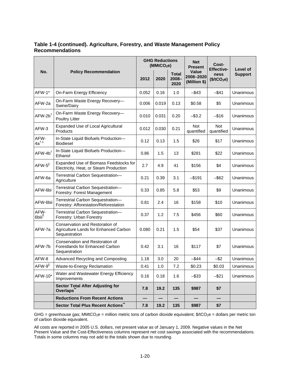### **Table 1-4 (continued). Agriculture, Forestry, and Waste Management Policy Recommendations**

|                                 |                                                                                           |       | <b>GHG Reductions</b><br>(MMtCO <sub>2</sub> e) |                               | <b>Net</b><br><b>Present</b>              | Cost-<br><b>Effective-</b>      | Level of       |  |
|---------------------------------|-------------------------------------------------------------------------------------------|-------|-------------------------------------------------|-------------------------------|-------------------------------------------|---------------------------------|----------------|--|
| No.                             | <b>Policy Recommendation</b>                                                              | 2012  | 2020                                            | <b>Total</b><br>2008-<br>2020 | <b>Value</b><br>2008-2020<br>(Million \$) | ness<br>(\$/tCO <sub>2</sub> e) | <b>Support</b> |  |
| AFW-1*                          | On-Farm Energy Efficiency                                                                 | 0.052 | 0.16                                            | 1.0                           | $-$ \$43                                  | $-$ \$41                        | Unanimous      |  |
| AFW-2a                          | On-Farm Waste Energy Recovery-<br>Swine/Dairy                                             | 0.006 | 0.019                                           | 0.13                          | \$0.58                                    | \$5                             | Unanimous      |  |
| $AFW-2b$ <sup>†</sup>           | On-Farm Waste Energy Recovery-<br>Poultry Litter                                          | 0.010 | 0.031                                           | 0.20                          | $-$ \$3.2                                 | $-$ \$16                        | Unanimous      |  |
| AFW-3                           | Expanded Use of Local Agricultural<br>Products                                            | 0.012 | 0.030                                           | 0.21                          | <b>Not</b><br>quantified                  | <b>Not</b><br>quantified        | Unanimous      |  |
| AFW-<br>$4a^{\dagger,\ddagger}$ | In-State Liquid Biofuels Production-<br>Biodiesel                                         | 0.12  | 0.13                                            | 1.5                           | \$26                                      | \$17                            | Unanimous      |  |
| $AFW-4b^{\dagger}$              | In-State Liquid Biofuels Production-<br>Ethanol                                           | 0.86  | 1.5                                             | 13                            | \$281                                     | \$22                            | Unanimous      |  |
| $AFW-5$                         | Expanded Use of Biomass Feedstocks for<br>Electricity, Heat, or Steam Production          | 2.7   | 4.9                                             | 41                            | \$156                                     | \$4                             | Unanimous      |  |
| AFW-6a                          | Terrestrial Carbon Sequestration-<br>Agriculture                                          | 0.21  | 0.39                                            | 3.1                           | $-$ \$191                                 | $-$ \$62                        | Unanimous      |  |
| AFW-6bi                         | Terrestrial Carbon Sequestration-<br>Forestry: Forest Management                          | 0.33  | 0.85                                            | 5.8                           | \$53                                      | \$9                             | Unanimous      |  |
| AFW-6bii                        | Terrestrial Carbon Sequestration-<br>Forestry: Afforestation/Reforestation                | 0.81  | 2.4                                             | 16                            | \$158                                     | \$10                            | Unanimous      |  |
| AFW-<br>6biii <sup>¶</sup>      | Terrestrial Carbon Sequestration-<br>Forestry: Urban Forestry                             | 0.37  | 1.2                                             | 7.5                           | \$456                                     | \$60                            | Unanimous      |  |
| AFW-7a                          | Conservation and Restoration of<br>Agriculture Lands for Enhanced Carbon<br>Sequestration | 0.080 | 0.21                                            | 1.5                           | \$54                                      | \$37                            | Unanimous      |  |
| AFW-7b                          | Conservation and Restoration of<br>Forestlands for Enhanced Carbon<br>Sequestration       | 0.42  | 3.1                                             | 16                            | \$117                                     | \$7                             | Unanimous      |  |
| AFW-8                           | Advanced Recycling and Composting                                                         | 1.18  | 3.0                                             | 20                            | $-$ \$44                                  | $-$ \$2                         | Unanimous      |  |
| AFW-9                           | Waste-to-Energy Reclamation                                                               | 0.41  | 1.0                                             | 7.2                           | \$0.23                                    | \$0.03                          | Unanimous      |  |
| AFW-10*                         | Water and Wastewater Energy Efficiency<br>Improvements                                    | 0.16  | 0.18                                            | 1.6                           | $-$ \$33                                  | $-$ \$21                        | Unanimous      |  |
|                                 | <b>Sector Total After Adjusting for</b><br>Overlaps <sup>®</sup>                          | 7.8   | 19.2                                            | 135                           | \$987                                     | \$7                             |                |  |
|                                 | <b>Reductions From Recent Actions</b>                                                     |       |                                                 |                               |                                           |                                 |                |  |
|                                 | Sector Total Plus Recent Actions                                                          | 7.8   | 19.2                                            | 135                           | \$987                                     | \$7                             |                |  |

GHG = greenhouse gas; MMtCO<sub>2</sub>e = million metric tons of carbon dioxide equivalent;  $\frac{1}{2}$ tCO<sub>2</sub>e = dollars per metric ton of carbon dioxide equivalent.

All costs are reported in 2005 U.S. dollars, net present value as of January 1, 2009. Negative values in the Net Present Value and the Cost-Effectiveness columns represent net cost savings associated with the recommendations. Totals in some columns may not add to the totals shown due to rounding.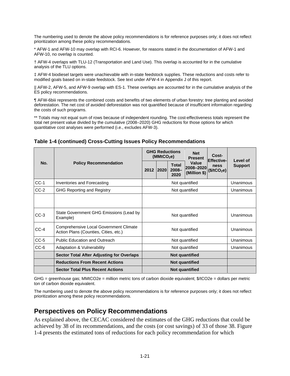The numbering used to denote the above policy recommendations is for reference purposes only; it does not reflect prioritization among these policy recommendations.

\* AFW-1 and AFW-10 may overlap with RCI-6. However, for reasons stated in the documentation of AFW-1 and AFW-10, no overlap is counted.

† AFW-4 overlaps with TLU-12 (Transportation and Land Use). This overlap is accounted for in the cumulative analysis of the TLU options.

‡ AFW-4 biodiesel targets were unachievable with in-state feedstock supplies. These reductions and costs refer to modified goals based on in-state feedstock. See text under AFW-4 in Appendix J of this report.

|| AFW-2, AFW-5, and AFW-9 overlap with ES-1. These overlaps are accounted for in the cumulative analysis of the ES policy recommendations.

¶ AFW-6biii represents the combined costs and benefits of two elements of urban forestry: tree planting and avoided deforestation. The net cost of avoided deforestation was not quantified because of insufficient information regarding the costs of such programs.

\*\* Totals may not equal sum of rows because of independent rounding. The cost-effectiveness totals represent the total net present value divided by the cumulative (2008–2020) GHG reductions for those options for which quantitative cost analyses were performed (i.e., excludes AFW-3).

|        | <b>Policy Recommendation</b>                                                           |  | (MMtCO <sub>2</sub> e) | <b>GHG Reductions</b>            | <b>Net</b><br><b>Present</b>       | Cost-                                                |                            |
|--------|----------------------------------------------------------------------------------------|--|------------------------|----------------------------------|------------------------------------|------------------------------------------------------|----------------------------|
| No.    |                                                                                        |  | 2012<br>2020           | <b>Total</b><br>$2008 -$<br>2020 | Value<br>2008-2020<br>(Million \$) | <b>Effective-</b><br>ness<br>(\$/tCO <sub>2</sub> e) | Level of<br><b>Support</b> |
| $CC-1$ | Inventories and Forecasting                                                            |  | Not quantified         |                                  |                                    |                                                      | Unanimous                  |
| $CC-2$ | <b>GHG Reporting and Registry</b>                                                      |  |                        | Unanimous                        |                                    |                                                      |                            |
|        |                                                                                        |  |                        |                                  |                                    |                                                      |                            |
| $CC-3$ | State Government GHG Emissions (Lead by<br>Example)                                    |  |                        | Unanimous                        |                                    |                                                      |                            |
| $CC-4$ | <b>Comprehensive Local Government Climate</b><br>Action Plans (Counties, Cities, etc.) |  |                        |                                  | Not quantified                     |                                                      | Unanimous                  |
| $CC-5$ | <b>Public Education and Outreach</b>                                                   |  |                        |                                  | Not quantified                     |                                                      | Unanimous                  |
| $CC-6$ | Adaptation & Vulnerability                                                             |  |                        |                                  | Not quantified                     |                                                      | Unanimous                  |
|        | <b>Sector Total After Adjusting for Overlaps</b>                                       |  |                        |                                  | <b>Not quantified</b>              |                                                      |                            |
|        | <b>Reductions From Recent Actions</b>                                                  |  |                        |                                  |                                    |                                                      |                            |
|        | <b>Sector Total Plus Recent Actions</b>                                                |  |                        |                                  |                                    |                                                      |                            |

**Table 1-4 (continued) Cross-Cutting Issues Policy Recommendations** 

GHG = greenhouse gas; MMtCO2e = million metric tons of carbon dioxide equivalent; \$/tCO2e = dollars per metric ton of carbon dioxide equivalent.

The numbering used to denote the above policy recommendations is for reference purposes only; it does not reflect prioritization among these policy recommendations.

### **Perspectives on Policy Recommendations**

As explained above, the CECAC considered the estimates of the GHG reductions that could be achieved by 38 of its recommendations, and the costs (or cost savings) of 33 of those 38. Figure 1-4 presents the estimated tons of reductions for each policy recommendation for which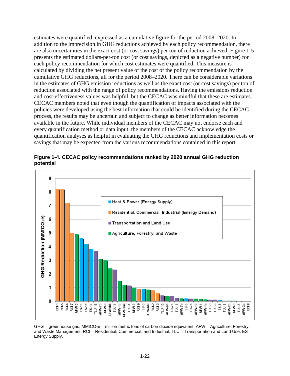estimates were quantified, expressed as a cumulative figure for the period 2008–2020. In addition to the imprecision in GHG reductions achieved by each policy recommendation, there are also uncertainties in the exact cost (or cost savings) per ton of reduction achieved. Figure 1-5 presents the estimated dollars-per-ton cost (or cost savings, depicted as a negative number) for each policy recommendation for which cost estimates were quantified. This measure is calculated by dividing the net present value of the cost of the policy recommendation by the cumulative GHG reductions, all for the period 2008–2020. There can be considerable variations in the estimates of GHG emission reductions as well as the exact cost (or cost savings) per ton of reduction associated with the range of policy recommendations. Having the emissions reduction and cost-effectiveness values was helpful, but the CECAC was mindful that these are estimates. CECAC members noted that even though the quantification of impacts associated with the policies were developed using the best information that could be identified during the CECAC process, the results may be uncertain and subject to change as better information becomes available in the future. While individual members of the CECAC may not endorse each and every quantification method or data input, the members of the CECAC acknowledge the quantification analyses as helpful in evaluating the GHG reductions and implementation costs or savings that may be expected from the various recommendations contained in this report.



**Figure 1-4. CECAC policy recommendations ranked by 2020 annual GHG reduction potential** 

 $GHG =$  greenhouse gas;  $MMtCO<sub>2</sub>e =$  million metric tons of carbon dioxide equivalent;  $AFW =$  Agriculture, Forestry, and Waste Management; RCI = Residential, Commercial, and Industrial; TLU = Transportation and Land Use; ES = Energy Supply.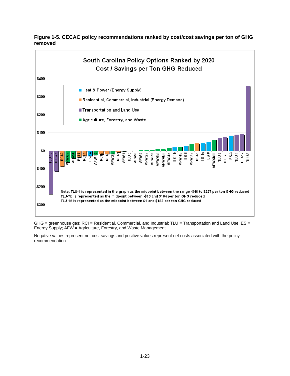

**Figure 1-5. CECAC policy recommendations ranked by cost/cost savings per ton of GHG removed** 

GHG = greenhouse gas; RCI = Residential, Commercial, and Industrial; TLU = Transportation and Land Use; ES = Energy Supply; AFW = Agriculture, Forestry, and Waste Management.

Negative values represent net cost savings and positive values represent net costs associated with the policy recommendation.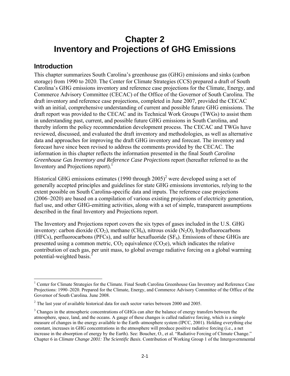# **Chapter 2 Inventory and Projections of GHG Emissions**

## **Introduction**

 $\overline{a}$ 

This chapter summarizes South Carolina's greenhouse gas (GHG) emissions and sinks (carbon storage) from 1990 to 2020. The Center for Climate Strategies (CCS) prepared a draft of South Carolina's GHG emissions inventory and reference case projections for the Climate, Energy, and Commerce Advisory Committee (CECAC) of the Office of the Governor of South Carolina. The draft inventory and reference case projections, completed in June 2007, provided the CECAC with an initial, comprehensive understanding of current and possible future GHG emissions. The draft report was provided to the CECAC and its Technical Work Groups (TWGs) to assist them in understanding past, current, and possible future GHG emissions in South Carolina, and thereby inform the policy recommendation development process. The CECAC and TWGs have reviewed, discussed, and evaluated the draft inventory and methodologies, as well as alternative data and approaches for improving the draft GHG inventory and forecast. The inventory and forecast have since been revised to address the comments provided by the CECAC. The information in this chapter reflects the information presented in the final *South Carolina Greenhouse Gas Inventory and Reference Case Projections* report (hereafter referred to as the Inventory and Projections report).

Historical GHG emissions estimates (1990 through  $2005)^2$  were developed using a set of generally accepted principles and guidelines for state GHG emissions inventories, relying to the extent possible on South Carolina-specific data and inputs. The reference case projections (2006–2020) are based on a compilation of various existing projections of electricity generation, fuel use, and other GHG-emitting activities, along with a set of simple, transparent assumptions described in the final Inventory and Projections report.

The Inventory and Projections report covers the six types of gases included in the U.S. GHG inventory: carbon dioxide  $(CO_2)$ , methane  $(CH_4)$ , nitrous oxide  $(N_2O)$ , hydrofluorocarbons (HFCs), perfluorocarbons (PFCs), and sulfur hexafluoride  $(SF_6)$ . Emissions of these GHGs are presented using a common metric,  $CO<sub>2</sub>$  equivalence ( $CO<sub>2</sub>e$ ), which indicates the relative contribution of each gas, per unit mass, to global average radiative forcing on a global warming potential-weighted basis.<sup>3</sup>

<sup>&</sup>lt;sup>1</sup> Center for Climate Strategies for the Climate. Final South Carolina Greenhouse Gas Inventory and Reference Case Projections: 1990–2020. Prepared for the Climate, Energy, and Commerce Advisory Committee of the Office of the Governor of South Carolina. June 2008.

 $2^2$  The last year of available historical data for each sector varies between 2000 and 2005.

<sup>&</sup>lt;sup>3</sup> Changes in the atmospheric concentrations of GHGs can alter the balance of energy transfers between the atmosphere, space, land, and the oceans. A gauge of these changes is called radiative forcing, which is a simple measure of changes in the energy available to the Earth–atmosphere system (IPCC, 2001). Holding everything else constant, increases in GHG concentrations in the atmosphere will produce positive radiative forcing (i.e., a net increase in the absorption of energy by the Earth). See: Boucher, O., et al. "Radiative Forcing of Climate Change." Chapter 6 in *Climate Change 2001: The Scientific Basis*. Contribution of Working Group 1 of the Intergovernmental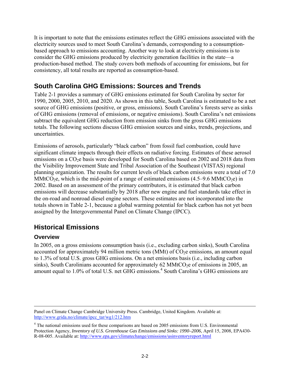It is important to note that the emissions estimates reflect the GHG emissions associated with the electricity sources used to meet South Carolina's demands, corresponding to a consumptionbased approach to emissions accounting. Another way to look at electricity emissions is to consider the GHG emissions produced by electricity generation facilities in the state—a production-based method. The study covers both methods of accounting for emissions, but for consistency, all total results are reported as consumption-based.

## **South Carolina GHG Emissions: Sources and Trends**

Table 2-1 provides a summary of GHG emissions estimated for South Carolina by sector for 1990, 2000, 2005, 2010, and 2020. As shown in this table, South Carolina is estimated to be a net source of GHG emissions (positive, or gross, emissions). South Carolina's forests serve as sinks of GHG emissions (removal of emissions, or negative emissions). South Carolina's net emissions subtract the equivalent GHG reduction from emission sinks from the gross GHG emissions totals. The following sections discuss GHG emission sources and sinks, trends, projections, and uncertainties.

Emissions of aerosols, particularly "black carbon" from fossil fuel combustion, could have significant climate impacts through their effects on radiative forcing. Estimates of these aerosol emissions on a CO<sub>2</sub>e basis were developed for South Carolina based on 2002 and 2018 data from the Visibility Improvement State and Tribal Association of the Southeast (VISTAS) regional planning organization. The results for current levels of black carbon emissions were a total of 7.0 MMtCO<sub>2</sub>e, which is the mid-point of a range of estimated emissions  $(4.5-9.6 \text{ MMtCO}_2e)$  in 2002. Based on an assessment of the primary contributors, it is estimated that black carbon emissions will decrease substantially by 2018 after new engine and fuel standards take effect in the on-road and nonroad diesel engine sectors. These estimates are not incorporated into the totals shown in Table 2-1, because a global warming potential for black carbon has not yet been assigned by the Intergovernmental Panel on Climate Change (IPCC).

## **Historical Emissions**

### **Overview**

In 2005, on a gross emissions consumption basis (i.e., excluding carbon sinks), South Carolina accounted for approximately 94 million metric tons (MMt) of  $CO<sub>2</sub>e$  emissions, an amount equal to 1.3% of total U.S. gross GHG emissions. On a net emissions basis (i.e., including carbon sinks), South Carolinians accounted for approximately 62 MMtCO<sub>2</sub>e of emissions in 2005, an amount equal to 1.0% of total U.S. net GHG emissions.<sup>4</sup> South Carolina's GHG emissions are

Panel on Climate Change Cambridge University Press. Cambridge, United Kingdom. Available at: http://www.grida.no/climate/ipcc\_tar/wg1/212.htm

<sup>&</sup>lt;sup>4</sup> The national emissions used for these comparisons are based on 2005 emissions from U.S. Environmental Protection Agency, *Inventory of U.S. Greenhouse Gas Emissions and Sinks: 1990–2006*, April 15, 2008, EPA430- R-08-005. Available at: http://www.epa.gov/climatechange/emissions/usinventoryreport.html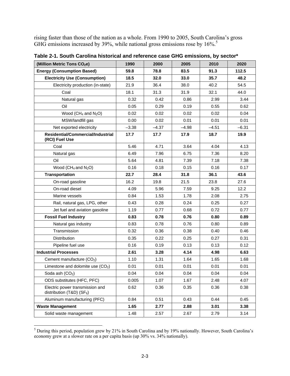rising faster than those of the nation as a whole. From 1990 to 2005, South Carolina's gross GHG emissions increased by 39%, while national gross emissions rose by 16%.<sup>5</sup>

| (Million Metric Tons CO <sub>2</sub> e)                          | 1990    | 2000    | 2005    | 2010    | 2020    |
|------------------------------------------------------------------|---------|---------|---------|---------|---------|
| <b>Energy (Consumption Based)</b>                                | 59.8    | 78.8    | 83.5    | 91.3    | 112.5   |
| <b>Electricity Use (Consumption)</b>                             | 18.5    | 32.0    | 33.0    | 35.7    | 48.2    |
| Electricity production (in-state)                                | 21.9    | 36.4    | 38.0    | 40.2    | 54.5    |
| Coal                                                             | 18.1    | 31.3    | 31.9    | 32.1    | 44.0    |
| Natural gas                                                      | 0.32    | 0.42    | 0.86    | 2.99    | 3.44    |
| Oil                                                              | 0.05    | 0.29    | 0.19    | 0.55    | 0.62    |
| Wood ( $CH_4$ and $N_2O$ )                                       | 0.02    | 0.02    | 0.02    | 0.02    | 0.04    |
| MSW/landfill gas                                                 | 0.00    | 0.02    | 0.01    | 0.01    | 0.01    |
| Net exported electricity                                         | $-3.38$ | $-4.37$ | $-4.98$ | $-4.51$ | $-6.31$ |
| Residential/Commercial/Industrial<br>(RCI) Fuel Use              | 17.7    | 17.7    | 17.9    | 18.7    | 19.9    |
| Coal                                                             | 5.46    | 4.71    | 3.64    | 4.04    | 4.13    |
| Natural gas                                                      | 6.49    | 7.96    | 6.75    | 7.36    | 8.20    |
| Oil                                                              | 5.64    | 4.81    | 7.39    | 7.18    | 7.38    |
| Wood ( $CH_4$ and $N_2O$ )                                       | 0.16    | 0.18    | 0.15    | 0.16    | 0.17    |
| <b>Transportation</b>                                            | 22.7    | 28.4    | 31.8    | 36.1    | 43.6    |
| On-road gasoline                                                 | 16.2    | 19.8    | 21.5    | 23.8    | 27.6    |
| On-road diesel                                                   | 4.09    | 5.96    | 7.59    | 9.25    | 12.2    |
| Marine vessels                                                   | 0.84    | 1.53    | 1.78    | 2.08    | 2.75    |
| Rail, natural gas, LPG, other                                    | 0.43    | 0.28    | 0.24    | 0.25    | 0.27    |
| Jet fuel and aviation gasoline                                   | 1.19    | 0.77    | 0.68    | 0.72    | 0.77    |
| <b>Fossil Fuel Industry</b>                                      | 0.83    | 0.78    | 0.76    | 0.80    | 0.89    |
| Natural gas industry                                             | 0.83    | 0.78    | 0.76    | 0.80    | 0.89    |
| Transmission                                                     | 0.32    | 0.36    | 0.38    | 0.40    | 0.46    |
| Distribution                                                     | 0.35    | 0.22    | 0.25    | 0.27    | 0.31    |
| Pipeline fuel use                                                | 0.16    | 0.19    | 0.13    | 0.13    | 0.12    |
| <b>Industrial Processes</b>                                      | 2.61    | 3.28    | 4.14    | 4.98    | 6.63    |
| Cement manufacture (CO <sub>2</sub> )                            | 1.10    | 1.31    | 1.64    | 1.65    | 1.68    |
| Limestone and dolomite use (CO <sub>2</sub> )                    | 0.01    | 0.01    | 0.01    | 0.01    | 0.01    |
| Soda ash (CO <sub>2</sub> )                                      | 0.04    | 0.04    | 0.04    | 0.04    | 0.04    |
| ODS substitutes (HFC, PFC)                                       | 0.005   | 1.07    | 1.67    | 2.48    | 4.07    |
| Electric power transmission and<br>distribution (T&D) (SF $_6$ ) | 0.62    | 0.36    | 0.35    | 0.36    | 0.38    |
| Aluminum manufacturing (PFC)                                     | 0.84    | 0.51    | 0.43    | 0.44    | 0.45    |
| <b>Waste Management</b>                                          | 1.65    | 2.77    | 2.88    | 3.01    | 3.38    |
| Solid waste management                                           | 1.48    | 2.57    | 2.67    | 2.79    | 3.14    |

**Table 2-1. South Carolina historical and reference case GHG emissions, by sector\*** 

<sup>&</sup>lt;sup>5</sup> During this period, population grew by 21% in South Carolina and by 19% nationally. However, South Carolina's economy grew at a slower rate on a per capita basis (up 30% vs. 34% nationally).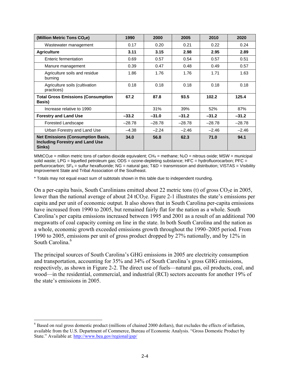| (Million Metric Tons CO <sub>2</sub> e)                                                      | 1990     | 2000     | 2005     | 2010     | 2020     |
|----------------------------------------------------------------------------------------------|----------|----------|----------|----------|----------|
| Wastewater management                                                                        | 0.17     | 0.20     | 0.21     | 0.22     | 0.24     |
| <b>Agriculture</b>                                                                           | 3.11     | 3.15     | 2.98     | 2.95     | 2.89     |
| Enteric fermentation                                                                         | 0.69     | 0.57     | 0.54     | 0.57     | 0.51     |
| Manure management                                                                            | 0.39     | 0.47     | 0.48     | 0.49     | 0.57     |
| Agriculture soils and residue<br>burning                                                     | 1.86     | 1.76     | 1.76     | 1.71     | 1.63     |
| Agriculture soils (cultivation<br>practices)                                                 | 0.18     | 0.18     | 0.18     | 0.18     | 0.18     |
| <b>Total Gross Emissions (Consumption</b><br>Basis)                                          | 67.2     | 87.8     | 93.5     | 102.2    | 125.4    |
| Increase relative to 1990                                                                    |          | 31%      | 39%      | 52%      | 87%      |
| <b>Forestry and Land Use</b>                                                                 | $-33.2$  | $-31.0$  | $-31.2$  | $-31.2$  | $-31.2$  |
| Forested Landscape                                                                           | $-28.78$ | $-28.78$ | $-28.78$ | $-28.78$ | $-28.78$ |
| Urban Forestry and Land Use                                                                  | $-4.38$  | $-2.24$  | $-2.46$  | $-2.46$  | $-2.46$  |
| <b>Net Emissions (Consumption Basis,</b><br><b>Including Forestry and Land Use</b><br>Sinks) | 34.0     | 56.8     | 62.3     | 71.0     | 94.1     |

MMtCO<sub>2</sub>e = million metric tons of carbon dioxide equivalent; CH<sub>4</sub> = methane; N<sub>2</sub>O = nitrous oxide; MSW = municipal solid waste; LPG = liquefied petroleum gas; ODS = ozone-depleting substance; HFC = hydrofluorocarbon; PFC = perfluorocarbon;  $SF_6$  = sulfur hexafluoride; NG = natural gas;  $T&D$  = transmission and distribution; VISTAS = Visibility Improvement State and Tribal Association of the Southeast.

\* Totals may not equal exact sum of subtotals shown in this table due to independent rounding.

On a per-capita basis, South Carolinians emitted about 22 metric tons (t) of gross  $CO<sub>2</sub>e$  in 2005, lower than the national average of about 24 tCO<sub>2</sub>e. Figure 2-1 illustrates the state's emissions per capita and per unit of economic output. It also shows that in South Carolina per-capita emissions have increased from 1990 to 2005, but remained fairly flat for the nation as a whole. South Carolina's per capita emissions increased between 1995 and 2001 as a result of an additional 700 megawatts of coal capacity coming on line in the state. In both South Carolina and the nation as a whole, economic growth exceeded emissions growth throughout the 1990–2005 period. From 1990 to 2005, emissions per unit of gross product dropped by 27% nationally, and by 12% in South Carolina<sup>6</sup>

The principal sources of South Carolina's GHG emissions in 2005 are electricity consumption and transportation, accounting for 35% and 34% of South Carolina's gross GHG emissions, respectively, as shown in Figure 2-2. The direct use of fuels—natural gas, oil products, coal, and wood—in the residential, commercial, and industrial (RCI) sectors accounts for another 19% of the state's emissions in 2005.

<sup>&</sup>lt;sup>6</sup> Based on real gross domestic product (millions of chained 2000 dollars), that excludes the effects of inflation, available from the U.S. Department of Commerce, Bureau of Economic Analysis. "Gross Domestic Product by State." Available at: http://www.bea.gov/regional/gsp/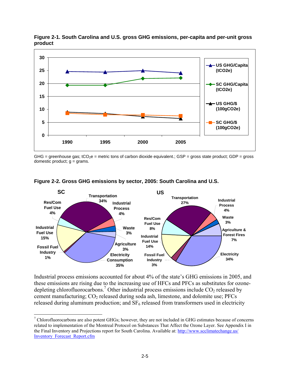

**Figure 2-1. South Carolina and U.S. gross GHG emissions, per-capita and per-unit gross product** 

GHG = greenhouse gas;  $tCO_2e$  = metric tons of carbon dioxide equivalent.; GSP = gross state product; GDP = gross domestic product;  $g =$  grams.



### **Figure 2-2. Gross GHG emissions by sector, 2005: South Carolina and U.S.**

Industrial process emissions accounted for about 4% of the state's GHG emissions in 2005, and these emissions are rising due to the increasing use of HFCs and PFCs as substitutes for ozonedepleting chlorofluorocarbons.<sup>7</sup> Other industrial process emissions include  $CO<sub>2</sub>$  released by cement manufacturing;  $CO_2$  released during soda ash, limestone, and dolomite use; PFCs released during aluminum production; and  $SF<sub>6</sub>$  released from transformers used in electricity

 $<sup>7</sup>$  Chlorofluorocarbons are also potent GHGs; however, they are not included in GHG estimates because of concerns</sup> related to implementation of the Montreal Protocol on Substances That Affect the Ozone Layer. See Appendix I in the Final Inventory and Projections report for South Carolina. Available at: http://www.scclimatechange.us/ Inventory\_Forecast\_Report.cfm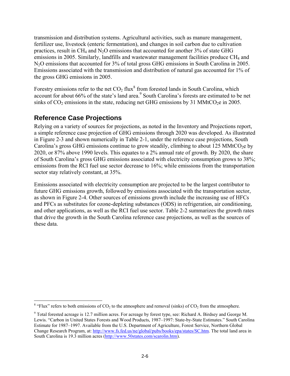transmission and distribution systems. Agricultural activities, such as manure management, fertilizer use, livestock (enteric fermentation), and changes in soil carbon due to cultivation practices, result in  $CH_4$  and  $N_2O$  emissions that accounted for another 3% of state GHG emissions in 2005. Similarly, landfills and wastewater management facilities produce  $CH<sub>4</sub>$  and N<sub>2</sub>O emissions that accounted for 3% of total gross GHG emissions in South Carolina in 2005. Emissions associated with the transmission and distribution of natural gas accounted for 1% of the gross GHG emissions in 2005.

Forestry emissions refer to the net  $CO<sub>2</sub>$  flux<sup>8</sup> from forested lands in South Carolina, which account for about 66% of the state's land area.<sup>9</sup> South Carolina's forests are estimated to be net sinks of  $CO<sub>2</sub>$  emissions in the state, reducing net GHG emissions by 31 MMtCO<sub>2</sub>e in 2005.

## **Reference Case Projections**

Relying on a variety of sources for projections, as noted in the Inventory and Projections report, a simple reference case projection of GHG emissions through 2020 was developed. As illustrated in Figure 2-3 and shown numerically in Table 2-1, under the reference case projections, South Carolina's gross GHG emissions continue to grow steadily, climbing to about 125 MMtCO<sub>2</sub>e by 2020, or 87% above 1990 levels. This equates to a 2% annual rate of growth. By 2020, the share of South Carolina's gross GHG emissions associated with electricity consumption grows to 38%; emissions from the RCI fuel use sector decrease to 16%; while emissions from the transportation sector stay relatively constant, at 35%.

Emissions associated with electricity consumption are projected to be the largest contributor to future GHG emissions growth, followed by emissions associated with the transportation sector, as shown in Figure 2-4. Other sources of emissions growth include the increasing use of HFCs and PFCs as substitutes for ozone-depleting substances (ODS) in refrigeration, air conditioning, and other applications, as well as the RCI fuel use sector. Table 2-2 summarizes the growth rates that drive the growth in the South Carolina reference case projections, as well as the sources of these data.

<sup>1</sup> <sup>8</sup> "Flux" refers to both emissions of  $CO<sub>2</sub>$  to the atmosphere and removal (sinks) of  $CO<sub>2</sub>$  from the atmosphere.

<sup>&</sup>lt;sup>9</sup> Total forested acreage is 12.7 million acres. For acreage by forest type, see: Richard A. Birdsey and George M. Lewis. "Carbon in United States Forests and Wood Products, 1987–1997: State-by-State Estimates." South Carolina Estimate for 1987–1997. Available from the U.S. Department of Agriculture, Forest Service, Northern Global Change Research Program, at: http://www.fs.fed.us/ne/global/pubs/books/epa/states/SC.htm. The total land area in South Carolina is 19.3 million acres (http://www.50states.com/scarolin.htm).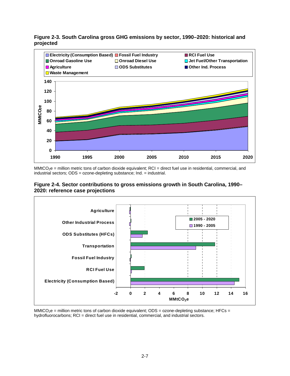

### **Figure 2-3. South Carolina gross GHG emissions by sector, 1990–2020: historical and projected**

 $MMCO<sub>2</sub>e$  = million metric tons of carbon dioxide equivalent; RCI = direct fuel use in residential, commercial, and industrial sectors; ODS = ozone-depleting substance; Ind. = industrial.





MMtCO<sub>2</sub>e = million metric tons of carbon dioxide equivalent; ODS = ozone-depleting substance; HFCs = hydrofluorocarbons; RCI = direct fuel use in residential, commercial, and industrial sectors.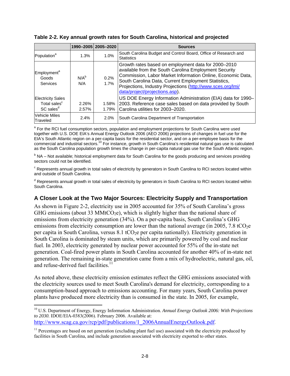|                                                                               |                | 1990-2005   2005-2020 | <b>Sources</b>                                                                                                                                                                                                                                                                                                                      |
|-------------------------------------------------------------------------------|----------------|-----------------------|-------------------------------------------------------------------------------------------------------------------------------------------------------------------------------------------------------------------------------------------------------------------------------------------------------------------------------------|
| Population <sup>a</sup>                                                       | 1.3%           | 1.0%                  | South Carolina Budget and Control Board, Office of Research and<br><b>Statistics</b>                                                                                                                                                                                                                                                |
| Employment <sup>a</sup><br>Goods<br>Services                                  | $N/A^b$<br>N/A | 0.2%<br>1.7%          | Growth rates based on employment data for 2000-2010<br>available from the South Carolina Employment Security<br>Commission, Labor Market Information Online, Economic Data,<br>South Carolina Data, Current Employment Statistics,<br>Projections, Industry Projections (http://www.sces.org/lmi/<br>data/project/projections.asp). |
| <b>Electricity Sales</b><br>Total sales <sup>c</sup><br>SC sales <sup>d</sup> | 2.26%<br>2.57% | 1.58%<br>1.79%        | US DOE Energy Information Administration (EIA) data for 1990-<br>2003. Reference case sales based on data provided by South<br>Carolina utilities for 2003-2020.                                                                                                                                                                    |
| <b>Vehicle Miles</b><br>Traveled                                              | 2.4%           | 2.0%                  | South Carolina Department of Transportation                                                                                                                                                                                                                                                                                         |

**Table 2-2. Key annual growth rates for South Carolina, historical and projected** 

<sup>a</sup> For the RCI fuel consumption sectors, population and employment projections for South Carolina were used together with U.S. DOE EIA's Annual Energy Outlook 2006 (AEO 2006) projections of changes in fuel use for the EIA's South Atlantic region on a per-capita basis for the residential sector, and on a per-employee basis for the commercial and industrial sectors.<sup>10</sup> For instance, growth in South Carolina's residential natural gas use is calculated as the South Carolina population growth times the change in per-capita natural gas use for the South Atlantic region.

<sup>b</sup> NA – Not available; historical employment data for South Carolina for the goods producing and services providing sectors could not be identified.

 $\textdegree$  Represents annual growth in total sales of electricity by generators in South Carolina to RCI sectors located within and outside of South Carolina.

<sup>d</sup> Represents annual growth in total sales of electricity by generators in South Carolina to RCI sectors located within South Carolina.

### **A Closer Look at the Two Major Sources: Electricity Supply and Transportation**

As shown in Figure 2-2, electricity use in 2005 accounted for 35% of South Carolina's gross GHG emissions (about 33 MMtCO<sub>2</sub>e), which is slightly higher than the national share of emissions from electricity generation (34%). On a per-capita basis, South Carolina's GHG emissions from electricity consumption are lower than the national average (in 2005, 7.8 tCO<sub>2</sub>e per capita in South Carolina, versus  $8.1 \text{ tCO}_2$ e per capita nationally). Electricity generation in South Carolina is dominated by steam units, which are primarily powered by coal and nuclear fuel. In 2003, electricity generated by nuclear power accounted for 55% of the in-state net generation. Coal-fired power plants in South Carolina accounted for another 40% of in-state net generation. The remaining in-state generation came from a mix of hydroelectric, natural gas, oil, and refuse-derived fuel facilities. $11$ 

As noted above, these electricity emission estimates reflect the GHG emissions associated with the electricity sources used to meet South Carolina's demand for electricity, corresponding to a consumption-based approach to emissions accounting. For many years, South Carolina power plants have produced more electricity than is consumed in the state. In 2005, for example,

<sup>10</sup> U.S. Department of Energy, Energy Information Administration. *Annual Energy Outlook 2006: With Projections to 2030.* IDOE/EIA-0383(2006). February 2006. Available at: http://www.scag.ca.gov/rcp/pdf/publications/1\_2006AnnualEnergyOutlook.pdf.

 $11$  Percentages are based on net generation (excluding plant fuel use) associated with the electricity produced by facilities in South Carolina, and include generation associated with electricity exported to other states.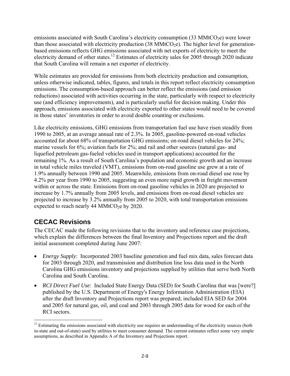emissions associated with South Carolina's electricity consumption  $(33 \text{ MMtCO}_2e)$  were lower than those associated with electricity production  $(38 \text{ MMtCO}_2e)$ . The higher level for generationbased emissions reflects GHG emissions associated with net exports of electricity to meet the electricity demand of other states.<sup>12</sup> Estimates of electricity sales for 2005 through 2020 indicate that South Carolina will remain a net exporter of electricity.

While estimates are provided for emissions from both electricity production and consumption, unless otherwise indicated, tables, figures, and totals in this report reflect electricity consumption emissions. The consumption-based approach can better reflect the emissions (and emission reductions) associated with activities occurring in the state, particularly with respect to electricity use (and efficiency improvements), and is particularly useful for decision making. Under this approach, emissions associated with electricity exported to other states would need to be covered in those states' inventories in order to avoid double counting or exclusions.

Like electricity emissions, GHG emissions from transportation fuel use have risen steadily from 1990 to 2005, at an average annual rate of 2.3%. In 2005, gasoline-powered on-road vehicles accounted for about 68% of transportation GHG emissions; on-road diesel vehicles for 24%; marine vessels for 6%; aviation fuels for 2%; and rail and other sources (natural gas- and liquefied petroleum gas-fueled vehicles used in transport applications) accounted for the remaining 1%. As a result of South Carolina's population and economic growth and an increase in total vehicle miles traveled (VMT), emissions from on-road gasoline use grew at a rate of 1.9% annually between 1990 and 2005. Meanwhile, emissions from on-road diesel use rose by 4.2% per year from 1990 to 2005, suggesting an even more rapid growth in freight movement within or across the state. Emissions from on-road gasoline vehicles in 2020 are projected to increase by 1.7% annually from 2005 levels, and emissions from on-road diesel vehicles are projected to increase by 3.2% annually from 2005 to 2020, with total transportation emissions expected to reach nearly 44 MMtCO<sub>2</sub>e by 2020.

## **CECAC Revisions**

The CECAC made the following revisions that to the inventory and reference case projections, which explain the differences between the final Inventory and Projections report and the draft initial assessment completed during June 2007:

- *Energy Supply*: Incorporated 2003 baseline generation and fuel mix data, sales forecast data for 2003 through 2020, and transmission and distribution line loss data used in the North Carolina GHG emissions inventory and projections supplied by utilities that serve both North Carolina and South Carolina.
- *RCI Direct Fuel Use*: Included State Energy Data (SED) for South Carolina that was [were?] published by the U.S. Department of Energy's Energy Information Administration (EIA) after the draft Inventory and Projections report was prepared; included EIA SED for 2004 and 2005 for natural gas, oil, and coal and 2003 through 2005 data for wood for each of the RCI sectors.

<sup>1</sup>  $12$  Estimating the emissions associated with electricity use requires an understanding of the electricity sources (both in-state and out-of-state) used by utilities to meet consumer demand. The current estimates reflect some very simple assumptions, as described in Appendix A of the Inventory and Projections report.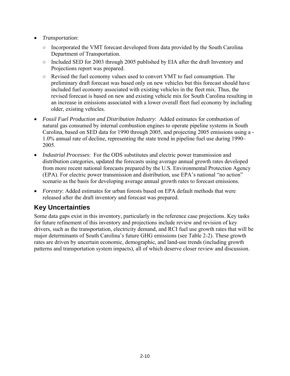- *Transportation*:
	- Incorporated the VMT forecast developed from data provided by the South Carolina Department of Transportation.
	- Included SED for 2003 through 2005 published by EIA after the draft Inventory and Projections report was prepared.
	- Revised the fuel economy values used to convert VMT to fuel consumption. The preliminary draft forecast was based only on new vehicles but this forecast should have included fuel economy associated with existing vehicles in the fleet mix. Thus, the revised forecast is based on new and existing vehicle mix for South Carolina resulting in an increase in emissions associated with a lower overall fleet fuel economy by including older, existing vehicles.
- *Fossil Fuel Production and Distribution Industry*: Added estimates for combustion of natural gas consumed by internal combustion engines to operate pipeline systems in South Carolina, based on SED data for 1990 through 2005, and projecting 2005 emissions using a - 1.0% annual rate of decline, representing the state trend in pipeline fuel use during 1990– 2005.
- *Industrial Processes*: For the ODS substitutes and electric power transmission and distribution categories, updated the forecasts using average annual growth rates developed from more recent national forecasts prepared by the U.S. Environmental Protection Agency (EPA). For electric power transmission and distribution, use EPA's national "no action" scenario as the basis for developing average annual growth rates to forecast emissions.
- *Forestry*: Added estimates for urban forests based on EPA default methods that were released after the draft inventory and forecast was prepared.

## **Key Uncertainties**

Some data gaps exist in this inventory, particularly in the reference case projections. Key tasks for future refinement of this inventory and projections include review and revision of key drivers, such as the transportation, electricity demand, and RCI fuel use growth rates that will be major determinants of South Carolina's future GHG emissions (see Table 2-2). These growth rates are driven by uncertain economic, demographic, and land-use trends (including growth patterns and transportation system impacts), all of which deserve closer review and discussion.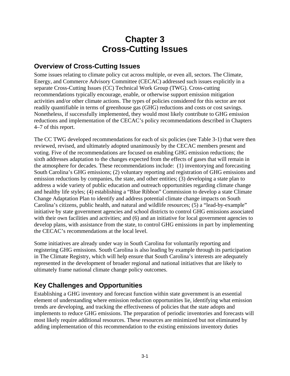# **Chapter 3 Cross-Cutting Issues**

## **Overview of Cross-Cutting Issues**

Some issues relating to climate policy cut across multiple, or even all, sectors. The Climate, Energy, and Commerce Advisory Committee (CECAC) addressed such issues explicitly in a separate Cross-Cutting Issues (CC) Technical Work Group (TWG). Cross-cutting recommendations typically encourage, enable, or otherwise support emission mitigation activities and/or other climate actions. The types of policies considered for this sector are not readily quantifiable in terms of greenhouse gas (GHG) reductions and costs or cost savings. Nonetheless, if successfully implemented, they would most likely contribute to GHG emission reductions and implementation of the CECAC's policy recommendations described in Chapters 4–7 of this report.

The CC TWG developed recommendations for each of six policies (see Table 3-1) that were then reviewed, revised, and ultimately adopted unanimously by the CECAC members present and voting. Five of the recommendations are focused on enabling GHG emission reductions; the sixth addresses adaptation to the changes expected from the effects of gases that will remain in the atmosphere for decades. These recommendations include: (1) inventorying and forecasting South Carolina's GHG emissions; (2) voluntary reporting and registration of GHG emissions and emission reductions by companies, the state, and other entities; (3) developing a state plan to address a wide variety of public education and outreach opportunities regarding climate change and healthy life styles; (4) establishing a "Blue Ribbon" Commission to develop a state Climate Change Adaptation Plan to identify and address potential climate change impacts on South Carolina's citizens, public health, and natural and wildlife resources; (5) a "lead-by-example" initiative by state government agencies and school districts to control GHG emissions associated with their own facilities and activities; and (6) and an initiative for local government agencies to develop plans, with assistance from the state, to control GHG emissions in part by implementing the CECAC's recommendations at the local level.

Some initiatives are already under way in South Carolina for voluntarily reporting and registering GHG emissions. South Carolina is also leading by example through its participation in The Climate Registry, which will help ensure that South Carolina's interests are adequately represented in the development of broader regional and national initiatives that are likely to ultimately frame national climate change policy outcomes.

## **Key Challenges and Opportunities**

Establishing a GHG inventory and forecast function within state government is an essential element of understanding where emission reduction opportunities lie, identifying what emission trends are developing, and tracking the effectiveness of policies that the state adopts and implements to reduce GHG emissions. The preparation of periodic inventories and forecasts will most likely require additional resources. These resources are minimized but not eliminated by adding implementation of this recommendation to the existing emissions inventory duties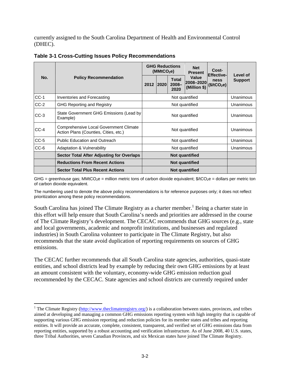currently assigned to the South Carolina Department of Health and Environmental Control (DHEC).

|        |                                                                                 | <b>GHG Reductions</b><br>(MMtCO <sub>2</sub> e) |                |                                  | <b>Net</b><br><b>Present</b>       | Cost-<br><b>Effective-</b>      |                            |
|--------|---------------------------------------------------------------------------------|-------------------------------------------------|----------------|----------------------------------|------------------------------------|---------------------------------|----------------------------|
| No.    | <b>Policy Recommendation</b>                                                    |                                                 | 2012 2020      | <b>Total</b><br>$2008 -$<br>2020 | Value<br>2008-2020<br>(Million \$) | ness<br>(\$/tCO <sub>2</sub> e) | Level of<br><b>Support</b> |
| $CC-1$ | Inventories and Forecasting                                                     |                                                 |                |                                  | Not quantified                     |                                 | Unanimous                  |
| $CC-2$ | <b>GHG Reporting and Registry</b>                                               |                                                 |                |                                  | Not quantified                     |                                 | Unanimous                  |
| CC-3   | State Government GHG Emissions (Lead by<br>Example)                             |                                                 |                | Unanimous                        |                                    |                                 |                            |
| $CC-4$ | Comprehensive Local Government Climate<br>Action Plans (Counties, Cities, etc.) |                                                 | Not quantified |                                  |                                    |                                 | Unanimous                  |
| $CC-5$ | <b>Public Education and Outreach</b>                                            |                                                 |                |                                  | Not quantified                     |                                 | Unanimous                  |
| $CC-6$ | <b>Adaptation &amp; Vulnerability</b>                                           |                                                 |                |                                  | Not quantified                     |                                 | Unanimous                  |
|        | <b>Sector Total After Adjusting for Overlaps</b>                                |                                                 |                |                                  |                                    |                                 |                            |
|        | <b>Reductions From Recent Actions</b>                                           |                                                 |                |                                  |                                    |                                 |                            |
|        | <b>Sector Total Plus Recent Actions</b>                                         |                                                 |                |                                  | Not quantified                     |                                 |                            |

**Table 3-1 Cross-Cutting Issues Policy Recommendations** 

GHG = greenhouse gas; MMtCO<sub>2</sub>e = million metric tons of carbon dioxide equivalent;  $\frac{6}{2}$ c = dollars per metric ton of carbon dioxide equivalent.

The numbering used to denote the above policy recommendations is for reference purposes only; it does not reflect prioritization among these policy recommendations.

South Carolina has joined The Climate Registry as a charter member.<sup>1</sup> Being a charter state in this effort will help ensure that South Carolina's needs and priorities are addressed in the course of The Climate Registry's development. The CECAC recommends that GHG sources (e.g., state and local governments, academic and nonprofit institutions, and businesses and regulated industries) in South Carolina volunteer to participate in The Climate Registry, but also recommends that the state avoid duplication of reporting requirements on sources of GHG emissions.

The CECAC further recommends that all South Carolina state agencies, authorities, quasi-state entities, and school districts lead by example by reducing their own GHG emissions by at least an amount consistent with the voluntary, economy-wide GHG emission reduction goal recommended by the CECAC. State agencies and school districts are currently required under

<sup>&</sup>lt;sup>1</sup> The Climate Registry ( $\frac{http://www.theclimate registry.org/}{http://www.theclimate registry.org/}$ ) is a collaboration between states, provinces, and tribes aimed at developing and managing a common GHG emissions reporting system with high integrity that is capable of supporting various GHG emission reporting and reduction policies for its member states and tribes and reporting entities. It will provide an accurate, complete, consistent, transparent, and verified set of GHG emissions data from reporting entities, supported by a robust accounting and verification infrastructure. As of June 2008, 40 U.S. states, three Tribal Authorities, seven Canadian Provinces, and six Mexican states have joined The Climate Registry.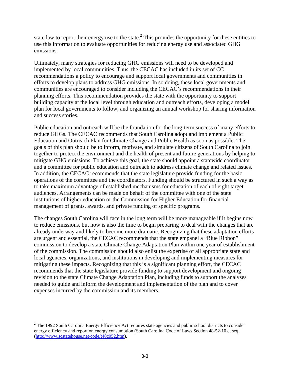state law to report their energy use to the state. $<sup>2</sup>$  This provides the opportunity for these entities to</sup> use this information to evaluate opportunities for reducing energy use and associated GHG emissions.

Ultimately, many strategies for reducing GHG emissions will need to be developed and implemented by local communities. Thus, the CECAC has included in its set of CC recommendations a policy to encourage and support local governments and communities in efforts to develop plans to address GHG emissions. In so doing, these local governments and communities are encouraged to consider including the CECAC's recommendations in their planning efforts. This recommendation provides the state with the opportunity to support building capacity at the local level through education and outreach efforts, developing a model plan for local governments to follow, and organizing an annual workshop for sharing information and success stories.

Public education and outreach will be the foundation for the long-term success of many efforts to reduce GHGs. The CECAC recommends that South Carolina adopt and implement a Public Education and Outreach Plan for Climate Change and Public Health as soon as possible. The goals of this plan should be to inform, motivate, and simulate citizens of South Carolina to join together to protect the environment and the health of present and future generations by helping to mitigate GHG emissions. To achieve this goal, the state should appoint a statewide coordinator and a committee for public education and outreach to address climate change and related issues. In addition, the CECAC recommends that the state legislature provide funding for the basic operations of the committee and the coordinators. Funding should be structured in such a way as to take maximum advantage of established mechanisms for education of each of eight target audiences. Arrangements can be made on behalf of the committee with one of the state institutions of higher education or the Commission for Higher Education for financial management of grants, awards, and private funding of specific programs.

The changes South Carolina will face in the long term will be more manageable if it begins now to reduce emissions, but now is also the time to begin preparing to deal with the changes that are already underway and likely to become more dramatic. Recognizing that these adaptation efforts are urgent and essential, the CECAC recommends that the state empanel a "Blue Ribbon" commission to develop a state Climate Change Adaptation Plan within one year of establishment of the commission. The commission should also enlist the expertise of all appropriate state and local agencies, organizations, and institutions in developing and implementing measures for mitigating these impacts. Recognizing that this is a significant planning effort, the CECAC recommends that the state legislature provide funding to support development and ongoing revision to the state Climate Change Adaptation Plan, including funds to support the analyses needed to guide and inform the development and implementation of the plan and to cover expenses incurred by the commission and its members.

 $2^2$  The 1992 South Carolina Energy Efficiency Act requires state agencies and public school districts to consider energy efficiency and report on energy consumption (South Carolina Code of Laws Section 48-52-10 et seq. (http://www.scstatehouse.net/code/t48c052.htm).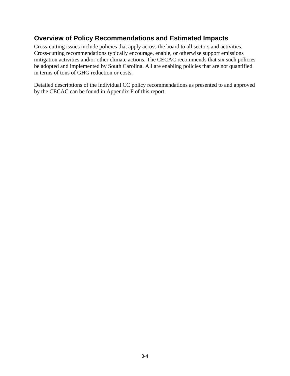## **Overview of Policy Recommendations and Estimated Impacts**

Cross-cutting issues include policies that apply across the board to all sectors and activities. Cross-cutting recommendations typically encourage, enable, or otherwise support emissions mitigation activities and/or other climate actions. The CECAC recommends that six such policies be adopted and implemented by South Carolina. All are enabling policies that are not quantified in terms of tons of GHG reduction or costs.

Detailed descriptions of the individual CC policy recommendations as presented to and approved by the CECAC can be found in Appendix F of this report.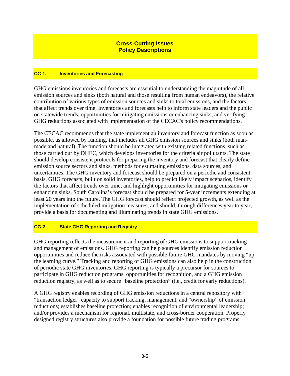### **Cross-Cutting Issues Policy Descriptions**

### **CC-1. Inventories and Forecasting**

GHG emissions inventories and forecasts are essential to understanding the magnitude of all emission sources and sinks (both natural and those resulting from human endeavors), the relative contribution of various types of emission sources and sinks to total emissions, and the factors that affect trends over time. Inventories and forecasts help to inform state leaders and the public on statewide trends, opportunities for mitigating emissions or enhancing sinks, and verifying GHG reductions associated with implementation of the CECAC's policy recommendations.

The CECAC recommends that the state implement an inventory and forecast function as soon as possible, as allowed by funding, that includes all GHG emission sources and sinks (both manmade and natural). The function should be integrated with existing related functions, such as those carried our by DHEC, which develops inventories for the criteria air pollutants. The state should develop consistent protocols for preparing the inventory and forecast that clearly define emission source sectors and sinks, methods for estimating emissions, data sources, and uncertainties. The GHG inventory and forecast should be prepared on a periodic and consistent basis. GHG forecasts, built on solid inventories, help to predict likely impact scenarios, identify the factors that affect trends over time, and highlight opportunities for mitigating emissions or enhancing sinks. South Carolina's forecast should be prepared for 5-year increments extending at least 20 years into the future. The GHG forecast should reflect projected growth, as well as the implementation of scheduled mitigation measures, and should, through differences year to year, provide a basis for documenting and illuminating trends in state GHG emissions.

### **CC-2. State GHG Reporting and Registry**

GHG reporting reflects the measurement and reporting of GHG emissions to support tracking and management of emissions. GHG reporting can help sources identify emission reduction opportunities and reduce the risks associated with possible future GHG mandates by moving "up the learning curve." Tracking and reporting of GHG emissions can also help in the construction of periodic state GHG inventories. GHG reporting is typically a precursor for sources to participate in GHG reduction programs, opportunities for recognition, and a GHG emission reduction registry, as well as to secure "baseline protection" (i.e., credit for early reductions).

A GHG registry enables recording of GHG emission reductions in a central repository with "transaction ledger" capacity to support tracking, management, and "ownership" of emission reductions; establishes baseline protection; enables recognition of environmental leadership; and/or provides a mechanism for regional, multistate, and cross-border cooperation. Properly designed registry structures also provide a foundation for possible future trading programs.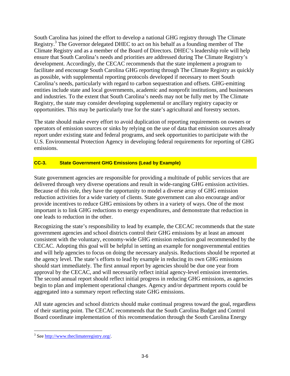South Carolina has joined the effort to develop a national GHG registry through The Climate Registry.<sup>3</sup> The Governor delegated DHEC to act on his behalf as a founding member of The Climate Registry and as a member of the Board of Directors. DHEC's leadership role will help ensure that South Carolina's needs and priorities are addressed during The Climate Registry's development. Accordingly, the CECAC recommends that the state implement a program to facilitate and encourage South Carolina GHG reporting through The Climate Registry as quickly as possible, with supplemental reporting protocols developed if necessary to meet South Carolina's needs, particularly with regard to carbon sequestration and offsets. GHG-emitting entities include state and local governments, academic and nonprofit institutions, and businesses and industries. To the extent that South Carolina's needs may not be fully met by The Climate Registry, the state may consider developing supplemental or ancillary registry capacity or opportunities. This may be particularly true for the state's agricultural and forestry sectors.

The state should make every effort to avoid duplication of reporting requirements on owners or operators of emission sources or sinks by relying on the use of data that emission sources already report under existing state and federal programs, and seek opportunities to participate with the U.S. Environmental Protection Agency in developing federal requirements for reporting of GHG emissions.

### **CC-3. State Government GHG Emissions (Lead by Example)**

State government agencies are responsible for providing a multitude of public services that are delivered through very diverse operations and result in wide-ranging GHG emission activities. Because of this role, they have the opportunity to model a diverse array of GHG emission reduction activities for a wide variety of clients. State government can also encourage and/or provide incentives to reduce GHG emissions by others in a variety of ways. One of the most important is to link GHG reductions to energy expenditures, and demonstrate that reduction in one leads to reduction in the other.

Recognizing the state's responsibility to lead by example, the CECAC recommends that the state government agencies and school districts control their GHG emissions by at least an amount consistent with the voluntary, economy-wide GHG emission reduction goal recommended by the CECAC. Adopting this goal will be helpful in setting an example for nongovernmental entities and will help agencies to focus on doing the necessary analysis. Reductions should be reported at the agency level. The state's efforts to lead by example in reducing its own GHG emissions should start immediately. The first annual report by agencies should be due one year from approval by the CECAC, and will necessarily reflect initial agency-level emission inventories. The second annual report should reflect initial progress in reducing GHG emissions, as agencies begin to plan and implement operational changes. Agency and/or department reports could be aggregated into a summary report reflecting state GHG emissions.

All state agencies and school districts should make continual progress toward the goal, regardless of their starting point. The CECAC recommends that the South Carolina Budget and Control Board coordinate implementation of this recommendation through the South Carolina Energy

 $\overline{a}$ <sup>3</sup> See http://www.theclimateregistry.org/.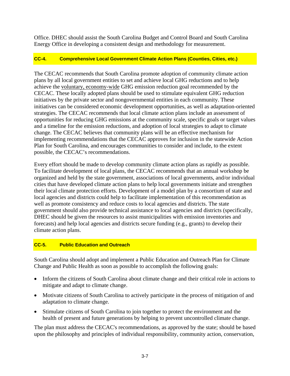Office. DHEC should assist the South Carolina Budget and Control Board and South Carolina Energy Office in developing a consistent design and methodology for measurement.

### **CC-4. Comprehensive Local Government Climate Action Plans (Counties, Cities, etc.)**

The CECAC recommends that South Carolina promote adoption of community climate action plans by all local government entities to set and achieve local GHG reductions and to help achieve the voluntary, economy-wide GHG emission reduction goal recommended by the CECAC. These locally adopted plans should be used to stimulate equivalent GHG reduction initiatives by the private sector and nongovernmental entities in each community. These initiatives can be considered economic development opportunities, as well as adaptation-oriented strategies. The CECAC recommends that local climate action plans include an assessment of opportunities for reducing GHG emissions at the community scale, specific goals or target values and a timeline for the emission reductions, and adoption of local strategies to adapt to climate change. The CECAC believes that community plans will be an effective mechanism for implementing recommendations that the CECAC approves for inclusion in the statewide Action Plan for South Carolina, and encourages communities to consider and include, to the extent possible, the CECAC's recommendations.

Every effort should be made to develop community climate action plans as rapidly as possible. To facilitate development of local plans, the CECAC recommends that an annual workshop be organized and held by the state government, associations of local governments, and/or individual cities that have developed climate action plans to help local governments initiate and strengthen their local climate protection efforts. Development of a model plan by a consortium of state and local agencies and districts could help to facilitate implementation of this recommendation as well as promote consistency and reduce costs to local agencies and districts. The state government should also provide technical assistance to local agencies and districts (specifically, DHEC should be given the resources to assist municipalities with emission inventories and forecasts) and help local agencies and districts secure funding (e.g., grants) to develop their climate action plans.

### **CC-5. Public Education and Outreach**

South Carolina should adopt and implement a Public Education and Outreach Plan for Climate Change and Public Health as soon as possible to accomplish the following goals:

- Inform the citizens of South Carolina about climate change and their critical role in actions to mitigate and adapt to climate change.
- Motivate citizens of South Carolina to actively participate in the process of mitigation of and adaptation to climate change.
- Stimulate citizens of South Carolina to join together to protect the environment and the health of present and future generations by helping to prevent uncontrolled climate change.

The plan must address the CECAC's recommendations, as approved by the state; should be based upon the philosophy and principles of individual responsibility, community action, conservation,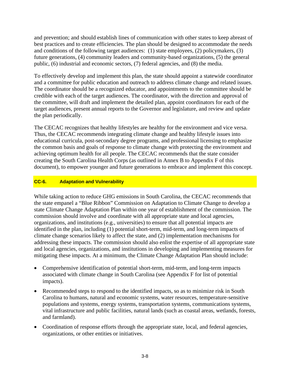and prevention; and should establish lines of communication with other states to keep abreast of best practices and to create efficiencies. The plan should be designed to accommodate the needs and conditions of the following target audiences: (1) state employees, (2) policymakers, (3) future generations, (4) community leaders and community-based organizations, (5) the general public, (6) industrial and economic sectors, (7) federal agencies, and (8) the media.

To effectively develop and implement this plan, the state should appoint a statewide coordinator and a committee for public education and outreach to address climate change and related issues. The coordinator should be a recognized educator, and appointments to the committee should be credible with each of the target audiences. The coordinator, with the direction and approval of the committee, will draft and implement the detailed plan, appoint coordinators for each of the target audiences, present annual reports to the Governor and legislature, and review and update the plan periodically.

The CECAC recognizes that healthy lifestyles are healthy for the environment and vice versa. Thus, the CECAC recommends integrating climate change and healthy lifestyle issues into educational curricula, post-secondary degree programs, and professional licensing to emphasize the common basis and goals of response to climate change with protecting the environment and achieving optimum health for all people. The CECAC recommends that the state consider creating the South Carolina Health Corps (as outlined in Annex B to Appendix F of this document), to empower younger and future generations to embrace and implement this concept.

### **CC-6. Adaptation and Vulnerability**

While taking action to reduce GHG emissions in South Carolina, the CECAC recommends that the state empanel a "Blue Ribbon" Commission on Adaptation to Climate Change to develop a state Climate Change Adaptation Plan within one year of establishment of the commission. The commission should involve and coordinate with all appropriate state and local agencies, organizations, and institutions (e.g., universities) to ensure that all potential impacts are identified in the plan, including (1) potential short-term, mid-term, and long-term impacts of climate change scenarios likely to affect the state, and (2) implementation mechanisms for addressing these impacts. The commission should also enlist the expertise of all appropriate state and local agencies, organizations, and institutions in developing and implementing measures for mitigating these impacts. At a minimum, the Climate Change Adaptation Plan should include:

- Comprehensive identification of potential short-term, mid-term, and long-term impacts associated with climate change in South Carolina (see Appendix F for list of potential impacts).
- Recommended steps to respond to the identified impacts, so as to minimize risk in South Carolina to humans, natural and economic systems, water resources, temperature-sensitive populations and systems, energy systems, transportation systems, communications systems, vital infrastructure and public facilities, natural lands (such as coastal areas, wetlands, forests, and farmland).
- Coordination of response efforts through the appropriate state, local, and federal agencies, organizations, or other entities or initiatives.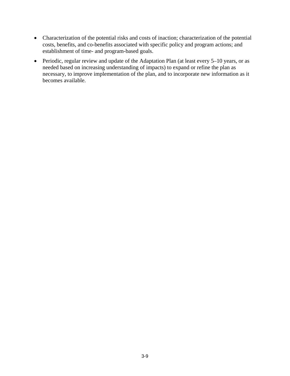- Characterization of the potential risks and costs of inaction; characterization of the potential costs, benefits, and co-benefits associated with specific policy and program actions; and establishment of time- and program-based goals.
- Periodic, regular review and update of the Adaptation Plan (at least every 5–10 years, or as needed based on increasing understanding of impacts) to expand or refine the plan as necessary, to improve implementation of the plan, and to incorporate new information as it becomes available.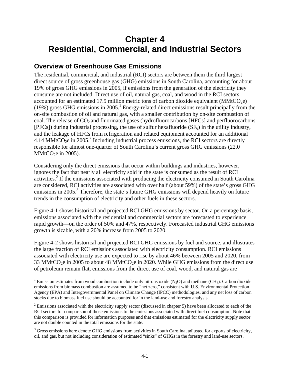# **Chapter 4 Residential, Commercial, and Industrial Sectors**

## **Overview of Greenhouse Gas Emissions**

1

The residential, commercial, and industrial (RCI) sectors are between them the third largest direct source of gross greenhouse gas (GHG) emissions in South Carolina, accounting for about 19% of gross GHG emissions in 2005, if emissions from the generation of the electricity they consume are not included. Direct use of oil, natural gas, coal, and wood in the RCI sectors accounted for an estimated 17.9 million metric tons of carbon dioxide equivalent (MMtCO<sub>2</sub>e) (19%) gross GHG emissions in 2005.<sup>1</sup> Energy-related direct emissions result principally from the on-site combustion of oil and natural gas, with a smaller contribution by on-site combustion of coal. The release of CO<sub>2</sub> and fluorinated gases (hydrofluorocarbons [HFCs] and perfluorocarbons  $[PFCs]$ ) during industrial processing, the use of sulfur hexafluoride  $(SF<sub>6</sub>)$  in the utility industry, and the leakage of HFCs from refrigeration and related equipment accounted for an additional 4.14 MMtCO<sub>2</sub>e in 2005.<sup>2</sup> Including industrial process emissions, the RCI sectors are directly responsible for almost one-quarter of South Carolina's current gross GHG emissions (22.0  $MMtCO<sub>2</sub>e$  in 2005).

Considering only the direct emissions that occur within buildings and industries, however, ignores the fact that nearly all electricity sold in the state is consumed as the result of RCI activities.<sup>2</sup> If the emissions associated with producing the electricity consumed in South Carolina are considered, RCI activities are associated with over half (about 59%) of the state's gross GHG emissions in 2005.<sup>3</sup> Therefore, the state's future GHG emissions will depend heavily on future trends in the consumption of electricity and other fuels in these sectors.

Figure 4-1 shows historical and projected RCI GHG emissions by sector. On a percentage basis, emissions associated with the residential and commercial sectors are forecasted to experience rapid growth—on the order of 50% and 47%, respectively. Forecasted industrial GHG emissions growth is sizable, with a 20% increase from 2005 to 2020.

Figure 4-2 shows historical and projected RCI GHG emissions by fuel and source, and illustrates the large fraction of RCI emissions associated with electricity consumption. RCI emissions associated with electricity use are expected to rise by about 46% between 2005 and 2020, from 33 MMtCO<sub>2</sub>e in 2005 to about 48 MMtCO<sub>2</sub>e in 2020. While GHG emissions from the direct use of petroleum remain flat, emissions from the direct use of coal, wood, and natural gas are

<sup>&</sup>lt;sup>1</sup> Emission estimates from wood combustion include only nitrous oxide  $(N_2O)$  and methane (CH<sub>4</sub>). Carbon dioxide emissions from biomass combustion are assumed to be "net zero," consistent with U.S. Environmental Protection Agency (EPA) and Intergovernmental Panel on Climate Change (IPCC) methodologies, and any net loss of carbon stocks due to biomass fuel use should be accounted for in the land-use and forestry analysis.

 $2^2$  Emissions associated with the electricity supply sector (discussed in chapter 5) have been allocated to each of the RCI sectors for comparison of those emissions to the emissions associated with direct fuel consumption. Note that this comparison is provided for information purposes and that emissions estimated for the electricity supply sector are not double counted in the total emissions for the state.

 $3$  Gross emissions here denote GHG emissions from activities in South Carolina, adjusted for exports of electricity, oil, and gas, but not including consideration of estimated "sinks" of GHGs in the forestry and land-use sectors.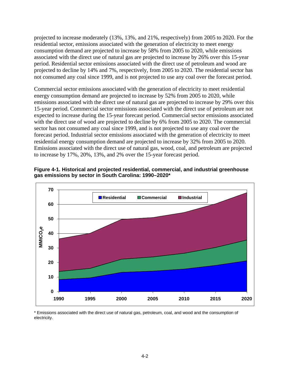projected to increase moderately (13%, 13%, and 21%, respectively) from 2005 to 2020. For the residential sector, emissions associated with the generation of electricity to meet energy consumption demand are projected to increase by 58% from 2005 to 2020, while emissions associated with the direct use of natural gas are projected to increase by 26% over this 15-year period. Residential sector emissions associated with the direct use of petroleum and wood are projected to decline by 14% and 7%, respectively, from 2005 to 2020. The residential sector has not consumed any coal since 1999, and is not projected to use any coal over the forecast period.

Commercial sector emissions associated with the generation of electricity to meet residential energy consumption demand are projected to increase by 52% from 2005 to 2020, while emissions associated with the direct use of natural gas are projected to increase by 29% over this 15-year period. Commercial sector emissions associated with the direct use of petroleum are not expected to increase during the 15-year forecast period. Commercial sector emissions associated with the direct use of wood are projected to decline by 6% from 2005 to 2020. The commercial sector has not consumed any coal since 1999, and is not projected to use any coal over the forecast period. Industrial sector emissions associated with the generation of electricity to meet residential energy consumption demand are projected to increase by 32% from 2005 to 2020. Emissions associated with the direct use of natural gas, wood, coal, and petroleum are projected to increase by 17%, 20%, 13%, and 2% over the 15-year forecast period.





\* Emissions associated with the direct use of natural gas, petroleum, coal, and wood and the consumption of electricity.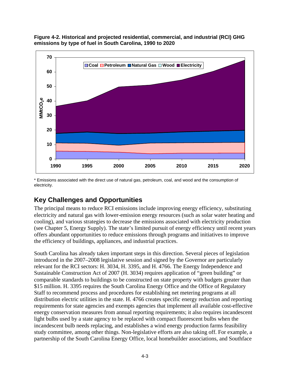

**Figure 4-2. Historical and projected residential, commercial, and industrial (RCI) GHG emissions by type of fuel in South Carolina, 1990 to 2020** 

\* Emissions associated with the direct use of natural gas, petroleum, coal, and wood and the consumption of electricity.

# **Key Challenges and Opportunities**

The principal means to reduce RCI emissions include improving energy efficiency, substituting electricity and natural gas with lower-emission energy resources (such as solar water heating and cooling), and various strategies to decrease the emissions associated with electricity production (see Chapter 5, Energy Supply). The state's limited pursuit of energy efficiency until recent years offers abundant opportunities to reduce emissions through programs and initiatives to improve the efficiency of buildings, appliances, and industrial practices.

South Carolina has already taken important steps in this direction. Several pieces of legislation introduced in the 2007–2008 legislative session and signed by the Governor are particularly relevant for the RCI sectors: H. 3034, H. 3395, and H. 4766. The Energy Independence and Sustainable Construction Act of 2007 (H. 3034) requires application of "green building" or comparable standards to buildings to be constructed on state property with budgets greater than \$15 million. H. 3395 requires the South Carolina Energy Office and the Office of Regulatory Staff to recommend process and procedures for establishing net metering programs at all distribution electric utilities in the state. H. 4766 creates specific energy reduction and reporting requirements for state agencies and exempts agencies that implement all available cost-effective energy conservation measures from annual reporting requirements; it also requires incandescent light bulbs used by a state agency to be replaced with compact fluorescent bulbs when the incandescent bulb needs replacing, and establishes a wind energy production farms feasibility study committee, among other things. Non-legislative efforts are also taking off. For example, a partnership of the South Carolina Energy Office, local homebuilder associations, and Southface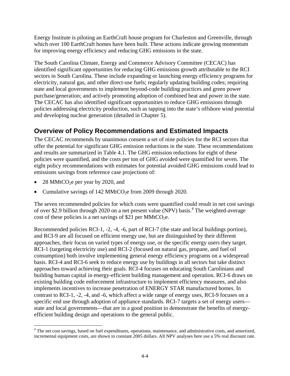Energy Institute is piloting an EarthCraft house program for Charleston and Greenville, through which over 100 EarthCraft homes have been built. These actions indicate growing momentum for improving energy efficiency and reducing GHG emissions in the state.

The South Carolina Climate, Energy and Commerce Advisory Committee (CECAC) has identified significant opportunities for reducing GHG emissions growth attributable to the RCI sectors in South Carolina. These include expanding or launching energy efficiency programs for electricity, natural gas, and other direct-use fuels; regularly updating building codes; requiring state and local governments to implement beyond-code building practices and green power purchase/generation; and actively promoting adoption of combined heat and power in the state. The CECAC has also identified significant opportunities to reduce GHG emissions through policies addressing electricity production, such as tapping into the state's offshore wind potential and developing nuclear generation (detailed in Chapter 5).

# **Overview of Policy Recommendations and Estimated Impacts**

The CECAC recommends by unanimous consent a set of nine policies for the RCI sectors that offer the potential for significant GHG emission reductions in the state. These recommendations and results are summarized in Table 4.1. The GHG emission reductions for eight of these policies were quantified, and the costs per ton of GHG avoided were quantified for seven. The eight policy recommendations with estimates for potential avoided GHG emissions could lead to emissions savings from reference case projections of:

28 MMtCO<sub>2</sub>e per year by 2020, and

 $\overline{a}$ 

Cumulative savings of  $142 \text{ MMtCO}_2$ e from 2009 through 2020.

The seven recommended policies for which costs were quantified could result in net cost savings of over \$2.9 billion through 2020 on a net present value (NPV) basis.<sup>4</sup> The weighted-average cost of these policies is a net savings of \$21 per MMtCO<sub>2</sub>e.

Recommended policies RCI-1, -2, -4, -6, part of RCI-7 (the state and local buildings portion), and RCI-9 are all focused on efficient energy use, but are distinguished by their different approaches, their focus on varied types of energy use, or the specific energy users they target. RCI-1 (targeting electricity use) and RCI-2 (focused on natural gas, propane, and fuel oil consumption) both involve implementing general energy efficiency programs on a widespread basis. RCI-4 and RCI-6 seek to reduce energy use by buildings in all sectors but take distinct approaches toward achieving their goals. RCI-4 focuses on educating South Carolinians and building human capital in energy-efficient building management and operation. RCI-6 draws on existing building code enforcement infrastructure to implement efficiency measures, and also implements incentives to increase penetration of ENERGY STAR manufactured homes. In contrast to RCI-1, -2, -4, and -6, which affect a wide range of energy uses, RCI-9 focuses on a specific end use through adoption of appliance standards. RCI-7 targets a set of energy users state and local governments—that are in a good position to demonstrate the benefits of energyefficient building design and operations to the general public.

<sup>&</sup>lt;sup>4</sup> The net cost savings, based on fuel expenditures, operations, maintenance, and administrative costs, and amortized, incremental equipment costs, are shown in constant 2005 dollars. All NPV analyses here use a 5% real discount rate.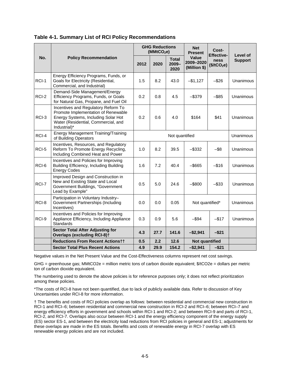|       | <b>Policy Recommendation</b>                                                                                                                                             |                    | <b>GHG Reductions</b><br>(MMtCO <sub>2</sub> e) |                                  | <b>Net</b><br><b>Present</b>       | Cost-                                                | Level of<br><b>Support</b> |  |
|-------|--------------------------------------------------------------------------------------------------------------------------------------------------------------------------|--------------------|-------------------------------------------------|----------------------------------|------------------------------------|------------------------------------------------------|----------------------------|--|
| No.   |                                                                                                                                                                          | 2012               | 2020                                            | <b>Total</b><br>$2009 -$<br>2020 | Value<br>2009-2020<br>(Million \$) | <b>Effective-</b><br>ness<br>(\$/tCO <sub>2</sub> e) |                            |  |
| RCI-1 | Energy Efficiency Programs, Funds, or<br>Goals for Electricity (Residential,<br>Commercial, and Industrial)                                                              | 1.5                | 8.2                                             | 43.0                             | $-$1,127$                          | $-$ \$26                                             | <b>Unanimous</b>           |  |
| RCI-2 | Demand-Side Management/Energy<br>Efficiency Programs, Funds, or Goals<br>for Natural Gas, Propane, and Fuel Oil                                                          | 0.2                | 0.8                                             | 4.5                              | $-$ \$379                          | $-$ \$85                                             | Unanimous                  |  |
| RCI-3 | Incentives and Regulatory Reform To<br>Promote Implementation of Renewable<br>Energy Systems, Including Solar Hot<br>Water (Residential, Commercial, and<br>Industrial)* | 0.2                | 0.6                                             | 4.0                              | \$164                              | \$41                                                 | Unanimous                  |  |
| RCI-4 | <b>Energy Management Training/Training</b><br>of Building Operators                                                                                                      |                    | Not quantified                                  |                                  |                                    |                                                      |                            |  |
| RCI-5 | Incentives, Resources, and Regulatory<br>Reform To Promote Energy Recycling,<br>Including Combined Heat and Power                                                        | 1.0                | 8.2                                             | 39.5                             | $-$ \$332                          | $-$ \$8                                              | Unanimous                  |  |
| RCI-6 | Incentives and Policies for Improving<br>Building Efficiency, Including Building<br><b>Energy Codes</b>                                                                  | 1.6                | 7.2                                             | 40.4                             | $-$ \$665                          | $-$ \$16                                             | Unanimous                  |  |
| RCI-7 | Improved Design and Construction in<br>New and Existing State and Local<br>Government Buildings, "Government<br>Lead by Example"                                         | 0.5                | 5.0                                             | 24.6                             | $-$ \$800                          | $-$ \$33                                             | Unanimous                  |  |
| RCI-8 | Participation in Voluntary Industry-<br>Government Partnerships (Including<br>Incentives)                                                                                | 0.0                | 0.0                                             | 0.05                             | Not quantified*                    | Unanimous                                            |                            |  |
| RCI-9 | Incentives and Policies for Improving<br>Appliance Efficiency, Including Appliance<br>Standards                                                                          | 0.3                | 0.9                                             | 5.6                              | $-$ \$94                           | $-$17$                                               | Unanimous                  |  |
|       | <b>Sector Total After Adjusting for</b><br><b>Overlaps (excluding RCI-8)t</b>                                                                                            | 4.3                | 27.7                                            | 141.6                            | $-$2,941$                          | $-$ \$21                                             |                            |  |
|       | <b>Reductions From Recent Actionstt</b>                                                                                                                                  | 2.2<br>12.6<br>0.5 |                                                 |                                  |                                    | <b>Not quantified</b>                                |                            |  |
|       | <b>Sector Total Plus Recent Actions</b>                                                                                                                                  | 4.9                | 29.9                                            | 154.2                            | $-$2,941$                          | $-$ \$21                                             |                            |  |

Negative values in the Net Present Value and the Cost-Effectiveness columns represent net cost savings.

GHG = greenhouse gas; MMtCO2e = million metric tons of carbon dioxide equivalent; \$/tCO2e = dollars per metric ton of carbon dioxide equivalent.

The numbering used to denote the above policies is for reference purposes only; it does not reflect prioritization among these policies.

\*The costs of RCI-8 have not been quantified, due to lack of publicly available data. Refer to discussion of Key Uncertainties under RCI-8 for more information.

† The benefits and costs of RCI policies overlap as follows: between residential and commercial new construction in RCI-1 and RCI–6; between residential and commercial new construction in RCI-2 and RCI–6; between RCI–7 and energy efficiency efforts in government and schools within RCI-1 and RCI-2; and between RCI-9 and parts of RCI-1, RCI-2, and RCI-7. Overlaps also occur between RCI-1 and the energy efficiency component of the energy supply (ES) sector ES-1, and between the electricity load reductions from RCI policies in general and ES-1; adjustments for these overlaps are made in the ES totals. Benefits and costs of renewable energy in RCI-7 overlap with ES renewable energy policies and are not included.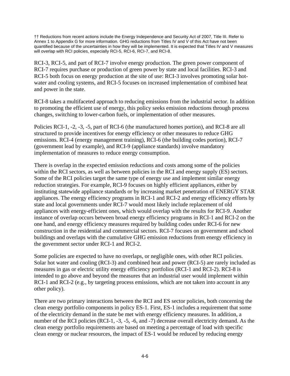†† Reductions from recent actions include the Energy Independence and Security Act of 2007, Title III. Refer to Annex 1 to Appendix G for more information. GHG reductions from Titles IV and V of this Act have not been quantified because of the uncertainties in how they will be implemented. It is expected that Titles IV and V measures will overlap with RCI policies, especially RCI-5, RCI-6, RCI-7, and RCI-8.

RCI-3, RCI-5, and part of RCI-7 involve energy production. The green power component of RCI-7 requires purchase or production of green power by state and local facilities. RCI-3 and RCI-5 both focus on energy production at the site of use: RCI-3 involves promoting solar hotwater and cooling systems, and RCI-5 focuses on increased implementation of combined heat and power in the state.

RCI-8 takes a multifaceted approach to reducing emissions from the industrial sector. In addition to promoting the efficient use of energy, this policy seeks emission reductions through process changes, switching to lower-carbon fuels, or implementation of other measures.

Policies RCI-1, -2, -3, -5, part of RCI-6 (the manufactured homes portion), and RCI-8 are all structured to provide incentives for energy efficiency or other measures to reduce GHG emissions. RCI-4 (energy management training), RCI-6 (the building codes portion), RCI-7 (government lead by example), and RCI-9 (appliance standards) involve mandatory implementation of measures to reduce energy consumption.

There is overlap in the expected emission reductions and costs among some of the policies within the RCI sectors, as well as between policies in the RCI and energy supply (ES) sectors. Some of the RCI policies target the same type of energy use and implement similar energy reduction strategies. For example, RCI-9 focuses on highly efficient appliances, either by instituting statewide appliance standards or by increasing market penetration of ENERGY STAR appliances. The energy efficiency programs in RCI-1 and RCI-2 and energy efficiency efforts by state and local governments under RCI-7 would most likely include replacement of old appliances with energy-efficient ones, which would overlap with the results for RCI-9. Another instance of overlap occurs between broad energy efficiency programs in RCI-1 and RCI-2 on the one hand, and energy efficiency measures required by building codes under RCI-6 for new construction in the residential and commercial sectors. RCI-7 focuses on government and school buildings and overlaps with the cumulative GHG emission reductions from energy efficiency in the government sector under RCI-1 and RCI-2.

Some policies are expected to have no overlaps, or negligible ones, with other RCI policies. Solar hot water and cooling (RCI-3) and combined heat and power (RCI-5) are rarely included as measures in gas or electric utility energy efficiency portfolios (RCI-1 and RCI-2). RCI-8 is intended to go above and beyond the measures that an industrial user would implement within RCI-1 and RCI-2 (e.g., by targeting process emissions, which are not taken into account in any other policy).

There are two primary interactions between the RCI and ES sector policies, both concerning the clean energy portfolio components in policy ES-1. First, ES-1 includes a requirement that some of the electricity demand in the state be met with energy efficiency measures. In addition, a number of the RCI policies (RCI-1, -3, -5, -6, and -7) decrease overall electricity demand. As the clean energy portfolio requirements are based on meeting a percentage of load with specific clean energy or nuclear resources, the impact of ES-1 would be reduced by reducing energy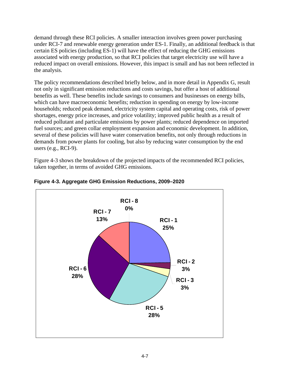demand through these RCI policies. A smaller interaction involves green power purchasing under RCI-7 and renewable energy generation under ES-1. Finally, an additional feedback is that certain ES policies (including ES-1) will have the effect of reducing the GHG emissions associated with energy production, so that RCI policies that target electricity use will have a reduced impact on overall emissions. However, this impact is small and has not been reflected in the analysis.

The policy recommendations described briefly below, and in more detail in Appendix G, result not only in significant emission reductions and costs savings, but offer a host of additional benefits as well. These benefits include savings to consumers and businesses on energy bills, which can have macroeconomic benefits; reduction in spending on energy by low-income households; reduced peak demand, electricity system capital and operating costs, risk of power shortages, energy price increases, and price volatility; improved public health as a result of reduced pollutant and particulate emissions by power plants; reduced dependence on imported fuel sources; and green collar employment expansion and economic development. In addition, several of these policies will have water conservation benefits, not only through reductions in demands from power plants for cooling, but also by reducing water consumption by the end users (e.g., RCI-9).

Figure 4-3 shows the breakdown of the projected impacts of the recommended RCI policies, taken together, in terms of avoided GHG emissions.



**Figure 4-3. Aggregate GHG Emission Reductions, 2009–2020**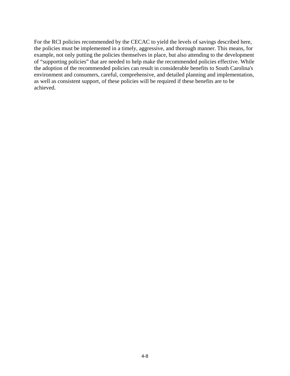For the RCI policies recommended by the CECAC to yield the levels of savings described here, the policies must be implemented in a timely, aggressive, and thorough manner. This means, for example, not only putting the policies themselves in place, but also attending to the development of "supporting policies" that are needed to help make the recommended policies effective. While the adoption of the recommended policies can result in considerable benefits to South Carolina's environment and consumers, careful, comprehensive, and detailed planning and implementation, as well as consistent support, of these policies will be required if these benefits are to be achieved.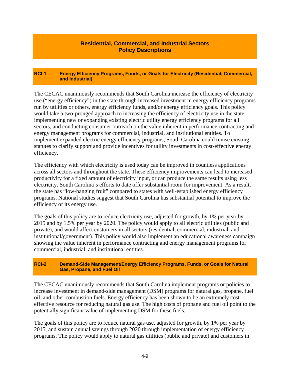#### **Residential, Commercial, and Industrial Sectors Policy Descriptions**

#### **RCI-1 Energy Efficiency Programs, Funds, or Goals for Electricity (Residential, Commercial, and Industrial)**

The CECAC unanimously recommends that South Carolina increase the efficiency of electricity use ("energy efficiency") in the state through increased investment in energy efficiency programs run by utilities or others, energy efficiency funds, and/or energy efficiency goals. This policy would take a two-pronged approach to increasing the efficiency of electricity use in the state: implementing new or expanding existing electric utility energy efficiency programs for all sectors, and conducting consumer outreach on the value inherent in performance contracting and energy management programs for commercial, industrial, and institutional entities. To implement expanded electric energy efficiency programs, South Carolina could revise existing statutes to clarify support and provide incentives for utility investments in cost-effective energy efficiency.

The efficiency with which electricity is used today can be improved in countless applications across all sectors and throughout the state. These efficiency improvements can lead to increased productivity for a fixed amount of electricity input, or can produce the same results using less electricity. South Carolina's efforts to date offer substantial room for improvement. As a result, the state has "low-hanging fruit" compared to states with well-established energy efficiency programs. National studies suggest that South Carolina has substantial potential to improve the efficiency of its energy use.

The goals of this policy are to reduce electricity use, adjusted for growth, by 1% per year by 2015 and by 1.5% per year by 2020. The policy would apply to all electric utilities (public and private), and would affect customers in all sectors (residential, commercial, industrial, and institutional/government). This policy would also implement an educational awareness campaign showing the value inherent in performance contracting and energy management programs for commercial, industrial, and institutional entities.

#### **RCI-2 Demand-Side Management/Energy Efficiency Programs, Funds, or Goals for Natural Gas, Propane, and Fuel Oil**

The CECAC unanimously recommends that South Carolina implement programs or policies to increase investment in demand-side management (DSM) programs for natural gas, propane, fuel oil, and other combustion fuels. Energy efficiency has been shown to be an extremely costeffective resource for reducing natural gas use. The high costs of propane and fuel oil point to the potentially significant value of implementing DSM for these fuels.

The goals of this policy are to reduce natural gas use, adjusted for growth, by 1% per year by 2015, and sustain annual savings through 2020 through implementation of energy efficiency programs. The policy would apply to natural gas utilities (public and private) and customers in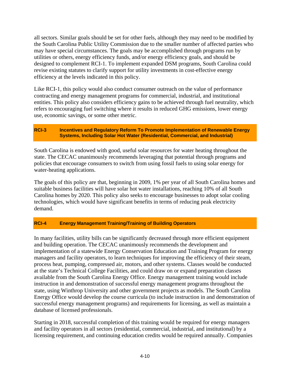all sectors. Similar goals should be set for other fuels, although they may need to be modified by the South Carolina Public Utility Commission due to the smaller number of affected parties who may have special circumstances. The goals may be accomplished through programs run by utilities or others, energy efficiency funds, and/or energy efficiency goals, and should be designed to complement RCI-1. To implement expanded DSM programs, South Carolina could revise existing statutes to clarify support for utility investments in cost-effective energy efficiency at the levels indicated in this policy.

Like RCI-1, this policy would also conduct consumer outreach on the value of performance contracting and energy management programs for commercial, industrial, and institutional entities. This policy also considers efficiency gains to be achieved through fuel neutrality, which refers to encouraging fuel switching where it results in reduced GHG emissions, lower energy use, economic savings, or some other metric.

#### **RCI-3 Incentives and Regulatory Reform To Promote Implementation of Renewable Energy Systems, Including Solar Hot Water (Residential, Commercial, and Industrial)**

South Carolina is endowed with good, useful solar resources for water heating throughout the state. The CECAC unanimously recommends leveraging that potential through programs and policies that encourage consumers to switch from using fossil fuels to using solar energy for water-heating applications.

The goals of this policy are that, beginning in 2009, 1% per year of all South Carolina homes and suitable business facilities will have solar hot water installations, reaching 10% of all South Carolina homes by 2020. This policy also seeks to encourage businesses to adopt solar cooling technologies, which would have significant benefits in terms of reducing peak electricity demand.

#### **RCI-4 Energy Management Training/Training of Building Operators**

In many facilities, utility bills can be significantly decreased through more efficient equipment and building operation. The CECAC unanimously recommends the development and implementation of a statewide Energy Conservation Education and Training Program for energy managers and facility operators, to learn techniques for improving the efficiency of their steam, process heat, pumping, compressed air, motors, and other systems. Classes would be conducted at the state's Technical College Facilities, and could draw on or expand preparation classes available from the South Carolina Energy Office. Energy management training would include instruction in and demonstration of successful energy management programs throughout the state, using Winthrop University and other government projects as models. The South Carolina Energy Office would develop the course curricula (to include instruction in and demonstration of successful energy management programs) and requirements for licensing, as well as maintain a database of licensed professionals.

Starting in 2018, successful completion of this training would be required for energy managers and facility operators in all sectors (residential, commercial, industrial, and institutional) by a licensing requirement, and continuing education credits would be required annually. Companies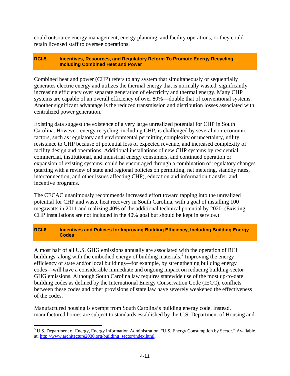could outsource energy management, energy planning, and facility operations, or they could retain licensed staff to oversee operations.

#### **RCI-5 Incentives, Resources, and Regulatory Reform To Promote Energy Recycling, Including Combined Heat and Power**

Combined heat and power (CHP) refers to any system that simultaneously or sequentially generates electric energy and utilizes the thermal energy that is normally wasted, significantly increasing efficiency over separate generation of electricity and thermal energy. Many CHP systems are capable of an overall efficiency of over 80%—double that of conventional systems. Another significant advantage is the reduced transmission and distribution losses associated with centralized power generation.

Existing data suggest the existence of a very large unrealized potential for CHP in South Carolina. However, energy recycling, including CHP, is challenged by several non-economic factors, such as regulatory and environmental permitting complexity or uncertainty, utility resistance to CHP because of potential loss of expected revenue, and increased complexity of facility design and operations. Additional installations of new CHP systems by residential, commercial, institutional, and industrial energy consumers, and continued operation or expansion of existing systems, could be encouraged through a combination of regulatory changes (starting with a review of state and regional policies on permitting, net metering, standby rates, interconnection, and other issues affecting CHP), education and information transfer, and incentive programs.

The CECAC unanimously recommends increased effort toward tapping into the unrealized potential for CHP and waste heat recovery in South Carolina, with a goal of installing 100 megawatts in 2011 and realizing 40% of the additional technical potential by 2020. (Existing CHP installations are not included in the 40% goal but should be kept in service.)

#### **RCI-6 Incentives and Policies for Improving Building Efficiency, Including Building Energy Codes**

Almost half of all U.S. GHG emissions annually are associated with the operation of RCI buildings, along with the embodied energy of building materials.<sup>5</sup> Improving the energy efficiency of state and/or local buildings—for example, by strengthening building energy codes—will have a considerable immediate and ongoing impact on reducing building-sector GHG emissions. Although South Carolina law requires statewide use of the most up-to-date building codes as defined by the International Energy Conservation Code (IECC), conflicts between these codes and other provisions of state law have severely weakened the effectiveness of the codes.

Manufactured housing is exempt from South Carolina's building energy code. Instead, manufactured homes are subject to standards established by the U.S. Department of Housing and

1

<sup>&</sup>lt;sup>5</sup> U.S. Department of Energy, Energy Information Administration. "U.S. Energy Consumption by Sector." Available at: http://www.architecture2030.org/building\_sector/index.html.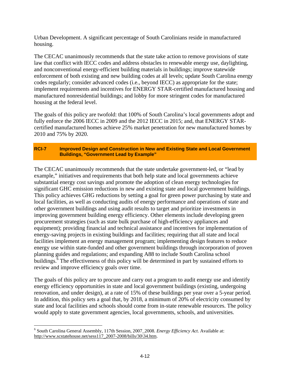Urban Development. A significant percentage of South Carolinians reside in manufactured housing.

The CECAC unanimously recommends that the state take action to remove provisions of state law that conflict with IECC codes and address obstacles to renewable energy use, daylighting, and nonconventional energy-efficient building materials in buildings; improve statewide enforcement of both existing and new building codes at all levels; update South Carolina energy codes regularly; consider advanced codes (i.e., beyond IECC) as appropriate for the state; implement requirements and incentives for ENERGY STAR-certified manufactured housing and manufactured nonresidential buildings; and lobby for more stringent codes for manufactured housing at the federal level.

The goals of this policy are twofold: that 100% of South Carolina's local governments adopt and fully enforce the 2006 IECC in 2009 and the 2012 IECC in 2015; and, that ENERGY STARcertified manufactured homes achieve 25% market penetration for new manufactured homes by 2010 and 75% by 2020.

#### **RCI-7 Improved Design and Construction in New and Existing State and Local Government Buildings, "Government Lead by Example"**

The CECAC unanimously recommends that the state undertake government-led, or "lead by example," initiatives and requirements that both help state and local governments achieve substantial energy cost savings and promote the adoption of clean energy technologies for significant GHC emission reductions in new and existing state and local government buildings. This policy achieves GHG reductions by setting a goal for green power purchasing by state and local facilities, as well as conducting audits of energy performance and operations of state and other government buildings and using audit results to target and prioritize investments in improving government building energy efficiency. Other elements include developing green procurement strategies (such as state bulk purchase of high-efficiency appliances and equipment); providing financial and technical assistance and incentives for implementation of energy-saving projects in existing buildings and facilities; requiring that all state and local facilities implement an energy management program; implementing design features to reduce energy use within state-funded and other government buildings through incorporation of proven planning guides and regulations; and expanding A88 to include South Carolina school buildings.<sup>6</sup> The effectiveness of this policy will be determined in part by sustained efforts to review and improve efficiency goals over time.

The goals of this policy are to procure and carry out a program to audit energy use and identify energy efficiency opportunities in state and local government buildings (existing, undergoing renovation, and under design), at a rate of 15% of these buildings per year over a 5-year period. In addition, this policy sets a goal that, by 2018, a minimum of 20% of electricity consumed by state and local facilities and schools should come from in-state renewable resources. The policy would apply to state government agencies, local governments, schools, and universities.

1

<sup>6</sup> South Carolina General Assembly, 117th Session, 2007\_2008. *Energy Efficiency Act*. Available at: http://www.scstatehouse.net/sess117\_2007-2008/bills/30\34.htm.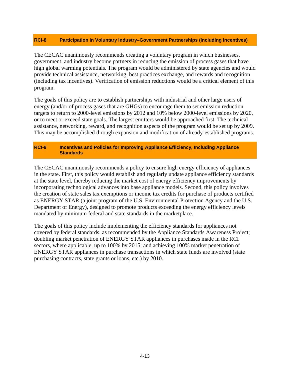#### **RCI-8 Participation in Voluntary Industry–Government Partnerships (Including Incentives)**

The CECAC unanimously recommends creating a voluntary program in which businesses, government, and industry become partners in reducing the emission of process gases that have high global warming potentials. The program would be administered by state agencies and would provide technical assistance, networking, best practices exchange, and rewards and recognition (including tax incentives). Verification of emission reductions would be a critical element of this program.

The goals of this policy are to establish partnerships with industrial and other large users of energy (and/or of process gases that are GHGs) to encourage them to set emission reduction targets to return to 2000-level emissions by 2012 and 10% below 2000-level emissions by 2020, or to meet or exceed state goals. The largest emitters would be approached first. The technical assistance, networking, reward, and recognition aspects of the program would be set up by 2009. This may be accomplished through expansion and modification of already-established programs.

#### **RCI-9 Incentives and Policies for Improving Appliance Efficiency, Including Appliance Standards**

The CECAC unanimously recommends a policy to ensure high energy efficiency of appliances in the state. First, this policy would establish and regularly update appliance efficiency standards at the state level, thereby reducing the market cost of energy efficiency improvements by incorporating technological advances into base appliance models. Second, this policy involves the creation of state sales tax exemptions or income tax credits for purchase of products certified as ENERGY STAR (a joint program of the U.S. Environmental Protection Agency and the U.S. Department of Energy), designed to promote products exceeding the energy efficiency levels mandated by minimum federal and state standards in the marketplace.

The goals of this policy include implementing the efficiency standards for appliances not covered by federal standards, as recommended by the Appliance Standards Awareness Project; doubling market penetration of ENERGY STAR appliances in purchases made in the RCI sectors, where applicable, up to 100% by 2015; and achieving 100% market penetration of ENERGY STAR appliances in purchase transactions in which state funds are involved (state purchasing contracts, state grants or loans, etc.) by 2010.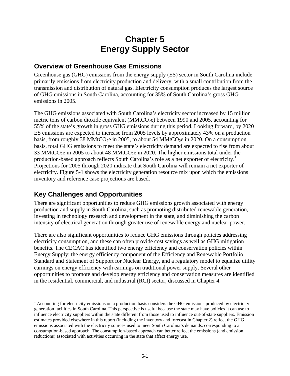# **Chapter 5 Energy Supply Sector**

### **Overview of Greenhouse Gas Emissions**

Greenhouse gas (GHG) emissions from the energy supply (ES) sector in South Carolina include primarily emissions from electricity production and delivery, with a small contribution from the transmission and distribution of natural gas. Electricity consumption produces the largest source of GHG emissions in South Carolina, accounting for 35% of South Carolina's gross GHG emissions in 2005.

The GHG emissions associated with South Carolina's electricity sector increased by 15 million metric tons of carbon dioxide equivalent ( $MMLCO<sub>2</sub>e$ ) between 1990 and 2005, accounting for 55% of the state's growth in gross GHG emissions during this period. Looking forward, by 2020 ES emissions are expected to increase from 2005 levels by approximately 43% on a production basis, from roughly 38 MMtCO<sub>2</sub>e in 2005, to about 54 MMtCO<sub>2</sub>e in 2020. On a consumption basis, total GHG emissions to meet the state's electricity demand are expected to rise from about 33 MMtCO<sub>2</sub>e in 2005 to about 48 MMtCO<sub>2</sub>e in 2020. The higher emissions total under the production-based approach reflects South Carolina's role as a net exporter of electricity.<sup>1</sup> Projections for 2005 through 2020 indicate that South Carolina will remain a net exporter of electricity. Figure 5-1 shows the electricity generation resource mix upon which the emissions inventory and reference case projections are based.

## **Key Challenges and Opportunities**

 $\overline{a}$ 

There are significant opportunities to reduce GHG emissions growth associated with energy production and supply in South Carolina, such as promoting distributed renewable generation, investing in technology research and development in the state, and diminishing the carbon intensity of electrical generation through greater use of renewable energy and nuclear power.

There are also significant opportunities to reduce GHG emissions through policies addressing electricity consumption, and these can often provide cost savings as well as GHG mitigation benefits. The CECAC has identified two energy efficiency and conservation policies within Energy Supply: the energy efficiency component of the Efficiency and Renewable Portfolio Standard and Statement of Support for Nuclear Energy, and a regulatory model to equalize utility earnings on energy efficiency with earnings on traditional power supply. Several other opportunities to promote and develop energy efficiency and conservation measures are identified in the residential, commercial, and industrial (RCI) sector, discussed in Chapter 4.

 $<sup>1</sup>$  Accounting for electricity emissions on a production basis considers the GHG emissions produced by electricity</sup> generation facilities in South Carolina. This perspective is useful because the state may have policies it can use to influence electricity suppliers within the state different from those used to influence out-of-state suppliers. Emission estimates provided elsewhere in this report (including the inventory and forecast in Chapter 2) reflect the GHG emissions associated with the electricity sources used to meet South Carolina's demands, corresponding to a consumption-based approach. The consumption-based approach can better reflect the emissions (and emission reductions) associated with activities occurring in the state that affect energy use.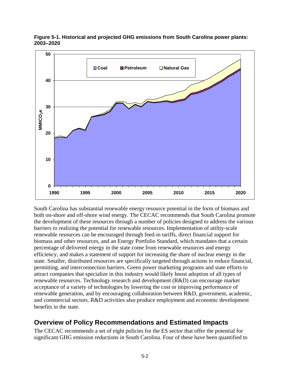

**Figure 5-1. Historical and projected GHG emissions from South Carolina power plants: 2003–2020** 

South Carolina has substantial renewable energy resource potential in the form of biomass and both on-shore and off-shore wind energy. The CECAC recommends that South Carolina promote the development of these resources through a number of policies designed to address the various barriers to realizing the potential for renewable resources. Implementation of utility-scale renewable resources can be encouraged through feed-in tariffs, direct financial support for biomass and other resources, and an Energy Portfolio Standard, which mandates that a certain percentage of delivered energy in the state come from renewable resources and energy efficiency, and makes a statement of support for increasing the share of nuclear energy in the state. Smaller, distributed resources are specifically targeted through actions to reduce financial, permitting, and interconnection barriers. Green power marketing programs and state efforts to attract companies that specialize in this industry would likely boost adoption of all types of renewable resources. Technology research and development (R&D) can encourage market acceptance of a variety of technologies by lowering the cost or improving performance of renewable generation, and by encouraging collaboration between R&D, government, academic, and commercial sectors. R&D activities also produce employment and economic development benefits in the state.

### **Overview of Policy Recommendations and Estimated Impacts**

The CECAC recommends a set of eight policies for the ES sector that offer the potential for significant GHG emission reductions in South Carolina. Four of these have been quantified to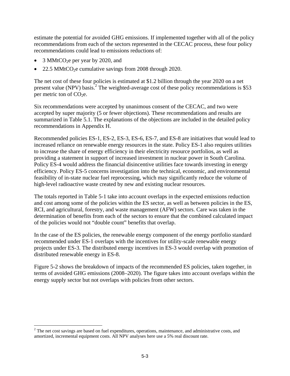estimate the potential for avoided GHG emissions. If implemented together with all of the policy recommendations from each of the sectors represented in the CECAC process, these four policy recommendations could lead to emissions reductions of:

 $3$  MMtCO<sub>2</sub>e per year by 2020, and

 $\overline{a}$ 

22.5 MMtCO<sub>2</sub>e cumulative savings from 2008 through 2020.

The net cost of these four policies is estimated at \$1.2 billion through the year 2020 on a net present value (NPV) basis.<sup>2</sup> The weighted-average cost of these policy recommendations is \$53 per metric ton of  $CO<sub>2</sub>e$ .

Six recommendations were accepted by unanimous consent of the CECAC, and two were accepted by super majority (5 or fewer objections). These recommendations and results are summarized in Table 5.1. The explanations of the objections are included in the detailed policy recommendations in Appendix H.

Recommended policies ES-1, ES-2, ES-3, ES-6, ES-7, and ES-8 are initiatives that would lead to increased reliance on renewable energy resources in the state. Policy ES-1 also requires utilities to increase the share of energy efficiency in their electricity resource portfolios, as well as providing a statement in support of increased investment in nuclear power in South Carolina. Policy ES-4 would address the financial disincentive utilities face towards investing in energy efficiency. Policy ES-5 concerns investigation into the technical, economic, and environmental feasibility of in-state nuclear fuel reprocessing, which may significantly reduce the volume of high-level radioactive waste created by new and existing nuclear resources.

The totals reported in Table 5-1 take into account overlaps in the expected emissions reduction and cost among some of the policies within the ES sector, as well as between policies in the ES, RCI, and agricultural, forestry, and waste management (AFW) sectors. Care was taken in the determination of benefits from each of the sectors to ensure that the combined calculated impact of the policies would not "double count" benefits that overlap.

In the case of the ES policies, the renewable energy component of the energy portfolio standard recommended under ES-1 overlaps with the incentives for utility-scale renewable energy projects under ES-3. The distributed energy incentives in ES-3 would overlap with promotion of distributed renewable energy in ES-8.

Figure 5-2 shows the breakdown of impacts of the recommended ES policies, taken together, in terms of avoided GHG emissions (2008–2020). The figure takes into account overlaps within the energy supply sector but not overlaps with policies from other sectors.

 $2^2$  The net cost savings are based on fuel expenditures, operations, maintenance, and administrative costs, and amortized, incremental equipment costs. All NPV analyses here use a 5% real discount rate.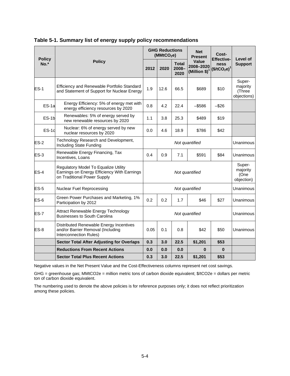|                         | <b>Policy</b>                                                                                                      |                                    | <b>GHG Reductions</b><br>(MMtCO <sub>2</sub> e) |                               | <b>Net</b><br><b>Present</b>                   | Cost-<br><b>Effective-</b> | Level of<br><b>Support</b>                  |
|-------------------------|--------------------------------------------------------------------------------------------------------------------|------------------------------------|-------------------------------------------------|-------------------------------|------------------------------------------------|----------------------------|---------------------------------------------|
| <b>Policy</b><br>$No.*$ |                                                                                                                    |                                    | 2020                                            | <b>Total</b><br>2008-<br>2020 | <b>Value</b><br>2008-2020<br>(Million $$)^{7}$ | ness<br>$($/tCO_2e)^1$     |                                             |
| $ES-1$                  | Efficiency and Renewable Portfolio Standard<br>and Statement of Support for Nuclear Energy                         | 1.9                                | 12.6                                            | 66.5                          | \$689                                          | \$10                       | Super-<br>majority<br>(Three<br>objections) |
| $ES-1a$                 | Energy Efficiency: 5% of energy met with<br>energy efficiency resources by 2020                                    | 0.8                                | 4.2                                             | 22.4                          | $-$ \$586                                      | $-$ \$26                   |                                             |
| $ES-1b$                 | Renewables: 5% of energy served by<br>new renewable resources by 2020                                              | 1.1                                | 3.8<br>25.3                                     |                               | \$489                                          | \$19                       |                                             |
| $ES-1c$                 | Nuclear: 6% of energy served by new<br>nuclear resources by 2020                                                   | 0.0                                | 4.6<br>18.9                                     |                               | \$786                                          | \$42                       |                                             |
| $ES-2$                  | Technology Research and Development,<br>Including State Funding                                                    | Not quantified                     |                                                 |                               |                                                | Unanimous                  |                                             |
| $ES-3$                  | Renewable Energy Financing, Tax<br>Incentives, Loans                                                               | 0.4<br>0.9<br>7.1<br>\$591<br>\$84 |                                                 |                               | Unanimous                                      |                            |                                             |
| $ES-4$                  | Regulatory Model To Equalize Utility<br>Earnings on Energy Efficiency With Earnings<br>on Traditional Power Supply | Not quantified                     |                                                 |                               |                                                |                            | Super-<br>majority<br>(One<br>objection)    |
| $ES-5$                  | <b>Nuclear Fuel Reprocessing</b>                                                                                   | Not quantified                     |                                                 |                               |                                                |                            | Unanimous                                   |
| ES-6                    | Green Power Purchases and Marketing, 1%<br>Participation by 2012                                                   | 0.2<br>0.2<br>1.7                  |                                                 | \$46                          | \$27                                           | Unanimous                  |                                             |
| ES-7                    | Attract Renewable Energy Technology<br><b>Businesses to South Carolina</b>                                         | Not quantified                     |                                                 |                               |                                                | Unanimous                  |                                             |
| $ES-8$                  | Distributed Renewable Energy Incentives<br>and/or Barrier Removal (Including<br>Interconnection Rules)             | 0.05                               | 0.1                                             | 0.8                           | \$42                                           | \$50                       | Unanimous                                   |
|                         | <b>Sector Total After Adjusting for Overlaps</b>                                                                   | 0.3                                | 3.0                                             | 22.5                          | \$1,201                                        | \$53                       |                                             |
|                         | <b>Reductions From Recent Actions</b>                                                                              | 0.0                                | 0.0                                             | 0.0                           | 0                                              | $\bf{0}$                   |                                             |
|                         | <b>Sector Total Plus Recent Actions</b>                                                                            | 0.3                                | 3.0                                             | 22.5                          | \$1,201                                        | \$53                       |                                             |

**Table 5-1. Summary list of energy supply policy recommendations** 

Negative values in the Net Present Value and the Cost-Effectiveness columns represent net cost savings.

GHG = greenhouse gas; MMtCO2e = million metric tons of carbon dioxide equivalent; \$/tCO2e = dollars per metric ton of carbon dioxide equivalent.

The numbering used to denote the above policies is for reference purposes only; it does not reflect prioritization among these policies.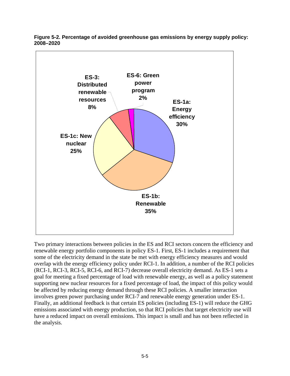

**Figure 5-2. Percentage of avoided greenhouse gas emissions by energy supply policy: 2008–2020** 

Two primary interactions between policies in the ES and RCI sectors concern the efficiency and renewable energy portfolio components in policy ES-1. First, ES-1 includes a requirement that some of the electricity demand in the state be met with energy efficiency measures and would overlap with the energy efficiency policy under RCI-1. In addition, a number of the RCI policies (RCI-1, RCI-3, RCI-5, RCI-6, and RCI-7) decrease overall electricity demand. As ES-1 sets a goal for meeting a fixed percentage of load with renewable energy, as well as a policy statement supporting new nuclear resources for a fixed percentage of load, the impact of this policy would be affected by reducing energy demand through these RCI policies. A smaller interaction involves green power purchasing under RCI-7 and renewable energy generation under ES-1. Finally, an additional feedback is that certain ES policies (including ES-1) will reduce the GHG emissions associated with energy production, so that RCI policies that target electricity use will have a reduced impact on overall emissions. This impact is small and has not been reflected in the analysis.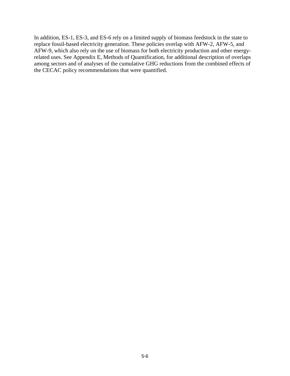In addition, ES-1, ES-3, and ES-6 rely on a limited supply of biomass feedstock in the state to replace fossil-based electricity generation. These policies overlap with AFW-2, AFW-5, and AFW-9, which also rely on the use of biomass for both electricity production and other energyrelated uses. See Appendix E, Methods of Quantification, for additional description of overlaps among sectors and of analyses of the cumulative GHG reductions from the combined effects of the CECAC policy recommendations that were quantified.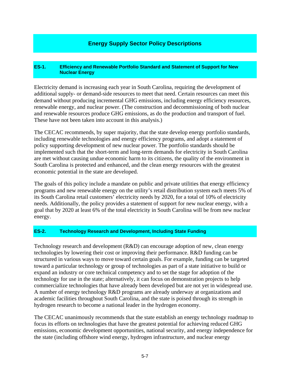#### **Energy Supply Sector Policy Descriptions**

#### **ES-1. Efficiency and Renewable Portfolio Standard and Statement of Support for New Nuclear Energy**

Electricity demand is increasing each year in South Carolina, requiring the development of additional supply- or demand-side resources to meet that need. Certain resources can meet this demand without producing incremental GHG emissions, including energy efficiency resources, renewable energy, and nuclear power. (The construction and decommissioning of both nuclear and renewable resources produce GHG emissions, as do the production and transport of fuel. These have not been taken into account in this analysis.)

The CECAC recommends, by super majority, that the state develop energy portfolio standards, including renewable technologies and energy efficiency programs, and adopt a statement of policy supporting development of new nuclear power. The portfolio standards should be implemented such that the short-term and long-term demands for electricity in South Carolina are met without causing undue economic harm to its citizens, the quality of the environment in South Carolina is protected and enhanced, and the clean energy resources with the greatest economic potential in the state are developed.

The goals of this policy include a mandate on public and private utilities that energy efficiency programs and new renewable energy on the utility's retail distribution system each meets 5% of its South Carolina retail customers' electricity needs by 2020, for a total of 10% of electricity needs. Additionally, the policy provides a statement of support for new nuclear energy, with a goal that by 2020 at least 6% of the total electricity in South Carolina will be from new nuclear energy.

#### **ES-2. Technology Research and Development, Including State Funding**

Technology research and development  $(R&D)$  can encourage adoption of new, clean energy technologies by lowering their cost or improving their performance. R&D funding can be structured in various ways to move toward certain goals. For example, funding can be targeted toward a particular technology or group of technologies as part of a state initiative to build or expand an industry or core technical competency and to set the stage for adoption of the technology for use in the state; alternatively, it can focus on demonstration projects to help commercialize technologies that have already been developed but are not yet in widespread use. A number of energy technology R&D programs are already underway at organizations and academic facilities throughout South Carolina, and the state is poised through its strength in hydrogen research to become a national leader in the hydrogen economy.

The CECAC unanimously recommends that the state establish an energy technology roadmap to focus its efforts on technologies that have the greatest potential for achieving reduced GHG emissions, economic development opportunities, national security, and energy independence for the state (including offshore wind energy, hydrogen infrastructure, and nuclear energy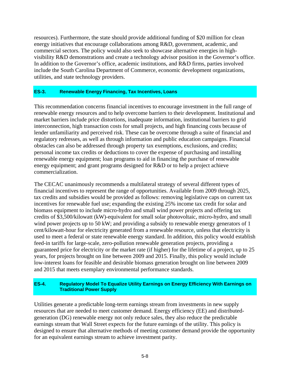resources). Furthermore, the state should provide additional funding of \$20 million for clean energy initiatives that encourage collaborations among R&D, government, academic, and commercial sectors. The policy would also seek to showcase alternative energies in highvisibility R&D demonstrations and create a technology advisor position in the Governor's office. In addition to the Governor's office, academic institutions, and R&D firms, parties involved include the South Carolina Department of Commerce, economic development organizations, utilities, and state technology providers.

#### **ES-3. Renewable Energy Financing, Tax Incentives, Loans**

This recommendation concerns financial incentives to encourage investment in the full range of renewable energy resources and to help overcome barriers to their development. Institutional and market barriers include price distortions, inadequate information, institutional barriers to grid interconnection, high transaction costs for small projects, and high financing costs because of lender unfamiliarity and perceived risk. These can be overcome through a suite of financial and regulatory redresses, as well as through information and public education campaigns. Financial obstacles can also be addressed through property tax exemptions, exclusions, and credits; personal income tax credits or deductions to cover the expense of purchasing and installing renewable energy equipment; loan programs to aid in financing the purchase of renewable energy equipment; and grant programs designed for R&D or to help a project achieve commercialization.

The CECAC unanimously recommends a multilateral strategy of several different types of financial incentives to represent the range of opportunities. Available from 2009 through 2025, tax credits and subsidies would be provided as follows: removing legislative caps on current tax incentives for renewable fuel use; expanding the existing 25% income tax credit for solar and biomass equipment to include micro-hydro and small wind power projects and offering tax credits of \$3,500/kilowatt (kW)-equivalent for small solar photovoltaic, micro-hydro, and small wind power projects up to 50 kW; and providing a subsidy to renewable energy generators of 1 cent/kilowatt-hour for electricity generated from a renewable resource, unless that electricity is used to meet a federal or state renewable energy standard. In addition, this policy would establish feed-in tariffs for large-scale, zero-pollution renewable generation projects, providing a guaranteed price for electricity or the market rate (if higher) for the lifetime of a project, up to 25 years, for projects brought on line between 2009 and 2015. Finally, this policy would include low-interest loans for feasible and desirable biomass generation brought on line between 2009 and 2015 that meets exemplary environmental performance standards.

#### **ES-4. Regulatory Model To Equalize Utility Earnings on Energy Efficiency With Earnings on Traditional Power Supply**

Utilities generate a predictable long-term earnings stream from investments in new supply resources that are needed to meet customer demand. Energy efficiency (EE) and distributedgeneration (DG) renewable energy not only reduce sales, they also reduce the predictable earnings stream that Wall Street expects for the future earnings of the utility. This policy is designed to ensure that alternative methods of meeting customer demand provide the opportunity for an equivalent earnings stream to achieve investment parity.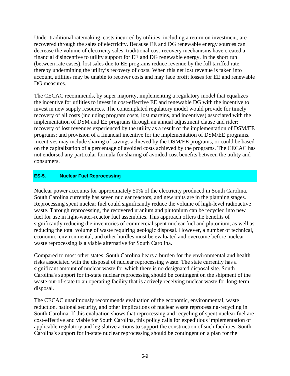Under traditional ratemaking, costs incurred by utilities, including a return on investment, are recovered through the sales of electricity. Because EE and DG renewable energy sources can decrease the volume of electricity sales, traditional cost-recovery mechanisms have created a financial disincentive to utility support for EE and DG renewable energy. In the short run (between rate cases), lost sales due to EE programs reduce revenue by the full tariffed rate, thereby undermining the utility's recovery of costs. When this net lost revenue is taken into account, utilities may be unable to recover costs and may face profit losses for EE and renewable DG measures.

The CECAC recommends, by super majority, implementing a regulatory model that equalizes the incentive for utilities to invest in cost-effective EE and renewable DG with the incentive to invest in new supply resources. The contemplated regulatory model would provide for timely recovery of all costs (including program costs, lost margins, and incentives) associated with the implementation of DSM and EE programs through an annual adjustment clause and rider; recovery of lost revenues experienced by the utility as a result of the implementation of DSM/EE programs; and provision of a financial incentive for the implementation of DSM/EE programs. Incentives may include sharing of savings achieved by the DSM/EE programs, or could be based on the capitalization of a percentage of avoided costs achieved by the programs. The CECAC has not endorsed any particular formula for sharing of avoided cost benefits between the utility and consumers.

#### **ES-5. Nuclear Fuel Reprocessing**

Nuclear power accounts for approximately 50% of the electricity produced in South Carolina. South Carolina currently has seven nuclear reactors, and new units are in the planning stages. Reprocessing spent nuclear fuel could significantly reduce the volume of high-level radioactive waste. Through reprocessing, the recovered uranium and plutonium can be recycled into new fuel for use in light-water-reactor fuel assemblies. This approach offers the benefits of significantly reducing the inventories of commercial spent nuclear fuel and plutonium, as well as reducing the total volume of waste requiring geologic disposal. However, a number of technical, economic, environmental, and other hurdles must be evaluated and overcome before nuclear waste reprocessing is a viable alternative for South Carolina.

Compared to most other states, South Carolina bears a burden for the environmental and health risks associated with the disposal of nuclear reprocessing waste. The state currently has a significant amount of nuclear waste for which there is no designated disposal site. South Carolina's support for in-state nuclear reprocessing should be contingent on the shipment of the waste out-of-state to an operating facility that is actively receiving nuclear waste for long-term disposal.

The CECAC unanimously recommends evaluation of the economic, environmental, waste reduction, national security, and other implications of nuclear waste reprocessing-recycling in South Carolina. If this evaluation shows that reprocessing and recycling of spent nuclear fuel are cost-effective and viable for South Carolina, this policy calls for expeditious implementation of applicable regulatory and legislative actions to support the construction of such facilities. South Carolina's support for in-state nuclear reprocessing should be contingent on a plan for the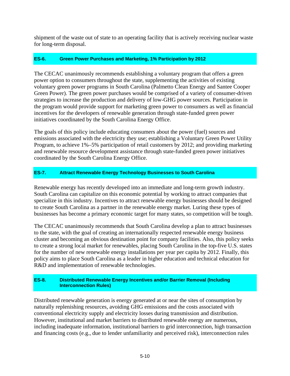shipment of the waste out of state to an operating facility that is actively receiving nuclear waste for long-term disposal.

#### **ES-6. Green Power Purchases and Marketing, 1% Participation by 2012**

The CECAC unanimously recommends establishing a voluntary program that offers a green power option to consumers throughout the state, supplementing the activities of existing voluntary green power programs in South Carolina (Palmetto Clean Energy and Santee Cooper Green Power). The green power purchases would be comprised of a variety of consumer-driven strategies to increase the production and delivery of low-GHG power sources. Participation in the program would provide support for marketing green power to consumers as well as financial incentives for the developers of renewable generation through state-funded green power initiatives coordinated by the South Carolina Energy Office.

The goals of this policy include educating consumers about the power (fuel) sources and emissions associated with the electricity they use; establishing a Voluntary Green Power Utility Program, to achieve 1%–5% participation of retail customers by 2012; and providing marketing and renewable resource development assistance through state-funded green power initiatives coordinated by the South Carolina Energy Office.

#### **ES-7. Attract Renewable Energy Technology Businesses to South Carolina**

Renewable energy has recently developed into an immediate and long-term growth industry. South Carolina can capitalize on this economic potential by working to attract companies that specialize in this industry. Incentives to attract renewable energy businesses should be designed to create South Carolina as a partner in the renewable energy market. Luring these types of businesses has become a primary economic target for many states, so competition will be tough.

The CECAC unanimously recommends that South Carolina develop a plan to attract businesses to the state, with the goal of creating an internationally respected renewable energy business cluster and becoming an obvious destination point for company facilities. Also, this policy seeks to create a strong local market for renewables, placing South Carolina in the top-five U.S. states for the number of new renewable energy installations per year per capita by 2012. Finally, this policy aims to place South Carolina as a leader in higher education and technical education for R&D and implementation of renewable technologies.

#### **ES-8. Distributed Renewable Energy Incentives and/or Barrier Removal (Including Interconnection Rules)**

Distributed renewable generation is energy generated at or near the sites of consumption by naturally replenishing resources, avoiding GHG emissions and the costs associated with conventional electricity supply and electricity losses during transmission and distribution. However, institutional and market barriers to distributed renewable energy are numerous, including inadequate information, institutional barriers to grid interconnection, high transaction and financing costs (e.g., due to lender unfamiliarity and perceived risk), interconnection rules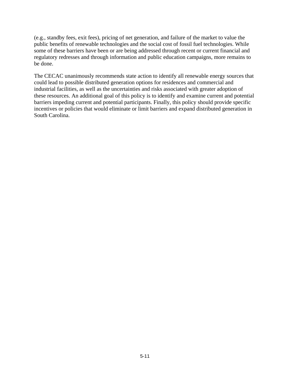(e.g., standby fees, exit fees), pricing of net generation, and failure of the market to value the public benefits of renewable technologies and the social cost of fossil fuel technologies. While some of these barriers have been or are being addressed through recent or current financial and regulatory redresses and through information and public education campaigns, more remains to be done.

The CECAC unanimously recommends state action to identify all renewable energy sources that could lead to possible distributed generation options for residences and commercial and industrial facilities, as well as the uncertainties and risks associated with greater adoption of these resources. An additional goal of this policy is to identify and examine current and potential barriers impeding current and potential participants. Finally, this policy should provide specific incentives or policies that would eliminate or limit barriers and expand distributed generation in South Carolina.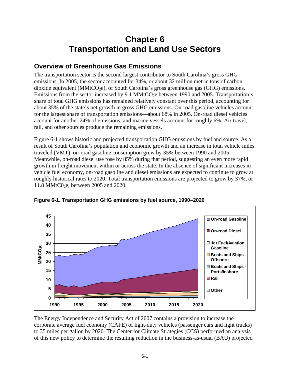# **Chapter 6 Transportation and Land Use Sectors**

## **Overview of Greenhouse Gas Emissions**

The transportation sector is the second largest contributor to South Carolina's gross GHG emissions. In 2005, the sector accounted for 34%, or about 32 million metric tons of carbon dioxide equivalent ( $MMtCO<sub>2</sub>e$ ), of South Carolina's gross greenhouse gas (GHG) emissions. Emissions from the sector increased by 9.1 MMtCO<sub>2</sub>e between 1990 and 2005. Transportation's share of total GHG emissions has remained relatively constant over this period, accounting for about 35% of the state's net growth in gross GHG emissions. On-road gasoline vehicles account for the largest share of transportation emissions—about 68% in 2005. On-road diesel vehicles account for another 24% of emissions, and marine vessels account for roughly 6%. Air travel, rail, and other sources produce the remaining emissions.

Figure 6-1 shows historic and projected transportation GHG emissions by fuel and source. As a result of South Carolina's population and economic growth and an increase in total vehicle miles traveled (VMT), on-road gasoline consumption grew by 35% between 1990 and 2005. Meanwhile, on-road diesel use rose by 85% during that period, suggesting an even more rapid growth in freight movement within or across the state. In the absence of significant increases in vehicle fuel economy, on-road gasoline and diesel emissions are expected to continue to grow at roughly historical rates to 2020. Total transportation emissions are projected to grow by 37%, or 11.8 MMtC0<sub>2</sub>e, between 2005 and 2020.



**Figure 6-1. Transportation GHG emissions by fuel source, 1990–2020** 

The Energy Independence and Security Act of 2007 contains a provision to increase the corporate average fuel economy (CAFE) of light-duty vehicles (passenger cars and light trucks) to 35 miles per gallon by 2020. The Center for Climate Strategies (CCS) performed an analysis of this new policy to determine the resulting reduction in the business-as-usual (BAU) projected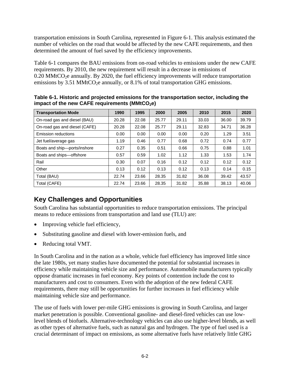transportation emissions in South Carolina, represented in Figure 6-1. This analysis estimated the number of vehicles on the road that would be affected by the new CAFE requirements, and then determined the amount of fuel saved by the efficiency improvements.

Table 6-1 compares the BAU emissions from on-road vehicles to emissions under the new CAFE requirements. By 2010, the new requirement will result in a decrease in emissions of  $0.20 \text{ MMtCO}_2$ e annually. By 2020, the fuel efficiency improvements will reduce transportation emissions by 3.51 MMtCO<sub>2</sub>e annually, or 8.1% of total transportation GHG emissions.

| <b>Transportation Mode</b>    | 1990  | 1995  | 2000  | 2005  | 2010  | 2015  | 2020  |
|-------------------------------|-------|-------|-------|-------|-------|-------|-------|
| On-road gas and diesel (BAU)  | 20.28 | 22.08 | 25.77 | 29.11 | 33.03 | 36.00 | 39.79 |
| On-road gas and diesel (CAFE) | 20.28 | 22.08 | 25.77 | 29.11 | 32.83 | 34.71 | 36.28 |
| <b>Emission reductions</b>    | 0.00  | 0.00  | 0.00  | 0.00  | 0.20  | 1.29  | 3.51  |
| Jet fuel/average gas          | 1.19  | 0.46  | 0.77  | 0.68  | 0.72  | 0.74  | 0.77  |
| Boats and ship-ports/inshore  | 0.27  | 0.35  | 0.51  | 0.66  | 0.75  | 0.88  | 1.01  |
| Boats and ships-offshore      | 0.57  | 0.59  | 1.02  | 1.12  | 1.33  | 1.53  | 1.74  |
| Rail                          | 0.30  | 0.07  | 0.16  | 0.12  | 0.12  | 0.12  | 0.12  |
| Other                         | 0.13  | 0.12  | 0.13  | 0.12  | 0.13  | 0.14  | 0.15  |
| Total (BAU)                   | 22.74 | 23.66 | 28.35 | 31.82 | 36.08 | 39.42 | 43.57 |
| Total (CAFE)                  | 22.74 | 23.66 | 28.35 | 31.82 | 35.88 | 38.13 | 40.06 |

**Table 6-1. Historic and projected emissions for the transportation sector, including the**  impact of the new CAFE requirements (MMtCO<sub>2</sub>e)

# **Key Challenges and Opportunities**

South Carolina has substantial opportunities to reduce transportation emissions. The principal means to reduce emissions from transportation and land use (TLU) are:

- Improving vehicle fuel efficiency,
- Substituting gasoline and diesel with lower-emission fuels, and
- Reducing total VMT.

In South Carolina and in the nation as a whole, vehicle fuel efficiency has improved little since the late 1980s, yet many studies have documented the potential for substantial increases in efficiency while maintaining vehicle size and performance. Automobile manufacturers typically oppose dramatic increases in fuel economy. Key points of contention include the cost to manufacturers and cost to consumers. Even with the adoption of the new federal CAFE requirements, there may still be opportunities for further increases in fuel efficiency while maintaining vehicle size and performance.

The use of fuels with lower per-mile GHG emissions is growing in South Carolina, and larger market penetration is possible. Conventional gasoline- and diesel-fired vehicles can use lowlevel blends of biofuels. Alternative-technology vehicles can also use higher-level blends, as well as other types of alternative fuels, such as natural gas and hydrogen. The type of fuel used is a crucial determinant of impact on emissions, as some alternative fuels have relatively little GHG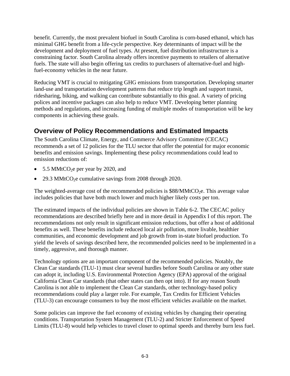benefit. Currently, the most prevalent biofuel in South Carolina is corn-based ethanol, which has minimal GHG benefit from a life-cycle perspective. Key determinants of impact will be the development and deployment of fuel types. At present, fuel distribution infrastructure is a constraining factor. South Carolina already offers incentive payments to retailers of alternative fuels. The state will also begin offering tax credits to purchasers of alternative-fuel and highfuel-economy vehicles in the near future.

Reducing VMT is crucial to mitigating GHG emissions from transportation. Developing smarter land-use and transportation development patterns that reduce trip length and support transit, ridesharing, biking, and walking can contribute substantially to this goal. A variety of pricing polices and incentive packages can also help to reduce VMT. Developing better planning methods and regulations, and increasing funding of multiple modes of transportation will be key components in achieving these goals.

# **Overview of Policy Recommendations and Estimated Impacts**

The South Carolina Climate, Energy, and Commerce Advisory Committee (CECAC) recommends a set of 12 policies for the TLU sector that offer the potential for major economic benefits and emission savings. Implementing these policy recommendations could lead to emission reductions of:

- 5.5 MMtCO<sub>2</sub>e per year by 2020, and
- 29.3 MMtCO $2$ e cumulative savings from 2008 through 2020.

The weighted-average cost of the recommended policies is  $$88/MMtCO<sub>2</sub>e$ . This average value includes policies that have both much lower and much higher likely costs per ton.

The estimated impacts of the individual policies are shown in Table 6-2. The CECAC policy recommendations are described briefly here and in more detail in Appendix I of this report. The recommendations not only result in significant emission reductions, but offer a host of additional benefits as well. These benefits include reduced local air pollution, more livable, healthier communities, and economic development and job growth from in-state biofuel production. To yield the levels of savings described here, the recommended policies need to be implemented in a timely, aggressive, and thorough manner.

Technology options are an important component of the recommended policies. Notably, the Clean Car standards (TLU-1) must clear several hurdles before South Carolina or any other state can adopt it, including U.S. Environmental Protection Agency (EPA) approval of the original California Clean Car standards (that other states can then opt into). If for any reason South Carolina is not able to implement the Clean Car standards, other technology-based policy recommendations could play a larger role. For example, Tax Credits for Efficient Vehicles (TLU-3) can encourage consumers to buy the most efficient vehicles available on the market.

Some policies can improve the fuel economy of existing vehicles by changing their operating conditions. Transportation System Management (TLU-2) and Stricter Enforcement of Speed Limits (TLU-8) would help vehicles to travel closer to optimal speeds and thereby burn less fuel.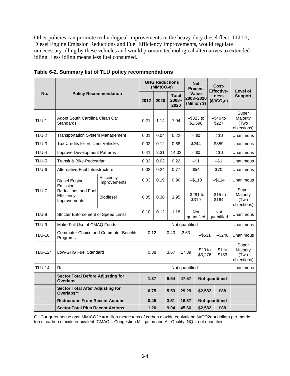Other policies can promote technological improvements in the heavy-duty diesel fleet. TLU-7, Diesel Engine Emission Reductions and Fuel Efficiency Improvements, would regulate unnecessary idling by these vehicles and would promote technological alternatives to extended idling. Less idling means less fuel consumed.

|                | <b>Policy Recommendation</b>                                                          |                                              | <b>GHG Reductions</b><br>(MMtCO <sub>2</sub> e) |      |                                  |                                 | <b>Net</b><br><b>Present</b>                         |                                    | Cost-<br><b>Effective-</b> |                                 |                                          |
|----------------|---------------------------------------------------------------------------------------|----------------------------------------------|-------------------------------------------------|------|----------------------------------|---------------------------------|------------------------------------------------------|------------------------------------|----------------------------|---------------------------------|------------------------------------------|
| No.            |                                                                                       |                                              | 2012                                            | 2020 | <b>Total</b><br>$2008 -$<br>2020 |                                 |                                                      | Value<br>2008–2020<br>(Million \$) |                            | ness<br>(\$/tCO <sub>2</sub> e) | Level of<br><b>Support</b>               |
| TLU-1          | Adopt South Carolina Clean Car<br>Standards                                           |                                              | 0.21                                            | 1.14 |                                  | $-$ \$323 to<br>7.04<br>\$1,598 |                                                      |                                    | $-$ \$46 to<br>\$227       |                                 | Super<br>Majority<br>(Two<br>objections) |
| <b>TLU-2</b>   | <b>Transportation System Management</b>                                               |                                              | 0.01                                            | 0.04 |                                  | 0.22                            |                                                      | $~<$ \$0                           |                            | $~<$ \$0                        | Unanimous                                |
| <b>TLU-3</b>   | Tax Credits for Efficient Vehicles                                                    |                                              | 0.02                                            | 0.12 |                                  | \$244<br>0.68                   |                                                      |                                    | \$359                      |                                 | Unanimous                                |
| <b>TLU-4</b>   | Improve Development Patterns                                                          |                                              | 0.41                                            | 2.31 |                                  | 14.02<br>$~<$ \$0               |                                                      |                                    |                            | $~<$ \$0                        | Unanimous                                |
| <b>TLU-5</b>   | Transit & Bike-Pedestrian                                                             |                                              | 0.02                                            | 0.02 | 0.22                             |                                 | $-$1$                                                |                                    | $-$1$                      |                                 | Unanimous                                |
| TLU-6          | Alternative-Fuel Infrastructure                                                       |                                              | 0.02                                            | 0.24 | 0.77                             |                                 | \$54                                                 |                                    | \$70                       | Unanimous                       |                                          |
| <b>TLU-7</b>   | Diesel Engine<br>Emission<br><b>Reductions and Fuel</b><br>Efficiency<br>Improvements | Efficiency<br>Improvements                   | 0.03                                            | 0.19 | 0.96                             |                                 | $-$ \$110                                            |                                    | $-$ \$114                  |                                 | Unanimous                                |
|                |                                                                                       | <b>Biodiesel</b>                             | 0.05                                            | 0.38 | 1.95                             |                                 | $-$ \$291 to<br>\$319                                |                                    | $-$ \$15 to<br>\$164       |                                 | Super<br>Majority<br>(Two<br>objections) |
| TLU-8          | <b>Stricter Enforcement of Speed Limits</b>                                           |                                              | 0.10                                            | 0.12 | 1.18                             |                                 | <b>Not</b><br><b>Not</b><br>quantified<br>quantified |                                    | Unanimous                  |                                 |                                          |
| TLU-9          | Make Full Use of CMAQ Funds                                                           |                                              |                                                 |      |                                  |                                 |                                                      | Not quantified                     |                            |                                 | Unanimous                                |
| <b>TLU-10</b>  | Programs                                                                              | <b>Commuter Choice and Commuter Benefits</b> | 0.12                                            |      | 0.43                             |                                 | 2.63                                                 | -\$631                             |                            | $-$240$                         | Unanimous                                |
| <b>TLU-12*</b> | Low-GHG Fuel Standard                                                                 |                                              | 0.38                                            |      | 3.67                             |                                 | \$20 to<br>17.89<br>\$3,276                          |                                    |                            | \$1 to<br>\$183                 | Super<br>Majority<br>(Two<br>objections) |
| <b>TLU-14</b>  | Rail                                                                                  |                                              |                                                 |      |                                  |                                 | Not quantified                                       |                                    |                            |                                 | Unanimous                                |
|                | <b>Sector Total Before Adjusting for</b><br><b>Overlaps</b>                           |                                              | 1.37                                            |      | 8.64                             |                                 | 47.57                                                |                                    | <b>Not quantified</b>      |                                 |                                          |
|                | <b>Sector Total After Adjusting for</b><br>Overlaps**                                 |                                              | 0.75                                            |      | 5.53                             |                                 | 29.29                                                |                                    | \$2,582<br>\$88            |                                 |                                          |
|                | <b>Reductions From Recent Actions</b>                                                 |                                              | 0.45<br>3.51                                    |      |                                  | 16.37                           |                                                      | <b>Not quantified</b>              |                            |                                 |                                          |
|                | <b>Sector Total Plus Recent Actions</b>                                               |                                              | 1.20                                            |      | 9.04                             |                                 | 45.66<br>\$2,582                                     |                                    |                            | \$88                            |                                          |

**Table 6-2. Summary list of TLU policy recommendations** 

GHG = greenhouse gas; MMtCO2e = million metric tons of carbon dioxide equivalent; \$/tCO2e = dollars per metric ton of carbon dioxide equivalent; CMAQ = Congestion Mitigation and Air Quality; NQ = not quantified.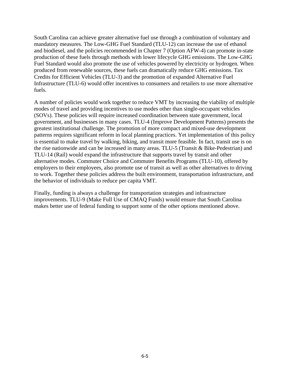South Carolina can achieve greater alternative fuel use through a combination of voluntary and mandatory measures. The Low-GHG Fuel Standard (TLU-12) can increase the use of ethanol and biodiesel, and the policies recommended in Chapter 7 (Option AFW-4) can promote in-state production of these fuels through methods with lower lifecycle GHG emissions. The Low-GHG Fuel Standard would also promote the use of vehicles powered by electricity or hydrogen. When produced from renewable sources, these fuels can dramatically reduce GHG emissions. Tax Credits for Efficient Vehicles (TLU-3) and the promotion of expanded Alternative Fuel Infrastructure (TLU-6) would offer incentives to consumers and retailers to use more alternative fuels.

A number of policies would work together to reduce VMT by increasing the viability of multiple modes of travel and providing incentives to use modes other than single-occupant vehicles (SOVs). These policies will require increased coordination between state government, local government, and businesses in many cases. TLU-4 (Improve Development Patterns) presents the greatest institutional challenge. The promotion of more compact and mixed-use development patterns requires significant reform in local planning practices. Yet implementation of this policy is essential to make travel by walking, biking, and transit more feasible. In fact, transit use is on the rise nationwide and can be increased in many areas. TLU-5 (Transit & Bike-Pedestrian) and TLU-14 (Rail) would expand the infrastructure that supports travel by transit and other alternative modes. Commuter Choice and Commuter Benefits Programs (TLU-10), offered by employers to their employees, also promote use of transit as well as other alternatives to driving to work. Together these policies address the built environment, transportation infrastructure, and the behavior of individuals to reduce per capita VMT.

Finally, funding is always a challenge for transportation strategies and infrastructure improvements. TLU-9 (Make Full Use of CMAQ Funds) would ensure that South Carolina makes better use of federal funding to support some of the other options mentioned above.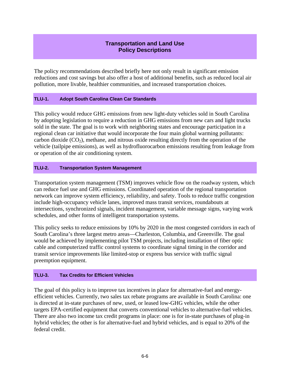#### **Transportation and Land Use Policy Descriptions**

The policy recommendations described briefly here not only result in significant emission reductions and cost savings but also offer a host of additional benefits, such as reduced local air pollution, more livable, healthier communities, and increased transportation choices.

#### **TLU-1. Adopt South Carolina Clean Car Standards**

This policy would reduce GHG emissions from new light-duty vehicles sold in South Carolina by adopting legislation to require a reduction in GHG emissions from new cars and light trucks sold in the state. The goal is to work with neighboring states and encourage participation in a regional clean car initiative that would incorporate the four main global warming pollutants: carbon dioxide  $(CO_2)$ , methane, and nitrous oxide resulting directly from the operation of the vehicle (tailpipe emissions), as well as hydrofluorocarbon emissions resulting from leakage from or operation of the air conditioning system.

#### **TLU-2. Transportation System Management**

Transportation system management (TSM) improves vehicle flow on the roadway system, which can reduce fuel use and GHG emissions. Coordinated operation of the regional transportation network can improve system efficiency, reliability, and safety. Tools to reduce traffic congestion include high-occupancy vehicle lanes, improved mass transit services, roundabouts at intersections, synchronized signals, incident management, variable message signs, varying work schedules, and other forms of intelligent transportation systems.

This policy seeks to reduce emissions by 10% by 2020 in the most congested corridors in each of South Carolina's three largest metro areas—Charleston, Columbia, and Greenville. The goal would be achieved by implementing pilot TSM projects, including installation of fiber optic cable and computerized traffic control systems to coordinate signal timing in the corridor and transit service improvements like limited-stop or express bus service with traffic signal preemption equipment.

#### **TLU-3. Tax Credits for Efficient Vehicles**

The goal of this policy is to improve tax incentives in place for alternative-fuel and energyefficient vehicles. Currently, two sales tax rebate programs are available in South Carolina: one is directed at in-state purchases of new, used, or leased low-GHG vehicles, while the other targets EPA-certified equipment that converts conventional vehicles to alternative-fuel vehicles. There are also two income tax credit programs in place: one is for in-state purchases of plug-in hybrid vehicles; the other is for alternative-fuel and hybrid vehicles, and is equal to 20% of the federal credit.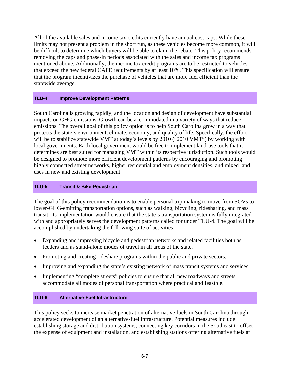All of the available sales and income tax credits currently have annual cost caps. While these limits may not present a problem in the short run, as these vehicles become more common, it will be difficult to determine which buyers will be able to claim the rebate. This policy recommends removing the caps and phase-in periods associated with the sales and income tax programs mentioned above. Additionally, the income tax credit programs are to be restricted to vehicles that exceed the new federal CAFE requirements by at least 10%. This specification will ensure that the program incentivizes the purchase of vehicles that are more fuel efficient than the statewide average.

#### **TLU-4. Improve Development Patterns**

South Carolina is growing rapidly, and the location and design of development have substantial impacts on GHG emissions. Growth can be accommodated in a variety of ways that reduce emissions. The overall goal of this policy option is to help South Carolina grow in a way that protects the state's environment, climate, economy, and quality of life. Specifically, the effort will be to stabilize statewide VMT at today's levels by 2010 ("2010 VMT") by working with local governments. Each local government would be free to implement land-use tools that it determines are best suited for managing VMT within its respective jurisdiction. Such tools would be designed to promote more efficient development patterns by encouraging and promoting highly connected street networks, higher residential and employment densities, and mixed land uses in new and existing development.

#### **TLU-5. Transit & Bike-Pedestrian**

The goal of this policy recommendation is to enable personal trip making to move from SOVs to lower-GHG-emitting transportation options, such as walking, bicycling, ridesharing, and mass transit. Its implementation would ensure that the state's transportation system is fully integrated with and appropriately serves the development patterns called for under TLU-4. The goal will be accomplished by undertaking the following suite of activities:

- Expanding and improving bicycle and pedestrian networks and related facilities both as feeders and as stand-alone modes of travel in all areas of the state.
- Promoting and creating rideshare programs within the public and private sectors.
- Improving and expanding the state's existing network of mass transit systems and services.
- Implementing "complete streets" policies to ensure that all new roadways and streets accommodate all modes of personal transportation where practical and feasible.

#### **TLU-6. Alternative-Fuel Infrastructure**

This policy seeks to increase market penetration of alternative fuels in South Carolina through accelerated development of an alternative-fuel infrastructure. Potential measures include establishing storage and distribution systems, connecting key corridors in the Southeast to offset the expense of equipment and installation, and establishing stations offering alternative fuels at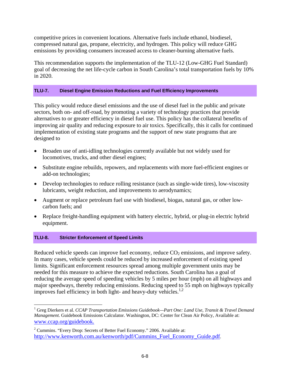competitive prices in convenient locations. Alternative fuels include ethanol, biodiesel, compressed natural gas, propane, electricity, and hydrogen. This policy will reduce GHG emissions by providing consumers increased access to cleaner-burning alternative fuels.

This recommendation supports the implementation of the TLU-12 (Low-GHG Fuel Standard) goal of decreasing the net life-cycle carbon in South Carolina's total transportation fuels by 10% in 2020.

#### **TLU-7. Diesel Engine Emission Reductions and Fuel Efficiency Improvements**

This policy would reduce diesel emissions and the use of diesel fuel in the public and private sectors, both on- and off-road, by promoting a variety of technology practices that provide alternatives to or greater efficiency in diesel fuel use. This policy has the collateral benefits of improving air quality and reducing exposure to air toxics. Specifically, this it calls for continued implementation of existing state programs and the support of new state programs that are designed to

- Broaden use of anti-idling technologies currently available but not widely used for locomotives, trucks, and other diesel engines;
- Substitute engine rebuilds, repowers, and replacements with more fuel-efficient engines or add-on technologies;
- Develop technologies to reduce rolling resistance (such as single-wide tires), low-viscosity lubricants, weight reduction, and improvements to aerodynamics;
- Augment or replace petroleum fuel use with biodiesel, biogas, natural gas, or other lowcarbon fuels; and
- Replace freight-handling equipment with battery electric, hybrid, or plug-in electric hybrid equipment.

#### **TLU-8. Stricter Enforcement of Speed Limits**

 $\overline{a}$ 

Reduced vehicle speeds can improve fuel economy, reduce  $CO<sub>2</sub>$  emissions, and improve safety. In many cases, vehicle speeds could be reduced by increased enforcement of existing speed limits. Significant enforcement resources spread among multiple government units may be needed for this measure to achieve the expected reductions. South Carolina has a goal of reducing the average speed of speeding vehicles by 5 miles per hour (mph) on all highways and major speedways, thereby reducing emissions. Reducing speed to 55 mph on highways typically improves fuel efficiency in both light- and heavy-duty vehicles. $1,2$ 

<sup>&</sup>lt;sup>1</sup> Greg Dierkers et al. *CCAP Transportation Emissions Guidebook—Part One: Land Use, Transit & Travel Demand Management*. Guidebook Emissions Calculator. Washington, DC: Center for Clean Air Policy, Available at: www.ccap.org/guidebook.

 $2^2$  Cummins. "Every Drop: Secrets of Better Fuel Economy." 2006. Available at: http://www.kenworth.com.au/kenworth/pdf/Cummins\_Fuel\_Economy\_Guide.pdf.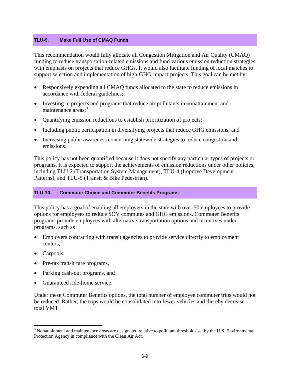#### **TLU-9. Make Full Use of CMAQ Funds**

This recommendation would fully allocate all Congestion Mitigation and Air Quality (CMAQ) funding to reduce transportation-related emissions and fund various emission reduction strategies with emphasis on projects that reduce GHGs. It would also facilitate funding of local matches to support selection and implementation of high-GHG-impact projects. This goal can be met by:

- Responsively expending all CMAQ funds allocated to the state to reduce emissions in accordance with federal guidelines;
- Investing in projects and programs that reduce air pollutants in nonattainment and maintenance areas: $3$
- Quantifying emission reductions to establish prioritization of projects;
- Including public participation in diversifying projects that reduce GHG emissions; and
- Increasing public awareness concerning statewide strategies to reduce congestion and emissions.

This policy has not been quantified because it does not specify any particular types of projects or programs. It is expected to support the achievements of emission reductions under other policies, including TLU-2 (Transportation System Management), TLU-4 (Improve Development Patterns), and TLU-5 (Transit & Bike Pedestrian).

#### **TLU-10. Commuter Choice and Commuter Benefits Programs**

This policy has a goal of enabling all employers in the state with over 50 employees to provide options for employees to reduce SOV commutes and GHG emissions. Commuter Benefits programs provide employees with alternative transportation options and incentives under programs, such as

- Employers contracting with transit agencies to provide service directly to employment centers,
- Carpools,

 $\overline{a}$ 

- Pre-tax transit fare programs,
- Parking cash-out programs, and
- Guaranteed ride-home service.

Under these Commuter Benefits options, the total number of employee commuter trips would not be reduced. Rather, the trips would be consolidated into fewer vehicles and thereby decrease total VMT.

 $3$  Nonattainment and maintenance areas are designated relative to pollutant thresholds set by the U.S. Environmental Protection Agency in compliance with the Clean Air Act.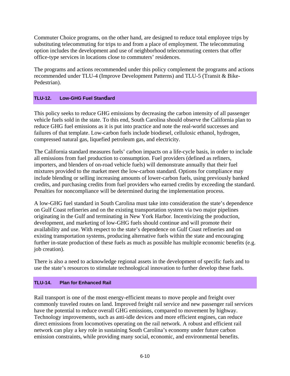Commuter Choice programs, on the other hand, are designed to reduce total employee trips by substituting telecommuting for trips to and from a place of employment. The telecommuting option includes the development and use of neighborhood telecommuting centers that offer office-type services in locations close to commuters' residences.

The programs and actions recommended under this policy complement the programs and actions recommended under TLU-4 (Improve Development Patterns) and TLU-5 (Transit & Bike-Pedestrian).

#### **TLU-12. Low-GHG Fuel Standard**

This policy seeks to reduce GHG emissions by decreasing the carbon intensity of all passenger vehicle fuels sold in the state. To this end, South Carolina should observe the California plan to reduce GHG fuel emissions as it is put into practice and note the real-world successes and failures of that template. Low-carbon fuels include biodiesel, cellulosic ethanol, hydrogen, compressed natural gas, liquefied petroleum gas, and electricity.

The California standard measures fuels' carbon impacts on a life-cycle basis, in order to include all emissions from fuel production to consumption. Fuel providers (defined as refiners, importers, and blenders of on-road vehicle fuels) will demonstrate annually that their fuel mixtures provided to the market meet the low-carbon standard. Options for compliance may include blending or selling increasing amounts of lower-carbon fuels, using previously banked credits, and purchasing credits from fuel providers who earned credits by exceeding the standard. Penalties for noncompliance will be determined during the implementation process.

A low-GHG fuel standard in South Carolina must take into consideration the state's dependence on Gulf Coast refineries and on the existing transportation system via two major pipelines originating in the Gulf and terminating in New York Harbor. Incentivizing the production, development, and marketing of low-GHG fuels should continue and will promote their availability and use. With respect to the state's dependence on Gulf Coast refineries and on existing transportation systems, producing alternative fuels within the state and encouraging further in-state production of these fuels as much as possible has multiple economic benefits (e.g. job creation).

There is also a need to acknowledge regional assets in the development of specific fuels and to use the state's resources to stimulate technological innovation to further develop these fuels.

#### **TLU-14. Plan for Enhanced Rail**

Rail transport is one of the most energy-efficient means to move people and freight over commonly traveled routes on land. Improved freight rail service and new passenger rail services have the potential to reduce overall GHG emissions, compared to movement by highway. Technology improvements, such as anti-idle devices and more efficient engines, can reduce direct emissions from locomotives operating on the rail network. A robust and efficient rail network can play a key role in sustaining South Carolina's economy under future carbon emission constraints, while providing many social, economic, and environmental benefits.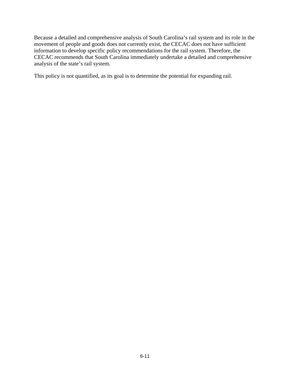Because a detailed and comprehensive analysis of South Carolina's rail system and its role in the movement of people and goods does not currently exist, the CECAC does not have sufficient information to develop specific policy recommendations for the rail system. Therefore, the CECAC recommends that South Carolina immediately undertake a detailed and comprehensive analysis of the state's rail system.

This policy is not quantified, as its goal is to determine the potential for expanding rail.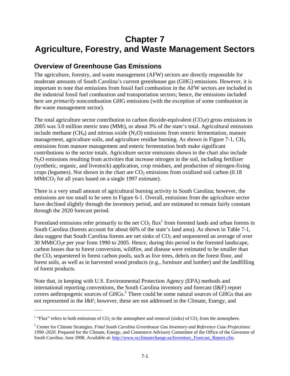# **Chapter 7 Agriculture, Forestry, and Waste Management Sectors**

## **Overview of Greenhouse Gas Emissions**

The agriculture, forestry, and waste management (AFW) sectors are directly responsible for moderate amounts of South Carolina's current greenhouse gas (GHG) emissions. However, it is important to note that emissions from fossil fuel combustion in the AFW sectors are included in the industrial fossil fuel combustion and transportation sectors; hence, the emissions included here are *primarily* noncombustion GHG emissions (with the exception of some combustion in the waste management sector).

The total agriculture sector contribution to carbon dioxide-equivalent  $(CO<sub>2</sub>e)$  gross emissions in 2005 was 3.0 million metric tons (MMt), or about 3% of the state's total. Agricultural emissions include methane (CH<sub>4</sub>) and nitrous oxide (N<sub>2</sub>O) emissions from enteric fermentation, manure management, agriculture soils, and agriculture residue burning. As shown in Figure 7-1, CH4 emissions from manure management and enteric fermentation both make significant contributions to the sector totals. Agriculture sector emissions shown in the chart also include N2O emissions resulting from activities that increase nitrogen in the soil, including fertilizer (synthetic, organic, and livestock) application, crop residues, and production of nitrogen-fixing crops (legumes). Not shown in the chart are  $CO<sub>2</sub>$  emissions from oxidized soil carbon (0.18)  $MMtCO<sub>2</sub>$  for all years based on a single 1997 estimate).

There is a very small amount of agricultural burning activity in South Carolina; however, the emissions are too small to be seen in Figure 6-1. Overall, emissions from the agriculture sector have declined slightly through the inventory period, and are estimated to remain fairly constant through the 2020 forecast period.

Forestland emissions refer primarily to the net  $CO<sub>2</sub> flux<sup>1</sup>$  from forested lands and urban forests in South Carolina (forests account for about 66% of the state's land area). As shown in Table 7-1, data suggest that South Carolina forests are net sinks of  $CO<sub>2</sub>$  and sequestered an average of over 30 MMtCO2e per year from 1990 to 2005. Hence, during this period in the forested landscape, carbon losses due to forest conversion, wildfire, and disease were estimated to be smaller than the CO2 sequestered in forest carbon pools, such as live trees, debris on the forest floor, and forest soils, as well as in harvested wood products (e.g., furniture and lumber) and the landfilling of forest products.

Note that, in keeping with U.S. Environmental Protection Agency (EPA) methods and international reporting conventions, the South Carolina inventory and forecast (I&F) report covers anthropogenic sources of GHGs.<sup>2</sup> There could be some natural sources of GHGs that are not represented in the I&F; however, these are not addressed in the Climate, Energy, and

 $\overline{a}$ 

<sup>&</sup>lt;sup>1</sup> "Flux" refers to both emissions of  $CO_2$  to the atmosphere and removal (sinks) of  $CO_2$  from the atmosphere.

<sup>2</sup> Center for Climate Strategies. *Final South Carolina Greenhouse Gas Inventory and Reference Case Projections: 1990–2020*. Prepared for the Climate, Energy, and Commerce Advisory Committee of the Office of the Governor of South Carolina. June 2008. Available at: http://www.scclimatechange.us/Inventory\_Forecast\_Report.cfm.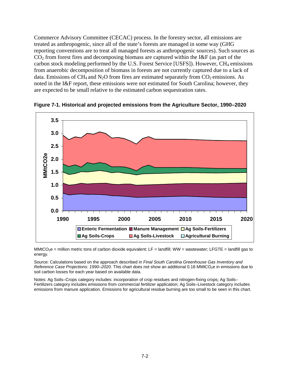Commerce Advisory Committee (CECAC) process. In the forestry sector, all emissions are treated as anthropogenic, since all of the state's forests are managed in some way (GHG reporting conventions are to treat all managed forests as anthropogenic sources). Such sources as  $CO<sub>2</sub>$  from forest fires and decomposing biomass are captured within the I&F (as part of the carbon stock modeling performed by the U.S. Forest Service [USFS]). However,  $CH_4$  emissions from anaerobic decomposition of biomass in forests are not currently captured due to a lack of data. Emissions of CH<sub>4</sub> and N<sub>2</sub>O from fires are estimated separately from  $CO_2$  emissions. As noted in the I&F report, these emissions were not estimated for South Carolina; however, they are expected to be small relative to the estimated carbon sequestration rates.



**Figure 7-1. Historical and projected emissions from the Agriculture Sector, 1990–2020** 

MMtCO<sub>2</sub>e = million metric tons of carbon dioxide equivalent; LF = landfill; WW = wastewater; LFGTE = landfill gas to energy.

Source: Calculations based on the approach described in *Final South Carolina Greenhouse Gas Inventory and Reference Case Projections: 1990–2020*. This chart does not show an additional 0.18 MMtCO<sub>2</sub>e in emissions due to soil carbon losses for each year based on available data.

Notes: Ag Soils–Crops category includes: incorporation of crop residues and nitrogen-fixing crops; Ag Soils– Fertilizers category includes emissions from commercial fertilizer application; Ag Soils–Livestock category includes emissions from manure application. Emissions for agricultural residue burning are too small to be seen in this chart.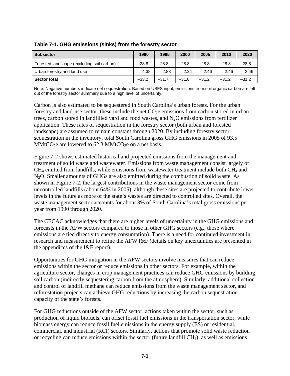| <b>Subsector</b>                           | 1990    | 1995    | 2000    | 2005    | 2010    | 2020    |
|--------------------------------------------|---------|---------|---------|---------|---------|---------|
| Forested landscape (excluding soil carbon) | $-28.8$ | $-28.8$ | $-28.8$ | $-28.8$ | $-28.8$ | $-28.8$ |
| Urban forestry and land use                | $-4.38$ | $-2.88$ | $-2.24$ | $-2.46$ | $-2.46$ | $-2.46$ |
| Sector total                               | $-33.2$ | $-31.7$ | $-31.0$ | $-31.2$ | $-31.2$ | $-31.2$ |

**Table 7-1. GHG emissions (sinks) from the forestry sector** 

Note: Negative numbers indicate net sequestration. Based on USFS input, emissions from soil organic carbon are left out of the forestry sector summary due to a high level of uncertainty.

Carbon is also estimated to be sequestered in South Carolina's urban forests. For the urban forestry and land-use sector, these include the net  $CO<sub>2</sub>e$  emissions from carbon stored in urban trees, carbon stored in landfilled yard and food wastes, and  $N<sub>2</sub>O$  emissions from fertilizer application. These rates of sequestration in the forestry sector (both urban and forested landscape) are assumed to remain constant through 2020. By including forestry sector sequestration in the inventory, total South Carolina gross GHG emissions in 2005 of 93.5 MMtCO<sub>2</sub>e are lowered to 62.3 MMtCO<sub>2</sub>e on a net basis.

Figure 7-2 shows estimated historical and projected emissions from the management and treatment of solid waste and wastewater. Emissions from waste management consist largely of  $CH<sub>4</sub>$  emitted from landfills, while emissions from wastewater treatment include both  $CH<sub>4</sub>$  and N<sub>2</sub>O. Smaller amounts of GHGs are also emitted during the combustion of solid waste. As shown in Figure 7-2, the largest contributions in the waste management sector come from uncontrolled landfills (about 64% in 2005), although these sites are projected to contribute lower levels in the future as more of the state's wastes are directed to controlled sites. Overall, the waste management sector accounts for about 3% of South Carolina's total gross emissions per year from 1990 through 2020.

The CECAC acknowledges that there are higher levels of uncertainty in the GHG emissions and forecasts in the AFW sectors compared to those in other GHG sectors (e.g., those where emissions are tied directly to energy consumption). There is a need for continued investment in research and measurement to refine the AFW I&F (details on key uncertainties are presented in the appendices of the I&F report).

Opportunities for GHG mitigation in the AFW sectors involve measures that can reduce emissions within the sector or reduce emissions in other sectors. For example, within the agriculture sector, changes in crop management practices can reduce GHG emissions by building soil carbon (indirectly sequestering carbon from the atmosphere). Similarly, additional collection and control of landfill methane can reduce emissions from the waste management sector, and reforestation projects can achieve GHG reductions by increasing the carbon sequestration capacity of the state's forests.

For GHG reductions outside of the AFW sector, actions taken within the sector, such as production of liquid biofuels, can offset fossil fuel emissions in the transportation sector, while biomass energy can reduce fossil fuel emissions in the energy supply (ES) or residential, commercial, and industrial (RCI) sectors. Similarly, actions that promote solid waste reduction or recycling can reduce emissions within the sector (future landfill  $CH<sub>4</sub>$ ), as well as emissions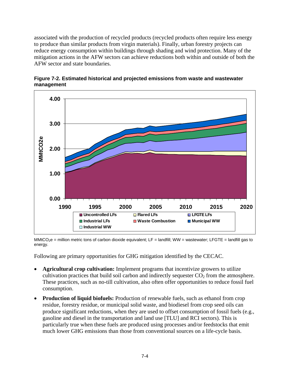associated with the production of recycled products (recycled products often require less energy to produce than similar products from virgin materials). Finally, urban forestry projects can reduce energy consumption within buildings through shading and wind protection. Many of the mitigation actions in the AFW sectors can achieve reductions both within and outside of both the AFW sector and state boundaries.



**Figure 7-2. Estimated historical and projected emissions from waste and wastewater management** 

MMtCO<sub>2</sub>e = million metric tons of carbon dioxide equivalent; LF = landfill; WW = wastewater; LFGTE = landfill gas to energy.

Following are primary opportunities for GHG mitigation identified by the CECAC.

- **Agricultural crop cultivation:** Implement programs that incentivize growers to utilize cultivation practices that build soil carbon and indirectly sequester  $CO<sub>2</sub>$  from the atmosphere. These practices, such as no-till cultivation, also often offer opportunities to reduce fossil fuel consumption.
- **Production of liquid biofuels:** Production of renewable fuels, such as ethanol from crop residue, forestry residue, or municipal solid waste, and biodiesel from crop seed oils can produce significant reductions, when they are used to offset consumption of fossil fuels (e.g., gasoline and diesel in the transportation and land use [TLU] and RCI sectors). This is particularly true when these fuels are produced using processes and/or feedstocks that emit much lower GHG emissions than those from conventional sources on a life-cycle basis.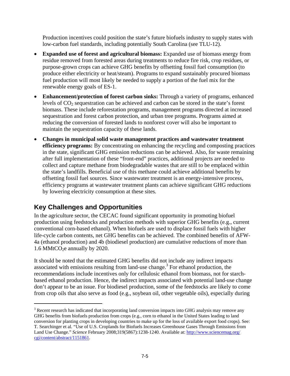Production incentives could position the state's future biofuels industry to supply states with low-carbon fuel standards, including potentially South Carolina (see TLU-12).

- **Expanded use of forest and agricultural biomass:** Expanded use of biomass energy from residue removed from forested areas during treatments to reduce fire risk, crop residues, or purpose-grown crops can achieve GHG benefits by offsetting fossil fuel consumption (to produce either electricity or heat/steam). Programs to expand sustainably procured biomass fuel production will most likely be needed to supply a portion of the fuel mix for the renewable energy goals of ES-1.
- **Enhancement/protection of forest carbon sinks:** Through a variety of programs, enhanced levels of CO2 sequestration can be achieved and carbon can be stored in the state's forest biomass. These include reforestation programs, management programs directed at increased sequestration and forest carbon protection, and urban tree programs. Programs aimed at reducing the conversion of forested lands to nonforest cover will also be important to maintain the sequestration capacity of these lands.
- **Changes in municipal solid waste management practices and wastewater treatment efficiency programs:** By concentrating on enhancing the recycling and composting practices in the state, significant GHG emission reductions can be achieved. Also, for waste remaining after full implementation of these "front-end" practices, additional projects are needed to collect and capture methane from biodegradable wastes that are still to be emplaced within the state's landfills. Beneficial use of this methane could achieve additional benefits by offsetting fossil fuel sources. Since wastewater treatment is an energy-intensive process, efficiency programs at wastewater treatment plants can achieve significant GHG reductions by lowering electricity consumption at these sites.

# **Key Challenges and Opportunities**

 $\overline{a}$ 

In the agriculture sector, the CECAC found significant opportunity in promoting biofuel production using feedstocks and production methods with superior GHG benefits (e.g., current conventional corn-based ethanol). When biofuels are used to displace fossil fuels with higher life-cycle carbon contents, net GHG benefits can be achieved. The combined benefits of AFW-4a (ethanol production) and 4b (biodiesel production) are cumulative reductions of more than 1.6 MMtCO<sub>2</sub>e annually by 2020.

It should be noted that the estimated GHG benefits did not include any indirect impacts associated with emissions resulting from land-use change.<sup>3</sup> For ethanol production, the recommendations include incentives only for cellulosic ethanol from biomass, not for starchbased ethanol production. Hence, the indirect impacts associated with potential land-use change don't appear to be an issue. For biodiesel production, some of the feedstocks are likely to come from crop oils that also serve as food (e.g., soybean oil, other vegetable oils), especially during

 $3$  Recent research has indicated that incorporating land conversion impacts into GHG analysis may remove any GHG benefits from biofuels production from crops (e.g., corn to ethanol in the United States leading to land conversion for planting crops in developing countries to make up for the loss of available export food crops). See: T. Searchinger et al. "Use of U.S. Croplands for Biofuels Increases Greenhouse Gases Through Emissions from Land Use Change." *Science* February 2008;319(5867):1238-1240. Available at: http://www.sciencemag.org/ cgi/content/abstract/1151861.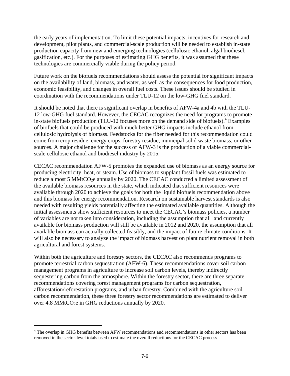the early years of implementation. To limit these potential impacts, incentives for research and development, pilot plants, and commercial-scale production will be needed to establish in-state production capacity from new and emerging technologies (cellulosic ethanol, algal biodiesel, gasification, etc.). For the purposes of estimating GHG benefits, it was assumed that these technologies are commercially viable during the policy period.

Future work on the biofuels recommendations should assess the potential for significant impacts on the availability of land, biomass, and water, as well as the consequences for food production, economic feasibility, and changes in overall fuel costs. These issues should be studied in coordination with the recommendations under TLU-12 on the low-GHG fuel standard.

It should be noted that there is significant overlap in benefits of AFW-4a and 4b with the TLU-12 low-GHG fuel standard. However, the CECAC recognizes the need for programs to promote in-state biofuels production (TLU-12 focuses more on the demand side of biofuels).<sup>4</sup> Examples of biofuels that could be produced with much better GHG impacts include ethanol from cellulosic hydrolysis of biomass. Feedstocks for the fiber needed for this recommendation could come from crop residue, energy crops, forestry residue, municipal solid waste biomass, or other sources. A major challenge for the success of AFW-3 is the production of a viable commercialscale cellulosic ethanol and biodiesel industry by 2015.

CECAC recommendation AFW-5 promotes the expanded use of biomass as an energy source for producing electricity, heat, or steam. Use of biomass to supplant fossil fuels was estimated to reduce almost 5 MMtCO<sub>2</sub>e annually by 2020. The CECAC conducted a limited assessment of the available biomass resources in the state, which indicated that sufficient resources were available through 2020 to achieve the goals for both the liquid biofuels recommendation above and this biomass for energy recommendation. Research on sustainable harvest standards is also needed with resulting yields potentially affecting the estimated available quantities. Although the initial assessments show sufficient resources to meet the CECAC's biomass policies, a number of variables are not taken into consideration, including the assumption that all land currently available for biomass production will still be available in 2012 and 2020, the assumption that all available biomass can actually collected feasibly, and the impact of future climate conditions. It will also be necessary to analyze the impact of biomass harvest on plant nutrient removal in both agricultural and forest systems.

Within both the agriculture and forestry sectors, the CECAC also recommends programs to promote terrestrial carbon sequestration (AFW-6). These recommendations cover soil carbon management programs in agriculture to increase soil carbon levels, thereby indirectly sequestering carbon from the atmosphere. Within the forestry sector, there are three separate recommendations covering forest management programs for carbon sequestration, afforestation/reforestation programs, and urban forestry. Combined with the agriculture soil carbon recommendation, these three forestry sector recommendations are estimated to deliver over 4.8 MMtCO<sub>2</sub>e in GHG reductions annually by 2020.

 $\overline{a}$ 

<sup>&</sup>lt;sup>4</sup> The overlap in GHG benefits between AFW recommendations and recommendations in other sectors has been removed in the sector-level totals used to estimate the overall reductions for the CECAC process.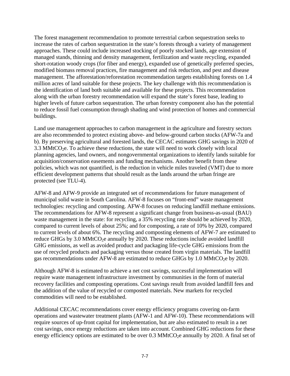The forest management recommendation to promote terrestrial carbon sequestration seeks to increase the rates of carbon sequestration in the state's forests through a variety of management approaches. These could include increased stocking of poorly stocked lands, age extension of managed stands, thinning and density management, fertilization and waste recycling, expanded short-rotation woody crops (for fiber and energy), expanded use of genetically preferred species, modified biomass removal practices, fire management and risk reduction, and pest and disease management. The afforestation/reforestation recommendation targets establishing forests on 1.4 million acres of land suitable for these projects. The key challenge with this recommendation is the identification of land both suitable and available for these projects. This recommendation along with the urban forestry recommendation will expand the state's forest base, leading to higher levels of future carbon sequestration. The urban forestry component also has the potential to reduce fossil fuel consumption through shading and wind protection of homes and commercial buildings.

Land use management approaches to carbon management in the agriculture and forestry sectors are also recommended to protect existing above- and below-ground carbon stocks (AFW-7a and b). By preserving agricultural and forested lands, the CECAC estimates GHG savings in 2020 of 3.3 MMtCO<sub>2</sub>e. To achieve these reductions, the state will need to work closely with local planning agencies, land owners, and nongovernmental organizations to identify lands suitable for acquisition/conservation easements and funding mechanisms. Another benefit from these policies, which was not quantified, is the reduction in vehicle miles traveled (VMT) due to more efficient development patterns that should result as the lands around the urban fringe are protected (see TLU-4).

AFW-8 and AFW-9 provide an integrated set of recommendations for future management of municipal solid waste in South Carolina. AFW-8 focuses on "front-end" waste management technologies: recycling and composting. AFW-8 focuses on reducing landfill methane emissions. The recommendations for AFW-8 represent a significant change from business-as-usual (BAU) waste management in the state: for recycling, a 35% recycling rate should be achieved by 2020, compared to current levels of about 25%; and for composting, a rate of 10% by 2020, compared to current levels of about 6%. The recycling and composting elements of AFW-7 are estimated to reduce GHGs by 3.0 MMtCO<sub>2</sub>e annually by 2020. These reductions include avoided landfill GHG emissions, as well as avoided product and packaging life-cycle GHG emissions from the use of recycled products and packaging versus those created from virgin materials. The landfill gas recommendations under AFW-8 are estimated to reduce GHGs by  $1.0 \text{ MMtCO}_2$ e by  $2020$ .

Although AFW-8 is estimated to achieve a net cost savings, successful implementation will require waste management infrastructure investment by communities in the form of material recovery facilities and composting operations. Cost savings result from avoided landfill fees and the addition of the value of recycled or composted materials. New markets for recycled commodities will need to be established.

Additional CECAC recommendations cover energy efficiency programs covering on-farm operations and wastewater treatment plants (AFW-1 and AFW-10). These recommendations will require sources of up-front capital for implementation, but are also estimated to result in a net cost savings, once energy reductions are taken into account. Combined GHG reductions for these energy efficiency options are estimated to be over  $0.3 \text{ MMtCO}_2$ e annually by 2020. A final set of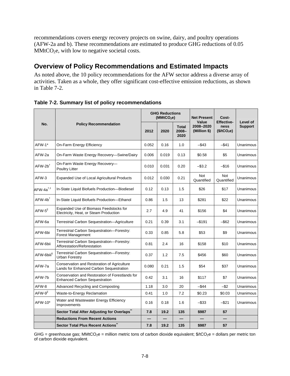recommendations covers energy recovery projects on swine, dairy, and poultry operations (AFW-2a and b). These recommendations are estimated to produce GHG reductions of 0.05 MMtCO<sub>2</sub>e, with low to negative societal costs.

# **Overview of Policy Recommendations and Estimated Impacts**

As noted above, the 10 policy recommendations for the AFW sector address a diverse array of activities. Taken as a whole, they offer significant cost-effective emission reductions, as shown in Table 7-2.

| No.                         | <b>Policy Recommendation</b>                                                            | <b>GHG Reductions</b><br>(MMtCO <sub>2</sub> e) |       |                                  | <b>Net Present</b>                 | Cost-                                                |                            |
|-----------------------------|-----------------------------------------------------------------------------------------|-------------------------------------------------|-------|----------------------------------|------------------------------------|------------------------------------------------------|----------------------------|
|                             |                                                                                         | 2012                                            | 2020  | <b>Total</b><br>$2008 -$<br>2020 | Value<br>2008-2020<br>(Million \$) | <b>Effective-</b><br>ness<br>(\$/tCO <sub>2</sub> e) | Level of<br><b>Support</b> |
| AFW-1*                      | On-Farm Energy Efficiency                                                               | 0.052                                           | 0.16  | 1.0                              | $-$ \$43                           | -\$41                                                | Unanimous                  |
| AFW-2a                      | On-Farm Waste Energy Recovery-Swine/Dairy                                               | 0.006                                           | 0.019 | 0.13                             | \$0.58                             | \$5                                                  | Unanimous                  |
| $AFW-2b^{\dagger}$          | On-Farm Waste Energy Recovery-<br><b>Poultry Litter</b>                                 | 0.010                                           | 0.031 | 0.20                             | $-$ \$3.2                          | $-$16$                                               | Unanimous                  |
| AFW-3                       | <b>Expanded Use of Local Agricultural Products</b>                                      | 0.012                                           | 0.030 | 0.21                             | Not<br>Quantified                  | Not<br>Quantified                                    | Unanimous                  |
| $AFW-4a^{\dagger,\ddagger}$ | In-State Liquid Biofuels Production-Biodiesel                                           | 0.12                                            | 0.13  | 1.5                              | \$26                               | \$17                                                 | Unanimous                  |
| $AFW-4b$ <sup>†</sup>       | In-State Liquid Biofuels Production-Ethanol                                             | 0.86                                            | 1.5   | 13                               | \$281                              | \$22                                                 | Unanimous                  |
| AFW-5                       | Expanded Use of Biomass Feedstocks for<br>Electricity, Heat, or Steam Production        | 2.7                                             | 4.9   | 41                               | \$156                              | \$4                                                  | Unanimous                  |
| AFW-6a                      | Terrestrial Carbon Sequestration-Agriculture                                            | 0.21                                            | 0.39  | 3.1                              | $-$ \$191                          | $-$ \$62                                             | Unanimous                  |
| AFW-6bi                     | Terrestrial Carbon Sequestration-Forestry:<br>Forest Management                         | 0.33                                            | 0.85  | 5.8                              | \$53                               | \$9                                                  | Unanimous                  |
| AFW-6bii                    | Terrestrial Carbon Sequestration-Forestry:<br>Afforestation/Reforestation               | 0.81                                            | 2.4   | 16                               | \$158                              | \$10                                                 | Unanimous                  |
| AFW-6biii <sup>1</sup>      | Terrestrial Carbon Sequestration-Forestry:<br><b>Urban Forestry</b>                     | 0.37                                            | 1.2   | 7.5                              | \$456                              | \$60                                                 | Unanimous                  |
| AFW-7a                      | Conservation and Restoration of Agriculture<br>Lands for Enhanced Carbon Sequestration  | 0.080                                           | 0.21  | 1.5                              | \$54                               | \$37                                                 | Unanimous                  |
| AFW-7b                      | Conservation and Restoration of Forestlands for<br><b>Enhanced Carbon Sequestration</b> | 0.42                                            | 3.1   | 16                               | \$117                              | \$7                                                  | Unanimous                  |
| AFW-8                       | Advanced Recycling and Composting                                                       | 1.18                                            | 3.0   | 20                               | $-$ \$44                           | $-$ \$2                                              | Unanimous                  |
| AFW-9 <sup>II</sup>         | Waste-to-Energy Reclamation                                                             | 0.41                                            | 1.0   | 7.2                              | \$0.23                             | \$0.03                                               | Unanimous                  |
| AFW-10*                     | Water and Wastewater Energy Efficiency<br>Improvements                                  | 0.16                                            | 0.18  | 1.6                              | $-$ \$33                           | $-$ \$21                                             | Unanimous                  |
|                             | Sector Total After Adjusting for Overlaps"                                              | 7.8                                             | 19.2  | 135                              | \$987                              | \$7                                                  |                            |
|                             | <b>Reductions From Recent Actions</b>                                                   |                                                 |       |                                  |                                    |                                                      |                            |
|                             | <b>Sector Total Plus Recent Actions"</b>                                                | 7.8                                             | 19.2  | 135                              | \$987                              | \$7                                                  |                            |

**Table 7-2. Summary list of policy recommendations** 

GHG = greenhouse gas; MMtCO<sub>2</sub>e = million metric tons of carbon dioxide equivalent; \$/tCO<sub>2</sub>e = dollars per metric ton of carbon dioxide equivalent.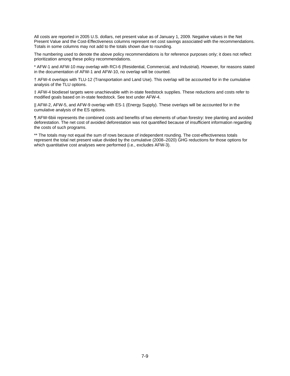All costs are reported in 2005 U.S. dollars, net present value as of January 1, 2009. Negative values in the Net Present Value and the Cost-Effectiveness columns represent net cost savings associated with the recommendations. Totals in some columns may not add to the totals shown due to rounding.

The numbering used to denote the above policy recommendations is for reference purposes only; it does not reflect prioritization among these policy recommendations.

\* AFW-1 and AFW-10 may overlap with RCI-6 (Residential, Commercial, and Industrial). However, for reasons stated in the documentation of AFW-1 and AFW-10, no overlap will be counted.

† AFW-4 overlaps with TLU-12 (Transportation and Land Use). This overlap will be accounted for in the cumulative analysis of the TLU options.

‡ AFW-4 biodiesel targets were unachievable with in-state feedstock supplies. These reductions and costs refer to modified goals based on in-state feedstock. See text under AFW-4.

|| AFW-2, AFW-5, and AFW-9 overlap with ES-1 (Energy Supply). These overlaps will be accounted for in the cumulative analysis of the ES options.

¶ AFW-6biii represents the combined costs and benefits of two elements of urban forestry: tree planting and avoided deforestation. The net cost of avoided deforestation was not quantified because of insufficient information regarding the costs of such programs.

\*\* The totals may not equal the sum of rows because of independent rounding. The cost-effectiveness totals represent the total net present value divided by the cumulative (2008–2020) GHG reductions for those options for which quantitative cost analyses were performed (i.e., excludes AFW-3).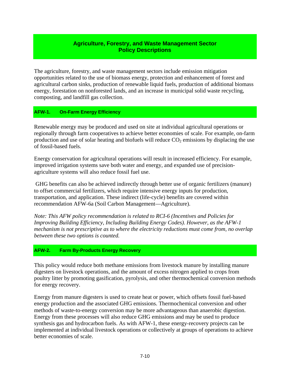# **Agriculture, Forestry, and Waste Management Sector Policy Descriptions**

The agriculture, forestry, and waste management sectors include emission mitigation opportunities related to the use of biomass energy, protection and enhancement of forest and agricultural carbon sinks, production of renewable liquid fuels, production of additional biomass energy, forestation on nonforested lands, and an increase in municipal solid waste recycling, composting, and landfill gas collection.

# **AFW-1. On-Farm Energy Efficiency**

Renewable energy may be produced and used on site at individual agricultural operations or regionally through farm cooperatives to achieve better economies of scale. For example, on-farm production and use of solar heating and biofuels will reduce  $CO<sub>2</sub>$  emissions by displacing the use of fossil-based fuels.

Energy conservation for agricultural operations will result in increased efficiency. For example, improved irrigation systems save both water and energy, and expanded use of precisionagriculture systems will also reduce fossil fuel use.

 GHG benefits can also be achieved indirectly through better use of organic fertilizers (manure) to offset commercial fertilizers, which require intensive energy inputs for production, transportation, and application. These indirect (life-cycle) benefits are covered within recommendation AFW-6a (Soil Carbon Management—Agriculture).

*Note: This AFW policy recommendation is related to RCI-6 (Incentives and Policies for Improving Building Efficiency, Including Building Energy Codes). However, as the AFW-1 mechanism is not prescriptive as to where the electricity reductions must come from, no overlap between these two options is counted.* 

# **AFW-2. Farm By-Products Energy Recovery**

This policy would reduce both methane emissions from livestock manure by installing manure digesters on livestock operations, and the amount of excess nitrogen applied to crops from poultry litter by promoting gasification, pyrolysis, and other thermochemical conversion methods for energy recovery.

Energy from manure digesters is used to create heat or power, which offsets fossil fuel-based energy production and the associated GHG emissions. Thermochemical conversion and other methods of waste-to-energy conversion may be more advantageous than anaerobic digestion. Energy from these processes will also reduce GHG emissions and may be used to produce synthesis gas and hydrocarbon fuels. As with AFW-1, these energy-recovery projects can be implemented at individual livestock operations or collectively at groups of operations to achieve better economies of scale.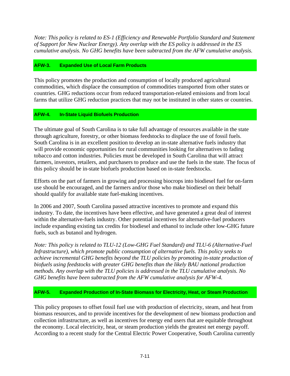*Note: This policy is related to ES-1 (Efficiency and Renewable Portfolio Standard and Statement of Support for New Nuclear Energy). Any overlap with the ES policy is addressed in the ES cumulative analysis. No GHG benefits have been subtracted from the AFW cumulative analysis.* 

# **AFW-3. Expanded Use of Local Farm Products**

This policy promotes the production and consumption of locally produced agricultural commodities, which displace the consumption of commodities transported from other states or countries. GHG reductions occur from reduced transportation-related emissions and from local farms that utilize GHG reduction practices that may not be instituted in other states or countries.

# **AFW-4. In-State Liquid Biofuels Production**

The ultimate goal of South Carolina is to take full advantage of resources available in the state through agriculture, forestry, or other biomass feedstocks to displace the use of fossil fuels. South Carolina is in an excellent position to develop an in-state alternative fuels industry that will provide economic opportunities for rural communities looking for alternatives to fading tobacco and cotton industries. Policies must be developed in South Carolina that will attract farmers, investors, retailers, and purchasers to produce and use the fuels in the state. The focus of this policy should be in-state biofuels production based on in-state feedstocks.

Efforts on the part of farmers in growing and processing biocrops into biodiesel fuel for on-farm use should be encouraged, and the farmers and/or those who make biodiesel on their behalf should qualify for available state fuel-making incentives.

In 2006 and 2007, South Carolina passed attractive incentives to promote and expand this industry. To date, the incentives have been effective, and have generated a great deal of interest within the alternative-fuels industry. Other potential incentives for alternative-fuel producers include expanding existing tax credits for biodiesel and ethanol to include other low-GHG future fuels, such as butanol and hydrogen.

*Note: This policy is related to TLU-12 (Low-GHG Fuel Standard) and TLU-6 (Alternative-Fuel Infrastructure), which promote public consumption of alternative fuels. This policy seeks to achieve incremental GHG benefits beyond the TLU policies by promoting in-state production of biofuels using feedstocks with greater GHG benefits than the likely BAU national production methods. Any overlap with the TLU policies is addressed in the TLU cumulative analysis. No GHG benefits have been subtracted from the AFW cumulative analysis for AFW-4.* 

# **AFW-5. Expanded Production of In-State Biomass for Electricity, Heat, or Steam Production**

This policy proposes to offset fossil fuel use with production of electricity, steam, and heat from biomass resources, and to provide incentives for the development of new biomass production and collection infrastructure, as well as incentives for energy end users that are equitable throughout the economy. Local electricity, heat, or steam production yields the greatest net energy payoff. According to a recent study for the Central Electric Power Cooperative, South Carolina currently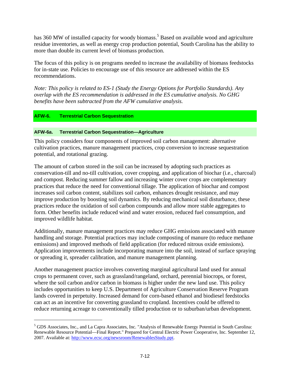has 360 MW of installed capacity for woody biomass.<sup>5</sup> Based on available wood and agriculture residue inventories, as well as energy crop production potential, South Carolina has the ability to more than double its current level of biomass production.

The focus of this policy is on programs needed to increase the availability of biomass feedstocks for in-state use. Policies to encourage use of this resource are addressed within the ES recommendations.

*Note: This policy is related to ES-1 (Study the Energy Options for Portfolio Standards). Any overlap with the ES recommendation is addressed in the ES cumulative analysis. No GHG benefits have been subtracted from the AFW cumulative analysis.* 

# **AFW-6. Terrestrial Carbon Sequestration**

 $\overline{a}$ 

#### **AFW-6a. Terrestrial Carbon Sequestration—Agriculture**

This policy considers four components of improved soil carbon management: alternative cultivation practices, manure management practices, crop conversion to increase sequestration potential, and rotational grazing.

The amount of carbon stored in the soil can be increased by adopting such practices as conservation-till and no-till cultivation, cover cropping, and application of biochar (i.e., charcoal) and compost. Reducing summer fallow and increasing winter cover crops are complementary practices that reduce the need for conventional tillage. The application of biochar and compost increases soil carbon content, stabilizes soil carbon, enhances drought resistance, and may improve production by boosting soil dynamics. By reducing mechanical soil disturbance, these practices reduce the oxidation of soil carbon compounds and allow more stable aggregates to form. Other benefits include reduced wind and water erosion, reduced fuel consumption, and improved wildlife habitat.

Additionally, manure management practices may reduce GHG emissions associated with manure handling and storage. Potential practices may include composting of manure (to reduce methane emissions) and improved methods of field application (for reduced nitrous oxide emissions). Application improvements include incorporating manure into the soil, instead of surface spraying or spreading it, spreader calibration, and manure management planning.

Another management practice involves converting marginal agricultural land used for annual crops to permanent cover, such as grassland/rangeland, orchard, perennial biocrops, or forest, where the soil carbon and/or carbon in biomass is higher under the new land use. This policy includes opportunities to keep U.S. Department of Agriculture Conservation Reserve Program lands covered in perpetuity. Increased demand for corn-based ethanol and biodiesel feedstocks can act as an incentive for converting grassland to cropland. Incentives could be offered to reduce returning acreage to conventionally tilled production or to suburban/urban development.

<sup>&</sup>lt;sup>5</sup> GDS Associates, Inc., and La Capra Associates, Inc. "Analysis of Renewable Energy Potential in South Carolina: Renewable Resource Potential—Final Report." Prepared for Central Electric Power Cooperative, Inc. September 12, 2007. Available at: http://www.ecsc.org/newsroom/RenewablesStudy.ppt.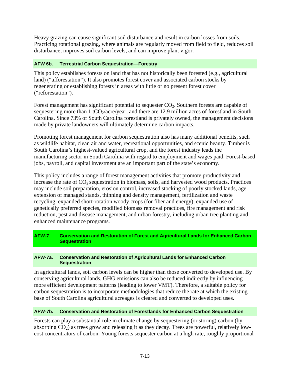Heavy grazing can cause significant soil disturbance and result in carbon losses from soils. Practicing rotational grazing, where animals are regularly moved from field to field, reduces soil disturbance, improves soil carbon levels, and can improve plant vigor.

# **AFW 6b. Terrestrial Carbon Sequestration—Forestry**

This policy establishes forests on land that has not historically been forested (e.g., agricultural land) ("afforestation"). It also promotes forest cover and associated carbon stocks by regenerating or establishing forests in areas with little or no present forest cover ("reforestation").

Forest management has significant potential to sequester  $CO<sub>2</sub>$ . Southern forests are capable of sequestering more than  $1 tCO_2/acre/year$ , and there are 12.9 million acres of forestland in South Carolina. Since 73% of South Carolina forestland is privately owned, the management decisions made by private landowners will ultimately determine carbon impacts.

Promoting forest management for carbon sequestration also has many additional benefits, such as wildlife habitat, clean air and water, recreational opportunities, and scenic beauty. Timber is South Carolina's highest-valued agricultural crop, and the forest industry leads the manufacturing sector in South Carolina with regard to employment and wages paid. Forest-based jobs, payroll, and capital investment are an important part of the state's economy.

This policy includes a range of forest management activities that promote productivity and increase the rate of  $CO<sub>2</sub>$  sequestration in biomass, soils, and harvested wood products. Practices may include soil preparation, erosion control, increased stocking of poorly stocked lands, age extension of managed stands, thinning and density management, fertilization and waste recycling, expanded short-rotation woody crops (for fiber and energy), expanded use of genetically preferred species, modified biomass removal practices, fire management and risk reduction, pest and disease management, and urban forestry, including urban tree planting and enhanced maintenance programs.

# **AFW-7. Conservation and Restoration of Forest and Agricultural Lands for Enhanced Carbon Sequestration**

#### **AFW-7a. Conservation and Restoration of Agricultural Lands for Enhanced Carbon Sequestration**

In agricultural lands, soil carbon levels can be higher than those converted to developed use. By conserving agricultural lands, GHG emissions can also be reduced indirectly by influencing more efficient development patterns (leading to lower VMT). Therefore, a suitable policy for carbon sequestration is to incorporate methodologies that reduce the rate at which the existing base of South Carolina agricultural acreages is cleared and converted to developed uses.

# **AFW-7b. Conservation and Restoration of Forestlands for Enhanced Carbon Sequestration**

Forests can play a substantial role in climate change by sequestering (or storing) carbon (by absorbing  $CO<sub>2</sub>$ ) as trees grow and releasing it as they decay. Trees are powerful, relatively lowcost concentrators of carbon. Young forests sequester carbon at a high rate, roughly proportional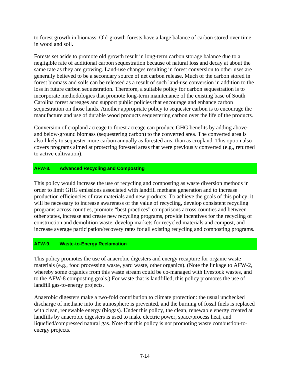to forest growth in biomass. Old-growth forests have a large balance of carbon stored over time in wood and soil.

Forests set aside to promote old growth result in long-term carbon storage balance due to a negligible rate of additional carbon sequestration because of natural loss and decay at about the same rate as they are growing. Land-use changes resulting in forest conversion to other uses are generally believed to be a secondary source of net carbon release. Much of the carbon stored in forest biomass and soils can be released as a result of such land-use conversion in addition to the loss in future carbon sequestration. Therefore, a suitable policy for carbon sequestration is to incorporate methodologies that promote long-term maintenance of the existing base of South Carolina forest acreages and support public policies that encourage and enhance carbon sequestration on those lands. Another appropriate policy to sequester carbon is to encourage the manufacture and use of durable wood products sequestering carbon over the life of the products.

Conversion of cropland acreage to forest acreage can produce GHG benefits by adding aboveand below-ground biomass (sequestering carbon) to the converted area. The converted area is also likely to sequester more carbon annually as forested area than as cropland. This option also covers programs aimed at protecting forested areas that were previously converted (e.g., returned to active cultivation).

# **AFW-8. Advanced Recycling and Composting**

This policy would increase the use of recycling and composting as waste diversion methods in order to limit GHG emissions associated with landfill methane generation and to increase production efficiencies of raw materials and new products. To achieve the goals of this policy, it will be necessary to increase awareness of the value of recycling, develop consistent recycling programs across counties, promote "best practices" comparisons across counties and between other states, increase and create new recycling programs, provide incentives for the recycling of construction and demolition waste, develop markets for recycled materials and compost, and increase average participation/recovery rates for all existing recycling and composting programs.

# **AFW-9. Waste-to-Energy Reclamation**

This policy promotes the use of anaerobic digesters and energy recapture for organic waste materials (e.g., food processing waste, yard waste, other organics). (Note the linkage to AFW-2, whereby some organics from this waste stream could be co-managed with livestock wastes, and to the AFW-8 composting goals.) For waste that is landfilled, this policy promotes the use of landfill gas-to-energy projects.

Anaerobic digesters make a two-fold contribution to climate protection: the usual unchecked discharge of methane into the atmosphere is prevented, and the burning of fossil fuels is replaced with clean, renewable energy (biogas). Under this policy, the clean, renewable energy created at landfills by anaerobic digesters is used to make electric power, space/process heat, and liquefied/compressed natural gas. Note that this policy is not promoting waste combustion-toenergy projects.